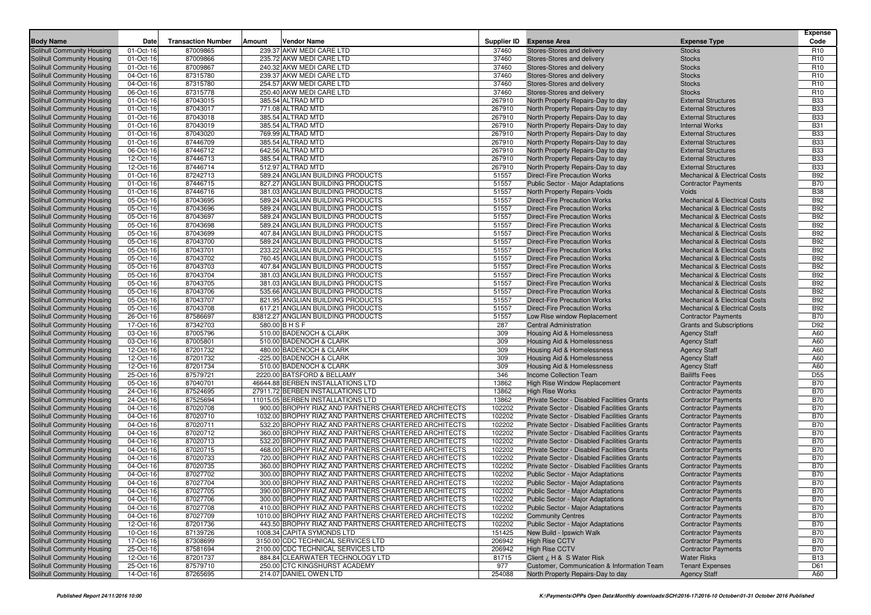|                                                          |                        |                           |        |                                                                      |                |                                                                            |                                                                                      | <b>Expense</b>           |
|----------------------------------------------------------|------------------------|---------------------------|--------|----------------------------------------------------------------------|----------------|----------------------------------------------------------------------------|--------------------------------------------------------------------------------------|--------------------------|
| <b>Body Name</b>                                         | Date                   | <b>Transaction Number</b> | Amount | <b>Vendor Name</b>                                                   |                | Supplier ID Expense Area                                                   | <b>Expense Type</b>                                                                  | Code                     |
| Solihull Community Housing                               | 01-Oct-16              | 87009865                  |        | 239.37 AKW MEDI CARE LTD                                             | 37460          | Stores-Stores and delivery                                                 | <b>Stocks</b>                                                                        | R <sub>10</sub>          |
| Solihull Community Housing                               | 01-Oct-16              | 87009866                  |        | 235.72 AKW MEDI CARE LTD                                             | 37460          | Stores-Stores and delivery                                                 | <b>Stocks</b>                                                                        | R <sub>10</sub>          |
| Solihull Community Housing                               | 01-Oct-16              | 87009867                  |        | 240.32 AKW MEDI CARE LTD                                             | 37460          | Stores-Stores and delivery                                                 | <b>Stocks</b>                                                                        | R <sub>10</sub>          |
| Solihull Community Housing                               | 04-Oct-16              | 87315780                  |        | 239.37 AKW MEDI CARE LTD                                             | 37460          | Stores-Stores and delivery                                                 | <b>Stocks</b>                                                                        | R <sub>10</sub>          |
| Solihull Community Housing                               | 04-Oct-16              | 87315780                  |        | 254.57 AKW MEDI CARE LTD                                             | 37460          | Stores-Stores and delivery                                                 | <b>Stocks</b>                                                                        | R <sub>10</sub>          |
| Solihull Community Housing                               | 06-Oct-16              | 87315778                  |        | 250.40 AKW MEDI CARE LTD                                             | 37460          | Stores-Stores and delivery                                                 | <b>Stocks</b>                                                                        | R <sub>10</sub>          |
| Solihull Community Housing                               | 01-Oct-16              | 87043015                  |        | 385.54 ALTRAD MTD                                                    | 267910         | North Property Repairs-Day to day                                          | <b>External Structures</b>                                                           | <b>B33</b>               |
| Solihull Community Housing                               | 01-Oct-16              | 87043017                  |        | 771.08 ALTRAD MTD                                                    | 267910         | North Property Repairs-Day to day                                          | <b>External Structures</b>                                                           | <b>B33</b>               |
| Solihull Community Housing                               | 01-Oct-16              | 87043018                  |        | 385.54 ALTRAD MTD                                                    | 267910         | North Property Repairs-Day to day                                          | <b>External Structures</b>                                                           | <b>B33</b>               |
| Solihull Community Housing                               | 01-Oct-16              | 87043019                  |        | 385.54 ALTRAD MTD                                                    | 267910         | North Property Repairs-Day to day                                          | <b>Internal Works</b>                                                                | <b>B31</b>               |
| Solihull Community Housing                               | 01-Oct-16              | 87043020                  |        | 769.99 ALTRAD MTD                                                    | 267910         | North Property Repairs-Day to day                                          | <b>External Structures</b>                                                           | <b>B33</b>               |
| Solihull Community Housing                               | 01-Oct-16              | 87446709                  |        | 385.54 ALTRAD MTD                                                    | 267910         | North Property Repairs-Day to day                                          | <b>External Structures</b>                                                           | <b>B33</b>               |
| Solihull Community Housing                               | 06-Oct-16              | 87446712<br>87446713      |        | 642.56 ALTRAD MTD<br>385.54 ALTRAD MTD                               | 267910         | North Property Repairs-Day to day                                          | <b>External Structures</b>                                                           | <b>B33</b><br><b>B33</b> |
| Solihull Community Housing<br>Solihull Community Housing | 12-Oct-16              | 87446714                  |        | 512.97 ALTRAD MTD                                                    | 267910         | North Property Repairs-Day to day                                          | <b>External Structures</b><br><b>External Structures</b>                             | <b>B33</b>               |
|                                                          | 12-Oct-16              |                           |        |                                                                      | 267910         | North Property Repairs-Day to day                                          |                                                                                      |                          |
| Solihull Community Housing                               | 01-Oct-16              | 87242713<br>87446715      |        | 589.24 ANGLIAN BUILDING PRODUCTS<br>827.27 ANGLIAN BUILDING PRODUCTS | 51557<br>51557 | <b>Direct-Fire Precaution Works</b>                                        | <b>Mechanical &amp; Electrical Costs</b>                                             | <b>B92</b><br><b>B70</b> |
| Solihull Community Housing                               | 01-Oct-16              | 87446716                  |        | 381.03 ANGLIAN BUILDING PRODUCTS                                     | 51557          | Public Sector - Major Adaptations                                          | <b>Contractor Payments</b>                                                           | <b>B38</b>               |
| Solihull Community Housing                               | 01-Oct-16<br>05-Oct-16 | 87043695                  |        | 589.24 ANGLIAN BUILDING PRODUCTS                                     | 51557          | North Property Repairs-Voids<br><b>Direct-Fire Precaution Works</b>        | Voids<br><b>Mechanical &amp; Electrical Costs</b>                                    | <b>B92</b>               |
| Solihull Community Housing                               |                        | 87043696                  |        | 589.24 ANGLIAN BUILDING PRODUCTS                                     | 51557          | <b>Direct-Fire Precaution Works</b>                                        | <b>Mechanical &amp; Electrical Costs</b>                                             | <b>B92</b>               |
| Solihull Community Housing                               | 05-Oct-16              |                           |        |                                                                      | 51557          |                                                                            |                                                                                      | <b>B92</b>               |
| Solihull Community Housing                               | 05-Oct-16<br>05-Oct-16 | 87043697<br>87043698      |        | 589.24 ANGLIAN BUILDING PRODUCTS<br>589.24 ANGLIAN BUILDING PRODUCTS | 51557          | <b>Direct-Fire Precaution Works</b><br><b>Direct-Fire Precaution Works</b> | <b>Mechanical &amp; Electrical Costs</b><br><b>Mechanical &amp; Electrical Costs</b> | <b>B92</b>               |
| Solihull Community Housing                               |                        |                           |        | 407.84 ANGLIAN BUILDING PRODUCTS                                     |                |                                                                            | <b>Mechanical &amp; Electrical Costs</b>                                             |                          |
| Solihull Community Housing<br>Solihull Community Housing | 05-Oct-16<br>05-Oct-16 | 87043699<br>87043700      |        | 589.24 ANGLIAN BUILDING PRODUCTS                                     | 51557<br>51557 | <b>Direct-Fire Precaution Works</b><br><b>Direct-Fire Precaution Works</b> | Mechanical & Electrical Costs                                                        | <b>B92</b><br><b>B92</b> |
|                                                          | 05-Oct-16              | 87043701                  |        | 233.22 ANGLIAN BUILDING PRODUCTS                                     | 51557          | <b>Direct-Fire Precaution Works</b>                                        | <b>Mechanical &amp; Electrical Costs</b>                                             | <b>B92</b>               |
| Solihull Community Housing                               |                        | 87043702                  |        | 760.45 ANGLIAN BUILDING PRODUCTS                                     | 51557          |                                                                            |                                                                                      | <b>B92</b>               |
| Solihull Community Housing                               | 05-Oct-16<br>05-Oct-16 | 87043703                  |        | 407.84 ANGLIAN BUILDING PRODUCTS                                     | 51557          | <b>Direct-Fire Precaution Works</b><br><b>Direct-Fire Precaution Works</b> | Mechanical & Electrical Costs<br><b>Mechanical &amp; Electrical Costs</b>            | <b>B92</b>               |
| Solihull Community Housing<br>Solihull Community Housing | 05-Oct-16              | 87043704                  |        | 381.03 ANGLIAN BUILDING PRODUCTS                                     | 51557          | <b>Direct-Fire Precaution Works</b>                                        | <b>Mechanical &amp; Electrical Costs</b>                                             | <b>B92</b>               |
| Solihull Community Housing                               | 05-Oct-16              | 87043705                  |        | 381.03 ANGLIAN BUILDING PRODUCTS                                     | 51557          | <b>Direct-Fire Precaution Works</b>                                        | Mechanical & Electrical Costs                                                        | <b>B92</b>               |
| Solihull Community Housing                               | 05-Oct-16              | 87043706                  |        | 535.66 ANGLIAN BUILDING PRODUCTS                                     | 51557          | <b>Direct-Fire Precaution Works</b>                                        | <b>Mechanical &amp; Electrical Costs</b>                                             | <b>B92</b>               |
| Solihull Community Housing                               | 05-Oct-16              | 87043707                  |        | 821.95 ANGLIAN BUILDING PRODUCTS                                     | 51557          | <b>Direct-Fire Precaution Works</b>                                        | <b>Mechanical &amp; Electrical Costs</b>                                             | <b>B92</b>               |
| Solihull Community Housing                               | 05-Oct-16              | 87043708                  |        | 617.21 ANGLIAN BUILDING PRODUCTS                                     | 51557          | <b>Direct-Fire Precaution Works</b>                                        | <b>Mechanical &amp; Electrical Costs</b>                                             | <b>B92</b>               |
| Solihull Community Housing                               | 26-Oct-16              | 87586697                  |        | 83812.27 ANGLIAN BUILDING PRODUCTS                                   | 51557          | Low Rise window Replacement                                                | <b>Contractor Payments</b>                                                           | <b>B70</b>               |
| Solihull Community Housing                               | 17-Oct-16              | 87342703                  |        | 580.00 B H S F                                                       | 287            | <b>Central Administration</b>                                              | <b>Grants and Subscriptions</b>                                                      | D92                      |
| Solihull Community Housing                               | 03-Oct-16              | 87005796                  |        | 510.00 BADENOCH & CLARK                                              | 309            | Housing Aid & Homelessness                                                 | <b>Agency Staff</b>                                                                  | A60                      |
| Solihull Community Housing                               | 03-Oct-16              | 87005801                  |        | 510.00 BADENOCH & CLARK                                              | 309            | Housing Aid & Homelessness                                                 | <b>Agency Staff</b>                                                                  | A60                      |
| Solihull Community Housing                               | 12-Oct-16              | 87201732                  |        | 480.00 BADENOCH & CLARK                                              | 309            | Housing Aid & Homelessness                                                 | <b>Agency Staff</b>                                                                  | A60                      |
| Solihull Community Housing                               | 12-Oct-16              | 87201732                  |        | -225.00 BADENOCH & CLARK                                             | 309            | Housing Aid & Homelessness                                                 | <b>Agency Staff</b>                                                                  | A60                      |
| Solihull Community Housing                               | 12-Oct-16              | 87201734                  |        | 510.00 BADENOCH & CLARK                                              | 309            | Housing Aid & Homelessness                                                 | <b>Agency Staff</b>                                                                  | A60                      |
| Solihull Community Housing                               | 25-Oct-16              | 87579721                  |        | 2220.00 BATSFORD & BELLAMY                                           | 346            | Income Collection Team                                                     | <b>Bailiffs Fees</b>                                                                 | D <sub>55</sub>          |
| Solihull Community Housing                               | 05-Oct-16              | 87040701                  |        | 46644.88 BERBEN INSTALLATIONS LTD                                    | 13862          | High Rise Window Replacement                                               | <b>Contractor Payments</b>                                                           | <b>B70</b>               |
| Solihull Community Housing                               | 24-Oct-16              | 87524695                  |        | 27911.72 BERBEN INSTALLATIONS LTD                                    | 13862          | <b>High Rise Works</b>                                                     | <b>Contractor Payments</b>                                                           | <b>B70</b>               |
| Solihull Community Housing                               | 24-Oct-16              | 87525694                  |        | 11015.05 BERBEN INSTALLATIONS LTD                                    | 13862          | Private Sector - Disabled Facilities Grants                                | <b>Contractor Payments</b>                                                           | <b>B70</b>               |
| Solihull Community Housing                               | 04-Oct-16              | 87020708                  |        | 900.00 BROPHY RIAZ AND PARTNERS CHARTERED ARCHITECTS                 | 102202         | Private Sector - Disabled Facilities Grants                                | <b>Contractor Payments</b>                                                           | <b>B70</b>               |
| Solihull Community Housing                               | 04-Oct-16              | 87020710                  |        | 1032.00 BROPHY RIAZ AND PARTNERS CHARTERED ARCHITECTS                | 102202         | Private Sector - Disabled Facilities Grants                                | <b>Contractor Payments</b>                                                           | <b>B70</b>               |
| Solihull Community Housing                               | 04-Oct-16              | 87020711                  |        | 532.20 BROPHY RIAZ AND PARTNERS CHARTERED ARCHITECTS                 | 102202         | Private Sector - Disabled Facilities Grants                                | <b>Contractor Payments</b>                                                           | <b>B70</b>               |
| Solihull Community Housing                               | 04-Oct-16              | 87020712                  |        | 360.00 BROPHY RIAZ AND PARTNERS CHARTERED ARCHITECTS                 | 102202         | Private Sector - Disabled Facilities Grants                                | <b>Contractor Payments</b>                                                           | <b>B70</b>               |
| Solihull Community Housing                               | 04-Oct-16              | 87020713                  |        | 532.20 BROPHY RIAZ AND PARTNERS CHARTERED ARCHITECTS                 | 102202         | Private Sector - Disabled Facilities Grants                                | <b>Contractor Payments</b>                                                           | <b>B70</b>               |
| Solihull Community Housing                               | 04-Oct-16              | 87020715                  |        | 468.00 BROPHY RIAZ AND PARTNERS CHARTERED ARCHITECTS                 | 102202         | Private Sector - Disabled Facilities Grants                                | <b>Contractor Payments</b>                                                           | <b>B70</b>               |
| Solihull Community Housing                               | 04-Oct-16              | 87020733                  |        | 720.00 BROPHY RIAZ AND PARTNERS CHARTERED ARCHITECTS                 | 102202         | Private Sector - Disabled Facilities Grants                                | <b>Contractor Payments</b>                                                           | <b>B70</b>               |
| Solihull Community Housing                               | 04-Oct-16              | 87020735                  |        | 360.00 BROPHY RIAZ AND PARTNERS CHARTERED ARCHITECTS                 | 102202         | Private Sector - Disabled Facilities Grants                                | <b>Contractor Payments</b>                                                           | <b>B70</b>               |
| Solihull Community Housing                               | 04-Oct-16              | 87027702                  |        | 300.00 BROPHY RIAZ AND PARTNERS CHARTERED ARCHITECTS                 | 102202         | Public Sector - Major Adaptations                                          | <b>Contractor Payments</b>                                                           | <b>B70</b>               |
| Solihull Community Housing                               | 04-Oct-16              | 87027704                  |        | 300.00 BROPHY RIAZ AND PARTNERS CHARTERED ARCHITECTS                 | 102202         | Public Sector - Major Adaptations                                          | <b>Contractor Payments</b>                                                           | <b>B70</b>               |
| Solihull Community Housing                               | 04-Oct-16              | 87027705                  |        | 390.00 BROPHY RIAZ AND PARTNERS CHARTERED ARCHITECTS                 | 102202         | Public Sector - Major Adaptations                                          | <b>Contractor Payments</b>                                                           | <b>B70</b>               |
| Solihull Community Housing                               | 04-Oct-16              | 87027706                  |        | 300.00 BROPHY RIAZ AND PARTNERS CHARTERED ARCHITECTS                 | 102202         | Public Sector - Major Adaptations                                          | <b>Contractor Payments</b>                                                           | <b>B70</b>               |
| Solihull Community Housing                               | 04-Oct-16              | 87027708                  |        | 410.00 BROPHY RIAZ AND PARTNERS CHARTERED ARCHITECTS                 | 102202         | <b>Public Sector - Major Adaptations</b>                                   | <b>Contractor Payments</b>                                                           | <b>B70</b>               |
| Solihull Community Housing                               | 04-Oct-16              | 87027709                  |        | 1010.00 BROPHY RIAZ AND PARTNERS CHARTERED ARCHITECTS                | 102202         | <b>Community Centres</b>                                                   | <b>Contractor Payments</b>                                                           | <b>B70</b>               |
| Solihull Community Housing                               | 12-Oct-16              | 87201736                  |        | 443.50 BROPHY RIAZ AND PARTNERS CHARTERED ARCHITECTS                 | 102202         | Public Sector - Major Adaptations                                          | <b>Contractor Payments</b>                                                           | <b>B70</b>               |
| Solihull Community Housing                               | 10-Oct-16              | 87139726                  |        | 1008.34 CAPITA SYMONDS LTD                                           | 151425         | New Build - Ipswich Walk                                                   | <b>Contractor Payments</b>                                                           | <b>B70</b>               |
| Solihull Community Housing                               | 17-Oct-16              | 87308699                  |        | 3150.00 CDC TECHNICAL SERVICES LTD                                   | 206942         | <b>High Rise CCTV</b>                                                      | <b>Contractor Payments</b>                                                           | <b>B70</b>               |
| Solihull Community Housing                               | 25-Oct-16              | 87581694                  |        | 2100.00 CDC TECHNICAL SERVICES LTD                                   | 206942         | <b>High Rise CCTV</b>                                                      | <b>Contractor Payments</b>                                                           | <b>B70</b>               |
| Solihull Community Housing                               | 12-Oct-16              | 87201737                  |        | 884.84 CLEARWATER TECHNOLOGY LTD                                     | 81715          | Client ¿ H & S Water Risk                                                  | <b>Water Risks</b>                                                                   | <b>B13</b>               |
| Solihull Community Housing                               | 25-Oct-16              | 87579710                  |        | 250.00 CTC KINGSHURST ACADEMY                                        | 977            | Customer, Communication & Information Team                                 | <b>Tenant Expenses</b>                                                               | D61                      |
| Solihull Community Housing                               | 14-Oct-16              | 87265695                  |        | 214.07 DANIEL OWEN LTD                                               | 254088         | North Property Repairs-Day to day                                          | <b>Agency Staff</b>                                                                  | A60                      |
|                                                          |                        |                           |        |                                                                      |                |                                                                            |                                                                                      |                          |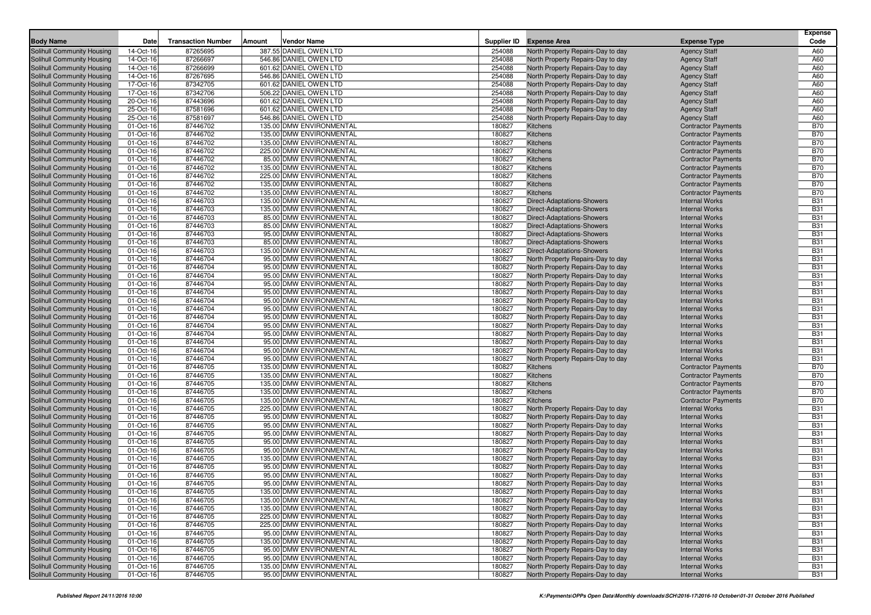| <b>Body Name</b>                                         | Date                   | <b>Transaction Number</b> | Amount | <b>Vendor Name</b>                                   |                  | Supplier ID Expense Area                                               | <b>Expense Type</b>                                      | <b>Expense</b><br>Code   |
|----------------------------------------------------------|------------------------|---------------------------|--------|------------------------------------------------------|------------------|------------------------------------------------------------------------|----------------------------------------------------------|--------------------------|
| Solihull Community Housing                               | 14-Oct-16              | 87265695                  |        | 387.55 DANIEL OWEN LTD                               | 254088           | North Property Repairs-Day to day                                      | <b>Agency Staff</b>                                      | A60                      |
| Solihull Community Housing                               | 14-Oct-16              | 87266697                  |        | 546.86 DANIEL OWEN LTD                               | 254088           | North Property Repairs-Day to day                                      | <b>Agency Staff</b>                                      | A60                      |
| Solihull Community Housing                               | 14-Oct-16              | 87266699                  |        | 601.62 DANIEL OWEN LTD                               | 254088           | North Property Repairs-Day to day                                      | <b>Agency Staff</b>                                      | A60                      |
| Solihull Community Housing                               | 14-Oct-16              | 87267695                  |        | 546.86 DANIEL OWEN LTD                               | 254088           | North Property Repairs-Day to day                                      | <b>Agency Staff</b>                                      | A60                      |
| Solihull Community Housing                               | 17-Oct-16              | 87342705                  |        | 601.62 DANIEL OWEN LTD                               | 254088           | North Property Repairs-Day to day                                      | <b>Agency Staff</b>                                      | A60                      |
| Solihull Community Housing                               | 17-Oct-16              | 87342706                  |        | 506.22 DANIEL OWEN LTD                               | 254088           | North Property Repairs-Day to day                                      | <b>Agency Staff</b>                                      | A60                      |
| Solihull Community Housing                               | 20-Oct-16              | 87443696                  |        | 601.62 DANIEL OWEN LTD                               | 254088           | North Property Repairs-Day to day                                      | <b>Agency Staff</b>                                      | A60                      |
| Solihull Community Housing                               | 25-Oct-16              | 87581696                  |        | 601.62 DANIEL OWEN LTD                               | 254088           | North Property Repairs-Day to day                                      | <b>Agency Staff</b>                                      | A60                      |
| Solihull Community Housing                               | 25-Oct-16              | 87581697                  |        | 546.86 DANIEL OWEN LTD                               | 254088           | North Property Repairs-Day to day                                      | <b>Agency Staff</b>                                      | A60                      |
| Solihull Community Housing                               | 01-Oct-16              | 87446702                  |        | 135.00 DMW ENVIRONMENTAL                             | 180827           | Kitchens                                                               | <b>Contractor Payments</b>                               | <b>B70</b>               |
| Solihull Community Housing                               | 01-Oct-16              | 87446702                  |        | 135.00 DMW ENVIRONMENTAL                             | 180827           | Kitchens                                                               | <b>Contractor Payments</b>                               | <b>B70</b>               |
| Solihull Community Housing                               | 01-Oct-16              | 87446702                  |        | 135.00 DMW ENVIRONMENTAL                             | 180827           | Kitchens                                                               | <b>Contractor Payments</b>                               | <b>B70</b>               |
| Solihull Community Housing                               | 01-Oct-16              | 87446702                  |        | 225.00 DMW ENVIRONMENTAL                             | 180827<br>180827 | Kitchens                                                               | <b>Contractor Payments</b><br><b>Contractor Payments</b> | <b>B70</b><br><b>B70</b> |
| Solihull Community Housing<br>Solihull Community Housing | 01-Oct-16              | 87446702                  |        | 85.00 DMW ENVIRONMENTAL                              | 180827           | Kitchens                                                               | <b>Contractor Payments</b>                               | <b>B70</b>               |
|                                                          | 01-Oct-16<br>01-Oct-16 | 87446702<br>87446702      |        | 135.00 DMW ENVIRONMENTAL<br>225.00 DMW ENVIRONMENTAL | 180827           | Kitchens<br>Kitchens                                                   |                                                          | <b>B70</b>               |
| Solihull Community Housing                               | 01-Oct-16              | 87446702                  |        | 135.00 DMW ENVIRONMENTAL                             | 180827           | Kitchens                                                               | <b>Contractor Payments</b>                               | <b>B70</b>               |
| Solihull Community Housing<br>Solihull Community Housing | 01-Oct-16              | 87446702                  |        | 135.00 DMW ENVIRONMENTAL                             | 180827           | Kitchens                                                               | <b>Contractor Payments</b><br><b>Contractor Payments</b> | <b>B70</b>               |
| Solihull Community Housing                               | 01-Oct-16              | 87446703                  |        | 135.00 DMW ENVIRONMENTAL                             | 180827           | Direct-Adaptations-Showers                                             | <b>Internal Works</b>                                    | <b>B31</b>               |
| Solihull Community Housing                               | 01-Oct-16              | 87446703                  |        | 135.00 DMW ENVIRONMENTAL                             | 180827           | <b>Direct-Adaptations-Showers</b>                                      | <b>Internal Works</b>                                    | <b>B31</b>               |
| Solihull Community Housing                               | 01-Oct-16              | 87446703                  |        | 85.00 DMW ENVIRONMENTAL                              | 180827           | <b>Direct-Adaptations-Showers</b>                                      | <b>Internal Works</b>                                    | <b>B31</b>               |
| Solihull Community Housing                               | 01-Oct-16              | 87446703                  |        | 85.00 DMW ENVIRONMENTAL                              | 180827           | <b>Direct-Adaptations-Showers</b>                                      | <b>Internal Works</b>                                    | <b>B31</b>               |
| Solihull Community Housing                               | 01-Oct-16              | 87446703                  |        | 95.00 DMW ENVIRONMENTAL                              | 180827           | <b>Direct-Adaptations-Showers</b>                                      | <b>Internal Works</b>                                    | <b>B31</b>               |
| Solihull Community Housing                               | 01-Oct-16              | 87446703                  |        | 85.00 DMW ENVIRONMENTAL                              | 180827           | <b>Direct-Adaptations-Showers</b>                                      | <b>Internal Works</b>                                    | <b>B31</b>               |
| Solihull Community Housing                               | 01-Oct-16              | 87446703                  |        | 135.00 DMW ENVIRONMENTAL                             | 180827           | <b>Direct-Adaptations-Showers</b>                                      | <b>Internal Works</b>                                    | <b>B31</b>               |
| Solihull Community Housing                               | 01-Oct-16              | 87446704                  |        | 95.00 DMW ENVIRONMENTAL                              | 180827           | North Property Repairs-Day to day                                      | <b>Internal Works</b>                                    | <b>B31</b>               |
| Solihull Community Housing                               | 01-Oct-16              | 87446704                  |        | 95.00 DMW ENVIRONMENTAL                              | 180827           | North Property Repairs-Day to day                                      | <b>Internal Works</b>                                    | <b>B31</b>               |
| Solihull Community Housing                               | 01-Oct-16              | 87446704                  |        | 95.00 DMW ENVIRONMENTAL                              | 180827           | North Property Repairs-Day to day                                      | <b>Internal Works</b>                                    | <b>B31</b>               |
| Solihull Community Housing                               | 01-Oct-16              | 87446704                  |        | 95.00 DMW ENVIRONMENTAL                              | 180827           | North Property Repairs-Day to day                                      | <b>Internal Works</b>                                    | <b>B31</b>               |
| Solihull Community Housing                               | 01-Oct-16              | 87446704                  |        | 95.00 DMW ENVIRONMENTAL                              | 180827           | North Property Repairs-Day to day                                      | <b>Internal Works</b>                                    | <b>B31</b>               |
| Solihull Community Housing                               | 01-Oct-16              | 87446704                  |        | 95.00 DMW ENVIRONMENTAL                              | 180827           | North Property Repairs-Day to day                                      | <b>Internal Works</b>                                    | <b>B31</b>               |
| Solihull Community Housing                               | 01-Oct-16              | 87446704                  |        | 95.00 DMW ENVIRONMENTAL                              | 180827           | North Property Repairs-Day to day                                      | <b>Internal Works</b>                                    | <b>B31</b>               |
| Solihull Community Housing                               | 01-Oct-16              | 87446704                  |        | 95.00 DMW ENVIRONMENTAL                              | 180827           | North Property Repairs-Day to day                                      | <b>Internal Works</b>                                    | <b>B31</b>               |
| Solihull Community Housing                               | 01-Oct-16              | 87446704                  |        | 95.00 DMW ENVIRONMENTAL                              | 180827           | North Property Repairs-Day to day                                      | <b>Internal Works</b>                                    | <b>B31</b>               |
| Solihull Community Housing                               | 01-Oct-16              | 87446704                  |        | 95.00 DMW ENVIRONMENTAL                              | 180827           | North Property Repairs-Day to day                                      | <b>Internal Works</b>                                    | <b>B31</b>               |
| Solihull Community Housing                               | 01-Oct-16              | 87446704                  |        | 95.00 DMW ENVIRONMENTAL                              | 180827           | North Property Repairs-Day to day                                      | <b>Internal Works</b>                                    | <b>B31</b>               |
| Solihull Community Housing                               | 01-Oct-16              | 87446704                  |        | 95.00 DMW ENVIRONMENTAL                              | 180827           | North Property Repairs-Day to day                                      | <b>Internal Works</b>                                    | <b>B31</b>               |
| Solihull Community Housing                               | 01-Oct-16              | 87446704                  |        | 95.00 DMW ENVIRONMENTAL                              | 180827           | North Property Repairs-Day to day                                      | <b>Internal Works</b>                                    | <b>B31</b>               |
| Solihull Community Housing                               | 01-Oct-16              | 87446705                  |        | 135.00 DMW ENVIRONMENTAL                             | 180827           | Kitchens                                                               | <b>Contractor Payments</b>                               | <b>B70</b>               |
| Solihull Community Housing                               | 01-Oct-16              | 87446705                  |        | 135.00 DMW ENVIRONMENTAL                             | 180827           | Kitchens                                                               | <b>Contractor Payments</b>                               | <b>B70</b>               |
| Solihull Community Housing                               | 01-Oct-16              | 87446705                  |        | 135.00 DMW ENVIRONMENTAL                             | 180827           | Kitchens                                                               | <b>Contractor Payments</b>                               | <b>B70</b>               |
| Solihull Community Housing                               | 01-Oct-16              | 87446705                  |        | 135.00 DMW ENVIRONMENTAL                             | 180827           | Kitchens                                                               | <b>Contractor Payments</b>                               | <b>B70</b>               |
| Solihull Community Housing                               | 01-Oct-16              | 87446705                  |        | 135.00 DMW ENVIRONMENTAL                             | 180827           | Kitchens                                                               | <b>Contractor Payments</b>                               | <b>B70</b>               |
| Solihull Community Housing                               | 01-Oct-16              | 87446705                  |        | 225.00 DMW ENVIRONMENTAL                             | 180827           | North Property Repairs-Day to day                                      | <b>Internal Works</b>                                    | <b>B31</b>               |
| Solihull Community Housing                               | 01-Oct-16              | 87446705                  |        | 95.00 DMW ENVIRONMENTAL                              | 180827           | North Property Repairs-Day to day                                      | <b>Internal Works</b>                                    | <b>B31</b>               |
| Solihull Community Housing                               | 01-Oct-16              | 87446705<br>87446705      |        | 95.00 DMW ENVIRONMENTAL<br>95.00 DMW ENVIRONMENTAL   | 180827           | North Property Repairs-Day to day                                      | <b>Internal Works</b><br><b>Internal Works</b>           | <b>B31</b><br><b>B31</b> |
| Solihull Community Housing<br>Solihull Community Housing | 01-Oct-16<br>01-Oct-16 | 87446705                  |        | 95.00 DMW ENVIRONMENTAL                              | 180827<br>180827 | North Property Repairs-Day to day<br>North Property Repairs-Day to day | <b>Internal Works</b>                                    | <b>B31</b>               |
| Solihull Community Housing                               | 01-Oct-16              | 87446705                  |        | 95.00 DMW ENVIRONMENTAL                              | 180827           | North Property Repairs-Day to day                                      | <b>Internal Works</b>                                    | <b>B31</b>               |
| Solihull Community Housing                               | 01-Oct-16              | 87446705                  |        | 135.00 DMW ENVIRONMENTAL                             | 180827           | North Property Repairs-Day to day                                      | <b>Internal Works</b>                                    | <b>B31</b>               |
| Solihull Community Housing                               | 01-Oct-16              | 87446705                  |        | 95.00 DMW ENVIRONMENTAL                              | 180827           | North Property Repairs-Day to day                                      | <b>Internal Works</b>                                    | <b>B31</b>               |
| Solihull Community Housing                               | 01-Oct-16              | 87446705                  |        | 95.00 DMW ENVIRONMENTAL                              | 180827           | North Property Repairs-Day to day                                      | <b>Internal Works</b>                                    | <b>B31</b>               |
| Solihull Community Housing                               | 01-Oct-16              | 87446705                  |        | 95.00 DMW ENVIRONMENTAL                              | 180827           | North Property Repairs-Day to day                                      | <b>Internal Works</b>                                    | <b>B31</b>               |
| Solihull Community Housing                               | 01-Oct-16              | 87446705                  |        | 135.00 DMW ENVIRONMENTAL                             | 180827           | North Property Repairs-Day to day                                      | <b>Internal Works</b>                                    | <b>B31</b>               |
| Solihull Community Housing                               | 01-Oct-16              | 87446705                  |        | 135.00 DMW ENVIRONMENTAL                             | 180827           | North Property Repairs-Day to day                                      | <b>Internal Works</b>                                    | <b>B31</b>               |
| Solihull Community Housing                               | 01-Oct-16              | 87446705                  |        | 135.00 DMW ENVIRONMENTAL                             | 180827           | North Property Repairs-Day to day                                      | <b>Internal Works</b>                                    | <b>B31</b>               |
| Solihull Community Housing                               | 01-Oct-16              | 87446705                  |        | 225.00 DMW ENVIRONMENTAL                             | 180827           | North Property Repairs-Day to day                                      | <b>Internal Works</b>                                    | <b>B31</b>               |
| Solihull Community Housing                               | 01-Oct-16              | 87446705                  |        | 225.00 DMW ENVIRONMENTAL                             | 180827           | North Property Repairs-Day to day                                      | <b>Internal Works</b>                                    | <b>B31</b>               |
| Solihull Community Housing                               | 01-Oct-16              | 87446705                  |        | 95.00 DMW ENVIRONMENTAL                              | 180827           | North Property Repairs-Day to day                                      | <b>Internal Works</b>                                    | <b>B31</b>               |
| Solihull Community Housing                               | 01-Oct-16              | 87446705                  |        | 135.00 DMW ENVIRONMENTAL                             | 180827           | North Property Repairs-Day to day                                      | <b>Internal Works</b>                                    | <b>B31</b>               |
| Solihull Community Housing                               | 01-Oct-16              | 87446705                  |        | 95.00 DMW ENVIRONMENTAL                              | 180827           | North Property Repairs-Day to day                                      | <b>Internal Works</b>                                    | <b>B31</b>               |
| Solihull Community Housing                               | 01-Oct-16              | 87446705                  |        | 95.00 DMW ENVIRONMENTAL                              | 180827           | North Property Repairs-Day to day                                      | <b>Internal Works</b>                                    | <b>B31</b>               |
| Solihull Community Housing                               | 01-Oct-16              | 87446705                  |        | 135.00 DMW ENVIRONMENTAL                             | 180827           | North Property Repairs-Day to day                                      | <b>Internal Works</b>                                    | <b>B31</b>               |
| Solihull Community Housing                               | 01-Oct-16              | 87446705                  |        | 95.00 DMW ENVIRONMENTAL                              | 180827           | North Property Repairs-Day to day                                      | <b>Internal Works</b>                                    | <b>B31</b>               |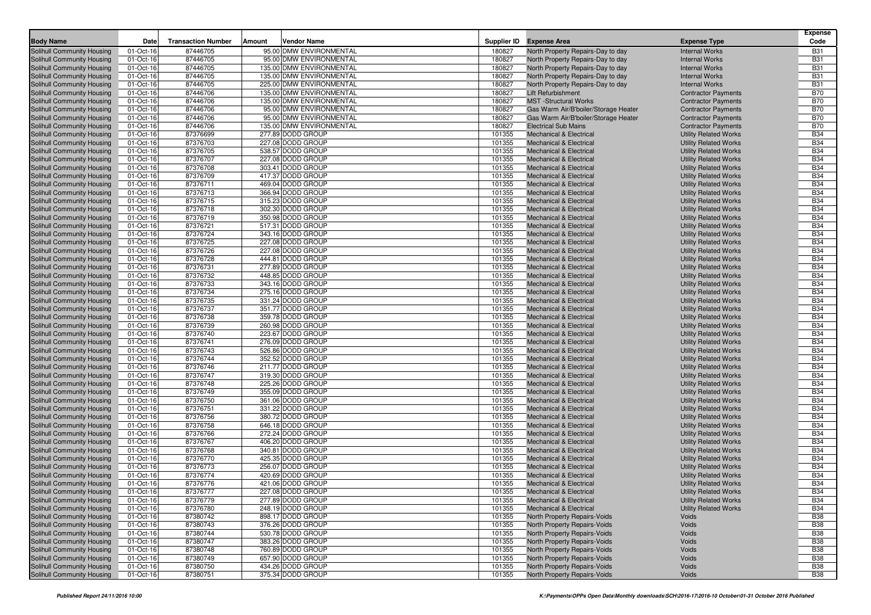|                                                          |                        |                           |        | <b>Vendor Name</b>                                 |                  |                                                                          |                                                              | <b>Expense</b><br>Code   |
|----------------------------------------------------------|------------------------|---------------------------|--------|----------------------------------------------------|------------------|--------------------------------------------------------------------------|--------------------------------------------------------------|--------------------------|
| <b>Body Name</b>                                         | Date                   | <b>Transaction Number</b> | Amount |                                                    |                  | Supplier ID Expense Area                                                 | <b>Expense Type</b>                                          |                          |
| Solihull Community Housing                               | 01-Oct-16              | 87446705                  |        | 95.00 DMW ENVIRONMENTAL                            | 180827           | North Property Repairs-Day to day                                        | <b>Internal Works</b>                                        | <b>B31</b>               |
| Solihull Community Housing                               | 01-Oct-16              | 87446705                  |        | 95.00 DMW ENVIRONMENTAL                            | 180827           | North Property Repairs-Day to day                                        | <b>Internal Works</b>                                        | <b>B31</b>               |
| Solihull Community Housing                               | 01-Oct-16              | 87446705                  |        | 135.00 DMW ENVIRONMENTAL                           | 180827           | North Property Repairs-Day to day                                        | <b>Internal Works</b>                                        | <b>B31</b>               |
| Solihull Community Housing                               | 01-Oct-16              | 87446705                  |        | 135.00 DMW ENVIRONMENTAL                           | 180827           | North Property Repairs-Day to day                                        | <b>Internal Works</b>                                        | <b>B31</b>               |
| Solihull Community Housing                               | 01-Oct-16              | 87446705                  |        | 225.00 DMW ENVIRONMENTAL                           | 180827           | North Property Repairs-Day to day                                        | <b>Internal Works</b>                                        | <b>B31</b>               |
| Solihull Community Housing                               | 01-Oct-16              | 87446706                  |        | 135.00 DMW ENVIRONMENTAL                           | 180827           | Lift Refurbishment                                                       | <b>Contractor Payments</b>                                   | <b>B70</b>               |
| Solihull Community Housing                               | 01-Oct-16              | 87446706                  |        | 135.00 DMW ENVIRONMENTAL                           | 180827           | <b>MST</b> -Structural Works                                             | <b>Contractor Payments</b>                                   | <b>B70</b>               |
| Solihull Community Housing                               | 01-Oct-16              | 87446706                  |        | 95.00 DMW ENVIRONMENTAL<br>95.00 DMW ENVIRONMENTAL | 180827           | Gas Warm Air/B'boiler/Storage Heater                                     | <b>Contractor Payments</b>                                   | <b>B70</b>               |
| Solihull Community Housing                               | 01-Oct-16              | 87446706                  |        |                                                    | 180827           | Gas Warm Air/B'boiler/Storage Heater                                     | <b>Contractor Payments</b>                                   | <b>B70</b>               |
| Solihull Community Housing<br>Solihull Community Housing | 01-Oct-16              | 87446706<br>87376699      |        | 135.00 DMW ENVIRONMENTAL<br>277.89 DODD GROUP      | 180827<br>101355 | <b>Electrical Sub Mains</b><br><b>Mechanical &amp; Electrical</b>        | <b>Contractor Payments</b>                                   | <b>B70</b><br><b>B34</b> |
| Solihull Community Housing                               | 01-Oct-16<br>01-Oct-16 | 87376703                  |        | 227.08 DODD GROUP                                  | 101355           | <b>Mechanical &amp; Electrical</b>                                       | <b>Utility Related Works</b><br><b>Utility Related Works</b> | <b>B34</b>               |
| Solihull Community Housing                               | 01-Oct-16              | 87376705                  |        | 538.57 DODD GROUP                                  | 101355           | <b>Mechanical &amp; Electrical</b>                                       | <b>Utility Related Works</b>                                 | <b>B34</b>               |
| Solihull Community Housing                               | 01-Oct-16              | 87376707                  |        | 227.08 DODD GROUP                                  | 101355           | <b>Mechanical &amp; Electrical</b>                                       | <b>Utility Related Works</b>                                 | <b>B34</b>               |
| Solihull Community Housing                               | 01-Oct-16              | 87376708                  |        | 303.41 DODD GROUP                                  | 101355           | <b>Mechanical &amp; Electrical</b>                                       | <b>Utility Related Works</b>                                 | <b>B34</b>               |
| Solihull Community Housing                               | 01-Oct-16              | 87376709                  |        | 417.37 DODD GROUP                                  | 101355           | Mechanical & Electrical                                                  | <b>Utility Related Works</b>                                 | <b>B34</b>               |
| Solihull Community Housing                               | 01-Oct-16              | 87376711                  |        | 469.04 DODD GROUP                                  | 101355           | <b>Mechanical &amp; Electrical</b>                                       | <b>Utility Related Works</b>                                 | <b>B34</b>               |
| Solihull Community Housing                               | 01-Oct-16              | 87376713                  |        | 366.94 DODD GROUP                                  | 101355           | Mechanical & Electrical                                                  | <b>Utility Related Works</b>                                 | <b>B34</b>               |
| Solihull Community Housing                               | 01-Oct-16              | 87376715                  |        | 315.23 DODD GROUP                                  | 101355           | <b>Mechanical &amp; Electrical</b>                                       | <b>Utility Related Works</b>                                 | <b>B34</b>               |
| Solihull Community Housing                               | 01-Oct-16              | 87376718                  |        | 302.30 DODD GROUP                                  | 101355           | Mechanical & Electrical                                                  | <b>Utility Related Works</b>                                 | <b>B34</b>               |
| Solihull Community Housing                               | 01-Oct-16              | 87376719                  |        | 350.98 DODD GROUP                                  | 101355           | Mechanical & Electrical                                                  | <b>Utility Related Works</b>                                 | <b>B34</b>               |
| Solihull Community Housing                               | 01-Oct-16              | 87376721                  |        | 517.31 DODD GROUP                                  | 101355           | Mechanical & Electrical                                                  | <b>Utility Related Works</b>                                 | <b>B34</b>               |
| Solihull Community Housing                               | 01-Oct-16              | 87376724                  |        | 343.16 DODD GROUP                                  | 101355           | Mechanical & Electrical                                                  | <b>Utility Related Works</b>                                 | <b>B34</b>               |
| Solihull Community Housing                               | 01-Oct-16              | 87376725                  |        | 227.08 DODD GROUP                                  | 101355           | <b>Mechanical &amp; Electrical</b>                                       | <b>Utility Related Works</b>                                 | <b>B34</b>               |
| Solihull Community Housing                               | 01-Oct-16              | 87376726                  |        | 227.08 DODD GROUP                                  | 101355           | Mechanical & Electrical                                                  | <b>Utility Related Works</b>                                 | <b>B34</b>               |
| Solihull Community Housing                               | 01-Oct-16              | 87376728                  |        | 444.81 DODD GROUP                                  | 101355           | <b>Mechanical &amp; Electrical</b>                                       | <b>Utility Related Works</b>                                 | <b>B34</b>               |
| Solihull Community Housing                               | 01-Oct-16              | 87376731                  |        | 277.89 DODD GROUP                                  | 101355           | Mechanical & Electrical                                                  | <b>Utility Related Works</b>                                 | <b>B34</b>               |
| Solihull Community Housing                               | 01-Oct-16              | 87376732                  |        | 448.85 DODD GROUP                                  | 101355           | Mechanical & Electrical                                                  | <b>Utility Related Works</b>                                 | <b>B34</b>               |
| Solihull Community Housing                               | 01-Oct-16              | 87376733                  |        | 343.16 DODD GROUP                                  | 101355           | <b>Mechanical &amp; Electrical</b>                                       | <b>Utility Related Works</b>                                 | <b>B34</b>               |
| Solihull Community Housing                               | 01-Oct-16              | 87376734                  |        | 275.16 DODD GROUP                                  | 101355           | Mechanical & Electrical                                                  | <b>Utility Related Works</b>                                 | <b>B34</b>               |
| Solihull Community Housing                               | 01-Oct-16              | 87376735                  |        | 331.24 DODD GROUP                                  | 101355           | <b>Mechanical &amp; Electrical</b>                                       | <b>Utility Related Works</b>                                 | <b>B34</b>               |
| Solihull Community Housing                               | 01-Oct-16              | 87376737                  |        | 351.77 DODD GROUP                                  | 101355           | Mechanical & Electrical                                                  | <b>Utility Related Works</b>                                 | <b>B34</b>               |
| Solihull Community Housing                               | 01-Oct-16              | 87376738                  |        | 359.78 DODD GROUP                                  | 101355           | <b>Mechanical &amp; Electrical</b>                                       | <b>Utility Related Works</b>                                 | <b>B34</b>               |
| Solihull Community Housing                               | 01-Oct-16              | 87376739                  |        | 260.98 DODD GROUP                                  | 101355           | Mechanical & Electrical                                                  | <b>Utility Related Works</b>                                 | <b>B34</b>               |
| Solihull Community Housing                               | 01-Oct-16              | 87376740                  |        | 223.67 DODD GROUP                                  | 101355           | <b>Mechanical &amp; Electrical</b>                                       | <b>Utility Related Works</b>                                 | <b>B34</b>               |
| Solihull Community Housing                               | 01-Oct-16              | 87376741                  |        | 276.09 DODD GROUP                                  | 101355           | Mechanical & Electrical                                                  | <b>Utility Related Works</b>                                 | <b>B34</b>               |
| Solihull Community Housing                               | 01-Oct-16              | 87376743                  |        | 526.86 DODD GROUP                                  | 101355           | <b>Mechanical &amp; Electrical</b>                                       | <b>Utility Related Works</b>                                 | <b>B34</b>               |
| Solihull Community Housing                               | 01-Oct-16              | 87376744                  |        | 352.52 DODD GROUP                                  | 101355           | <b>Mechanical &amp; Electrical</b>                                       | <b>Utility Related Works</b>                                 | <b>B34</b>               |
| Solihull Community Housing                               | 01-Oct-16              | 87376746                  |        | 211.77 DODD GROUP                                  | 101355           | <b>Mechanical &amp; Electrical</b>                                       | <b>Utility Related Works</b>                                 | <b>B34</b>               |
| Solihull Community Housing                               | 01-Oct-16              | 87376747                  |        | 319.30 DODD GROUP                                  | 101355           | <b>Mechanical &amp; Electrical</b>                                       | <b>Utility Related Works</b>                                 | <b>B34</b>               |
| Solihull Community Housing                               | 01-Oct-16              | 87376748                  |        | 225.26 DODD GROUP                                  | 101355           | <b>Mechanical &amp; Electrical</b>                                       | <b>Utility Related Works</b>                                 | <b>B34</b>               |
| Solihull Community Housing                               | 01-Oct-16              | 87376749                  |        | 355.09 DODD GROUP                                  | 101355           | <b>Mechanical &amp; Electrical</b>                                       | <b>Utility Related Works</b>                                 | <b>B34</b>               |
| Solihull Community Housing                               | 01-Oct-16              | 87376750                  |        | 361.06 DODD GROUP                                  | 101355           | Mechanical & Electrical                                                  | <b>Utility Related Works</b>                                 | <b>B34</b>               |
| Solihull Community Housing                               | 01-Oct-16              | 87376751                  |        | 331.22 DODD GROUP                                  | 101355           | <b>Mechanical &amp; Electrical</b>                                       | <b>Utility Related Works</b>                                 | <b>B34</b>               |
| Solihull Community Housing                               | 01-Oct-16              | 87376756                  |        | 380.72 DODD GROUP                                  | 101355           | <b>Mechanical &amp; Electrical</b>                                       | <b>Utility Related Works</b>                                 | <b>B34</b>               |
| Solihull Community Housing                               | 01-Oct-16              | 87376758                  |        | 646.18 DODD GROUP                                  | 101355           | <b>Mechanical &amp; Electrical</b>                                       | <b>Utility Related Works</b>                                 | <b>B34</b>               |
| Solihull Community Housing<br>Solihull Community Housing | 01-Oct-16              | 87376766                  |        | 272.24 DODD GROUP                                  | 101355           | Mechanical & Electrical                                                  | <b>Utility Related Works</b>                                 | <b>B34</b>               |
|                                                          | 01-Oct-16              | 87376767<br>87376768      |        | 406.20 DODD GROUP<br>340.81 DODD GROUP             | 101355<br>101355 | <b>Mechanical &amp; Electrical</b><br><b>Mechanical &amp; Electrical</b> | <b>Utility Related Works</b>                                 | <b>B34</b><br><b>B34</b> |
| Solihull Community Housing<br>Solihull Community Housing | 01-Oct-16<br>01-Oct-16 | 87376770                  |        | 425.35 DODD GROUP                                  | 101355           | <b>Mechanical &amp; Electrical</b>                                       | <b>Utility Related Works</b><br><b>Utility Related Works</b> | <b>B34</b>               |
| Solihull Community Housing                               | 01-Oct-16              | 87376773                  |        | 256.07 DODD GROUP                                  | 101355           | <b>Mechanical &amp; Electrical</b>                                       | <b>Utility Related Works</b>                                 | <b>B34</b>               |
| Solihull Community Housing                               | 01-Oct-16              | 87376774                  |        | 420.69 DODD GROUP                                  | 101355           | <b>Mechanical &amp; Electrical</b>                                       | <b>Utility Related Works</b>                                 | <b>B34</b>               |
| Solihull Community Housing                               | 01-Oct-16              | 87376776                  |        | 421.06 DODD GROUP                                  | 101355           | Mechanical & Electrical                                                  | <b>Utility Related Works</b>                                 | <b>B34</b>               |
| Solihull Community Housing                               | 01-Oct-16              | 87376777                  |        | 227.08 DODD GROUP                                  | 101355           | Mechanical & Electrica                                                   | <b>Utility Related Works</b>                                 | <b>B34</b>               |
| Solihull Community Housing                               | 01-Oct-16              | 87376779                  |        | 277.89 DODD GROUP                                  | 101355           | <b>Mechanical &amp; Electrical</b>                                       | <b>Utility Related Works</b>                                 | <b>B34</b>               |
| Solihull Community Housing                               | 01-Oct-16              | 87376780                  |        | 248.19 DODD GROUP                                  | 101355           | <b>Mechanical &amp; Electrical</b>                                       | <b>Utility Related Works</b>                                 | <b>B34</b>               |
| Solihull Community Housing                               | 01-Oct-16              | 87380742                  |        | 898.17 DODD GROUP                                  | 101355           | North Property Repairs-Voids                                             | Voids                                                        | <b>B38</b>               |
| Solihull Community Housing                               | 01-Oct-16              | 87380743                  |        | 376.26 DODD GROUP                                  | 101355           | <b>North Property Repairs-Voids</b>                                      | Voids                                                        | <b>B38</b>               |
| Solihull Community Housing                               | 01-Oct-16              | 87380744                  |        | 530.78 DODD GROUP                                  | 101355           | North Property Repairs-Voids                                             | Voids                                                        | <b>B38</b>               |
| Solihull Community Housing                               | 01-Oct-16              | 87380747                  |        | 383.26 DODD GROUP                                  | 101355           | North Property Repairs-Voids                                             | Voids                                                        | <b>B38</b>               |
| Solihull Community Housing                               | 01-Oct-16              | 87380748                  |        | 760.89 DODD GROUP                                  | 101355           | North Property Repairs-Voids                                             | Voids                                                        | <b>B38</b>               |
| Solihull Community Housing                               | 01-Oct-16              | 87380749                  |        | 657.90 DODD GROUP                                  | 101355           | North Property Repairs-Voids                                             | Voids                                                        | <b>B38</b>               |
| Solihull Community Housing                               | 01-Oct-16              | 87380750                  |        | 434.26 DODD GROUP                                  | 101355           | North Property Repairs-Voids                                             | Voids                                                        | <b>B38</b>               |
| Solihull Community Housing                               | 01-Oct-16              | 87380751                  |        | 375.34 DODD GROUP                                  | 101355           | North Property Repairs-Voids                                             | Voids                                                        | <b>B38</b>               |
|                                                          |                        |                           |        |                                                    |                  |                                                                          |                                                              |                          |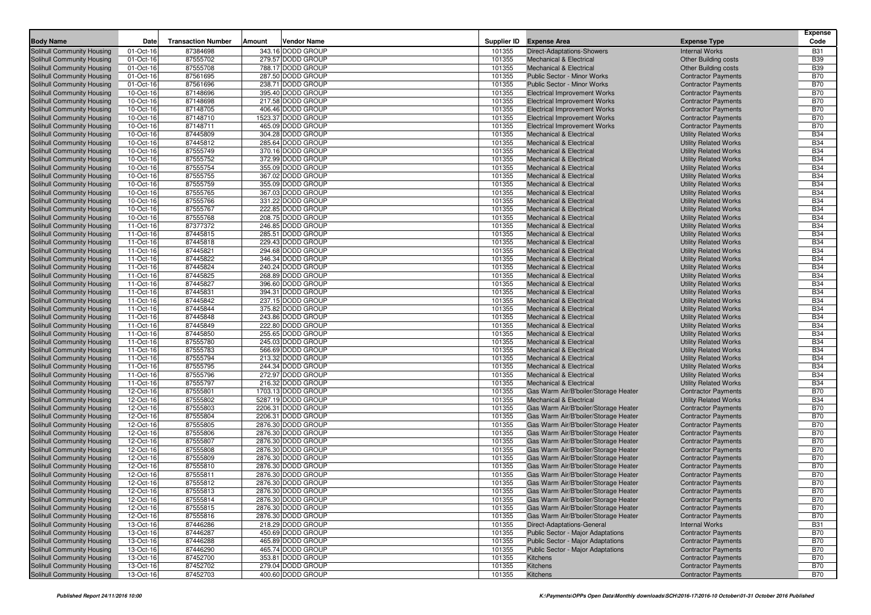| <b>Body Name</b>                                         | Date                   | <b>Transaction Number</b> | Amount | Vendor Name                            |                  | Supplier ID Expense Area                                                | <b>Expense Type</b>                                          | <b>Expense</b><br>Code   |
|----------------------------------------------------------|------------------------|---------------------------|--------|----------------------------------------|------------------|-------------------------------------------------------------------------|--------------------------------------------------------------|--------------------------|
|                                                          |                        |                           |        |                                        |                  |                                                                         |                                                              |                          |
| <b>Solihull Community Housing</b>                        | 01-Oct-16              | 87384698<br>87555702      |        | 343.16 DODD GROUP<br>279.57 DODD GROUP | 101355<br>101355 | <b>Direct-Adaptations-Showers</b><br><b>Mechanical &amp; Electrical</b> | <b>Internal Works</b>                                        | <b>B31</b><br><b>B39</b> |
| Solihull Community Housing<br>Solihull Community Housing | 01-Oct-16<br>01-Oct-16 | 87555708                  |        | 788.17 DODD GROUP                      | 101355           | <b>Mechanical &amp; Electrical</b>                                      | <b>Other Building costs</b><br><b>Other Building costs</b>   | <b>B39</b>               |
| Solihull Community Housing                               | 01-Oct-16              | 87561695                  |        | 287.50 DODD GROUP                      | 101355           | <b>Public Sector - Minor Works</b>                                      | <b>Contractor Payments</b>                                   | <b>B70</b>               |
| Solihull Community Housing                               | 01-Oct-16              | 87561696                  |        | 238.71 DODD GROUP                      | 101355           | <b>Public Sector - Minor Works</b>                                      | <b>Contractor Payments</b>                                   | <b>B70</b>               |
| Solihull Community Housing                               | 10-Oct-16              | 87148696                  |        | 395.40 DODD GROUP                      | 101355           | <b>Electrical Improvement Works</b>                                     | <b>Contractor Payments</b>                                   | <b>B70</b>               |
| Solihull Community Housing                               | 10-Oct-16              | 87148698                  |        | 217.58 DODD GROUP                      | 101355           | <b>Electrical Improvement Works</b>                                     | <b>Contractor Payments</b>                                   | <b>B70</b>               |
| Solihull Community Housing                               | 10-Oct-16              | 87148705                  |        | 406.46 DODD GROUP                      | 101355           | <b>Electrical Improvement Works</b>                                     | <b>Contractor Payments</b>                                   | <b>B70</b>               |
| Solihull Community Housing                               | 10-Oct-16              | 87148710                  |        | 1523.37 DODD GROUP                     | 101355           | <b>Electrical Improvement Works</b>                                     | <b>Contractor Payments</b>                                   | <b>B70</b>               |
| Solihull Community Housing                               | 10-Oct-16              | 87148711                  |        | 465.09 DODD GROUP                      | 101355           | <b>Electrical Improvement Works</b>                                     | <b>Contractor Payments</b>                                   | <b>B70</b>               |
| Solihull Community Housing                               | 10-Oct-16              | 87445809                  |        | 304.28 DODD GROUP                      | 101355           | <b>Mechanical &amp; Electrical</b>                                      | <b>Utility Related Works</b>                                 | <b>B34</b>               |
| Solihull Community Housing                               | 10-Oct-16              | 87445812                  |        | 285.64 DODD GROUP                      | 101355           | <b>Mechanical &amp; Electrical</b>                                      | <b>Utility Related Works</b>                                 | <b>B34</b>               |
| Solihull Community Housing                               | 10-Oct-16              | 87555749                  |        | 370.16 DODD GROUP                      | 101355           | <b>Mechanical &amp; Electrical</b>                                      | <b>Utility Related Works</b>                                 | <b>B34</b>               |
| Solihull Community Housing                               | 10-Oct-16              | 87555752                  |        | 372.99 DODD GROUP                      | 101355           | <b>Mechanical &amp; Electrical</b>                                      | <b>Utility Related Works</b>                                 | <b>B34</b>               |
| Solihull Community Housing                               | 10-Oct-16              | 87555754                  |        | 355.09 DODD GROUP                      | 101355           | <b>Mechanical &amp; Electrical</b>                                      | <b>Utility Related Works</b>                                 | <b>B34</b>               |
| Solihull Community Housing                               | 10-Oct-16              | 87555755                  |        | 367.02 DODD GROUP                      | 101355           | <b>Mechanical &amp; Electrical</b>                                      | <b>Utility Related Works</b>                                 | <b>B34</b>               |
| Solihull Community Housing                               | 10-Oct-16              | 87555759                  |        | 355.09 DODD GROUP                      | 101355           | <b>Mechanical &amp; Electrical</b>                                      | <b>Utility Related Works</b>                                 | <b>B34</b>               |
| Solihull Community Housing                               | 10-Oct-16              | 87555765                  |        | 367.03 DODD GROUP                      | 101355           | <b>Mechanical &amp; Electrical</b>                                      | <b>Utility Related Works</b>                                 | <b>B34</b>               |
| Solihull Community Housing                               | 10-Oct-16              | 87555766                  |        | 331.22 DODD GROUP                      | 101355           | <b>Mechanical &amp; Electrical</b>                                      | <b>Utility Related Works</b>                                 | <b>B34</b>               |
| Solihull Community Housing                               | 10-Oct-16              | 87555767                  |        | 222.85 DODD GROUP                      | 101355           | <b>Mechanical &amp; Electrical</b>                                      | <b>Utility Related Works</b>                                 | <b>B34</b>               |
| Solihull Community Housing                               | 10-Oct-16              | 87555768                  |        | 208.75 DODD GROUP                      | 101355           | <b>Mechanical &amp; Electrical</b>                                      | <b>Utility Related Works</b>                                 | <b>B34</b>               |
| Solihull Community Housing                               | 11-Oct-16              | 87377372                  |        | 246.85 DODD GROUP                      | 101355           | <b>Mechanical &amp; Electrical</b>                                      | <b>Utility Related Works</b>                                 | <b>B34</b>               |
| Solihull Community Housing                               | 11-Oct-16              | 87445815                  |        | 285.51 DODD GROUP                      | 101355           | <b>Mechanical &amp; Electrical</b>                                      | <b>Utility Related Works</b>                                 | <b>B34</b>               |
| Solihull Community Housing                               | 11-Oct-16              | 87445818                  |        | 229.43 DODD GROUP                      | 101355           | <b>Mechanical &amp; Electrical</b>                                      | <b>Utility Related Works</b>                                 | <b>B34</b>               |
| Solihull Community Housing                               | 11-Oct-16              | 87445821                  |        | 294.68 DODD GROUP                      | 101355           | <b>Mechanical &amp; Electrical</b>                                      | <b>Utility Related Works</b>                                 | <b>B34</b>               |
| Solihull Community Housing                               | 11-Oct-16              | 87445822                  |        | 346.34 DODD GROUP                      | 101355           | <b>Mechanical &amp; Electrical</b>                                      | <b>Utility Related Works</b>                                 | <b>B34</b>               |
| Solihull Community Housing                               | 11-Oct-16              | 87445824                  |        | 240.24 DODD GROUP                      | 101355           | <b>Mechanical &amp; Electrical</b>                                      | <b>Utility Related Works</b>                                 | <b>B34</b>               |
| Solihull Community Housing                               | 11-Oct-16              | 87445825                  |        | 268.89 DODD GROUP                      | 101355           | <b>Mechanical &amp; Electrical</b>                                      | <b>Utility Related Works</b>                                 | <b>B34</b>               |
| Solihull Community Housing                               | 11-Oct-16              | 87445827                  |        | 396.60 DODD GROUP                      | 101355           | <b>Mechanical &amp; Electrical</b>                                      | <b>Utility Related Works</b>                                 | <b>B34</b>               |
| Solihull Community Housing                               | 11-Oct-16              | 87445831                  |        | 394.31 DODD GROUP                      | 101355           | <b>Mechanical &amp; Electrical</b>                                      | <b>Utility Related Works</b>                                 | <b>B34</b>               |
| Solihull Community Housing                               | 11-Oct-16              | 87445842                  |        | 237.15 DODD GROUP                      | 101355           | <b>Mechanical &amp; Electrical</b>                                      | <b>Utility Related Works</b>                                 | <b>B34</b>               |
| Solihull Community Housing                               | 11-Oct-16              | 87445844                  |        | 375.82 DODD GROUP                      | 101355           | <b>Mechanical &amp; Electrical</b>                                      | <b>Utility Related Works</b>                                 | <b>B34</b>               |
| Solihull Community Housing                               | 11-Oct-16              | 87445848                  |        | 243.86 DODD GROUP                      | 101355           | <b>Mechanical &amp; Electrical</b>                                      | <b>Utility Related Works</b>                                 | <b>B34</b>               |
| Solihull Community Housing                               | 11-Oct-16              | 87445849                  |        | 222.80 DODD GROUP                      | 101355           | <b>Mechanical &amp; Electrical</b>                                      | <b>Utility Related Works</b>                                 | <b>B34</b>               |
| Solihull Community Housing                               | 11-Oct-16              | 87445850                  |        | 255.65 DODD GROUP                      | 101355           | <b>Mechanical &amp; Electrical</b>                                      | <b>Utility Related Works</b>                                 | <b>B34</b>               |
| Solihull Community Housing                               | 11-Oct-16              | 87555780                  |        | 245.03 DODD GROUP                      | 101355           | <b>Mechanical &amp; Electrical</b>                                      | <b>Utility Related Works</b>                                 | <b>B34</b>               |
| Solihull Community Housing                               | 11-Oct-16              | 87555783                  |        | 566.69 DODD GROUP                      | 101355           | Mechanical & Electrical                                                 | <b>Utility Related Works</b>                                 | <b>B34</b>               |
| Solihull Community Housing                               | 11-Oct-16              | 87555794                  |        | 213.32 DODD GROUP                      | 101355           | <b>Mechanical &amp; Electrical</b>                                      | <b>Utility Related Works</b>                                 | <b>B34</b>               |
| Solihull Community Housing                               | 11-Oct-16              | 87555795                  |        | 244.34 DODD GROUP<br>272.97 DODD GROUP | 101355           | <b>Mechanical &amp; Electrical</b>                                      | <b>Utility Related Works</b>                                 | <b>B34</b><br><b>B34</b> |
| Solihull Community Housing<br>Solihull Community Housing | 11-Oct-16<br>11-Oct-16 | 87555796<br>87555797      |        | 216.32 DODD GROUP                      | 101355<br>101355 | <b>Mechanical &amp; Electrical</b><br>Mechanical & Electrical           | <b>Utility Related Works</b><br><b>Utility Related Works</b> | <b>B34</b>               |
| Solihull Community Housing                               | 12-Oct-16              | 87555801                  |        | 1703.13 DODD GROUP                     | 101355           | Gas Warm Air/B'boiler/Storage Heater                                    | <b>Contractor Payments</b>                                   | <b>B70</b>               |
| Solihull Community Housing                               | 12-Oct-16              | 87555802                  |        | 5287.19 DODD GROUP                     | 101355           | <b>Mechanical &amp; Electrical</b>                                      | <b>Utility Related Works</b>                                 | <b>B34</b>               |
| Solihull Community Housing                               | 12-Oct-16              | 87555803                  |        | 2206.31 DODD GROUP                     | 101355           | Gas Warm Air/B'boiler/Storage Heater                                    | <b>Contractor Payments</b>                                   | <b>B70</b>               |
| Solihull Community Housing                               | 12-Oct-16              | 87555804                  |        | 2206.31 DODD GROUP                     | 101355           | Gas Warm Air/B'boiler/Storage Heater                                    | <b>Contractor Payments</b>                                   | <b>B70</b>               |
| Solihull Community Housing                               | 12-Oct-16              | 87555805                  |        | 2876.30 DODD GROUP                     | 101355           | Gas Warm Air/B'boiler/Storage Heater                                    | <b>Contractor Payments</b>                                   | <b>B70</b>               |
| Solihull Community Housing                               | 12-Oct-16              | 87555806                  |        | 2876.30 DODD GROUP                     | 101355           | Gas Warm Air/B'boiler/Storage Heater                                    | <b>Contractor Payments</b>                                   | <b>B70</b>               |
| Solihull Community Housing                               | 12-Oct-16              | 87555807                  |        | 2876.30 DODD GROUP                     | 101355           | Gas Warm Air/B'boiler/Storage Heater                                    | <b>Contractor Payments</b>                                   | <b>B70</b>               |
| Solihull Community Housing                               | 12-Oct-16              | 87555808                  |        | 2876.30 DODD GROUP                     | 101355           | Gas Warm Air/B'boiler/Storage Heater                                    | <b>Contractor Payments</b>                                   | <b>B70</b>               |
| Solihull Community Housing                               | 12-Oct-16              | 87555809                  |        | 2876.30 DODD GROUP                     | 101355           | Gas Warm Air/B'boiler/Storage Heater                                    | <b>Contractor Payments</b>                                   | <b>B70</b>               |
| Solihull Community Housing                               | 12-Oct-16              | 87555810                  |        | 2876.30 DODD GROUP                     | 101355           | Gas Warm Air/B'boiler/Storage Heater                                    | <b>Contractor Payments</b>                                   | <b>B70</b>               |
| Solihull Community Housing                               | 12-Oct-16              | 87555811                  |        | 2876.30 DODD GROUP                     | 101355           | Gas Warm Air/B'boiler/Storage Heater                                    | <b>Contractor Payments</b>                                   | <b>B70</b>               |
| Solihull Community Housing                               | 12-Oct-16              | 87555812                  |        | 2876.30 DODD GROUP                     | 101355           | Gas Warm Air/B'boiler/Storage Heater                                    | <b>Contractor Payments</b>                                   | <b>B70</b>               |
| Solihull Community Housing                               | 12-Oct-16              | 87555813                  |        | 2876.30 DODD GROUP                     | 101355           | Gas Warm Air/B'boiler/Storage Heater                                    | <b>Contractor Payments</b>                                   | <b>B70</b>               |
| Solihull Community Housing                               | 12-Oct-16              | 87555814                  |        | 2876.30 DODD GROUP                     | 101355           | Gas Warm Air/B'boiler/Storage Heater                                    | <b>Contractor Payments</b>                                   | <b>B70</b>               |
| Solihull Community Housing                               | 12-Oct-16              | 87555815                  |        | 2876.30 DODD GROUP                     | 101355           | Gas Warm Air/B'boiler/Storage Heater                                    | <b>Contractor Payments</b>                                   | <b>B70</b>               |
| Solihull Community Housing                               | 12-Oct-16              | 87555816                  |        | 2876.30 DODD GROUP                     | 101355           | Gas Warm Air/B'boiler/Storage Heater                                    | <b>Contractor Payments</b>                                   | <b>B70</b>               |
| Solihull Community Housing                               | 13-Oct-16              | 87446286                  |        | 218.29 DODD GROUP                      | 101355           | Direct-Adaptations-General                                              | <b>Internal Works</b>                                        | <b>B31</b>               |
| Solihull Community Housing                               | 13-Oct-16              | 87446287                  |        | 450.69 DODD GROUP                      | 101355           | Public Sector - Major Adaptations                                       | <b>Contractor Payments</b>                                   | <b>B70</b>               |
| Solihull Community Housing                               | 13-Oct-16              | 87446288                  |        | 465.89 DODD GROUP                      | 101355           | <b>Public Sector - Major Adaptations</b>                                | <b>Contractor Payments</b>                                   | <b>B70</b>               |
| Solihull Community Housing                               | 13-Oct-16              | 87446290                  |        | 465.74 DODD GROUP                      | 101355           | Public Sector - Major Adaptations                                       | <b>Contractor Payments</b>                                   | <b>B70</b>               |
| Solihull Community Housing                               | 13-Oct-16              | 87452700                  |        | 353.81 DODD GROUP                      | 101355           | Kitchens                                                                | <b>Contractor Payments</b>                                   | <b>B70</b>               |
| Solihull Community Housing                               | 13-Oct-16              | 87452702                  |        | 279.04 DODD GROUP                      | 101355           | Kitchens                                                                | <b>Contractor Payments</b>                                   | <b>B70</b>               |
| Solihull Community Housing                               | 13-Oct-16              | 87452703                  |        | 400.60 DODD GROUP                      | 101355           | Kitchens                                                                | <b>Contractor Payments</b>                                   | B70                      |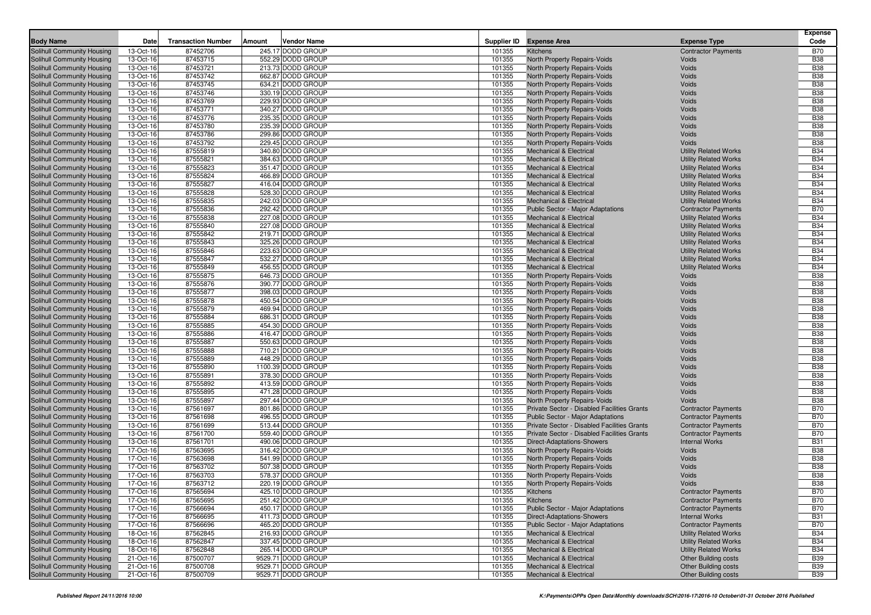|                                                          |                        |                           |        |                                        |                  |                                                                          |                                                              | <b>Expense</b>           |
|----------------------------------------------------------|------------------------|---------------------------|--------|----------------------------------------|------------------|--------------------------------------------------------------------------|--------------------------------------------------------------|--------------------------|
| <b>Body Name</b>                                         | Date                   | <b>Transaction Number</b> | Amount | Vendor Name                            |                  | Supplier ID Expense Area                                                 | <b>Expense Type</b>                                          | Code                     |
| <b>Solihull Community Housing</b>                        | 13-Oct-16              | 87452706                  |        | 245.17 DODD GROUP                      | 101355           | Kitchens                                                                 | <b>Contractor Payments</b>                                   | <b>B70</b>               |
| Solihull Community Housing                               | 13-Oct-16              | 87453715                  |        | 552.29 DODD GROUP                      | 101355           | North Property Repairs-Voids                                             | Voids                                                        | <b>B38</b>               |
| Solihull Community Housing                               | 13-Oct-16              | 87453721                  |        | 213.73 DODD GROUP                      | 101355           | North Property Repairs-Voids                                             | Voids                                                        | <b>B38</b>               |
| Solihull Community Housing                               | 13-Oct-16              | 87453742                  |        | 662.87 DODD GROUP                      | 101355           | North Property Repairs-Voids                                             | Voids                                                        | <b>B38</b>               |
| Solihull Community Housing                               | 13-Oct-16              | 87453745                  |        | 634.21 DODD GROUP                      | 101355           | North Property Repairs-Voids                                             | Voids                                                        | <b>B38</b>               |
| Solihull Community Housing                               | 13-Oct-16              | 87453746                  |        | 330.19 DODD GROUP                      | 101355           | North Property Repairs-Voids                                             | Voids                                                        | <b>B38</b>               |
| Solihull Community Housing                               | 13-Oct-16              | 87453769                  |        | 229.93 DODD GROUP                      | 101355           | North Property Repairs-Voids                                             | Voids                                                        | <b>B38</b>               |
| Solihull Community Housing                               | 13-Oct-16              | 87453771                  |        | 340.27 DODD GROUP                      | 101355           | North Property Repairs-Voids                                             | Voids                                                        | <b>B38</b>               |
| Solihull Community Housing                               | 13-Oct-16              | 87453776                  |        | 235.35 DODD GROUP                      | 101355           | North Property Repairs-Voids                                             | Voids                                                        | <b>B38</b>               |
| Solihull Community Housing                               | 13-Oct-16              | 87453780                  |        | 235.39 DODD GROUP                      | 101355           | North Property Repairs-Voids                                             | Voids                                                        | <b>B38</b>               |
| Solihull Community Housing                               | 13-Oct-16              | 87453786                  |        | 299.86 DODD GROUP                      | 101355           | North Property Repairs-Voids                                             | Voids                                                        | <b>B38</b>               |
| Solihull Community Housing                               | 13-Oct-16              | 87453792                  |        | 229.45 DODD GROUP                      | 101355           | North Property Repairs-Voids                                             | Voids                                                        | <b>B38</b>               |
| Solihull Community Housing                               | 13-Oct-16              | 87555819                  |        | 340.80 DODD GROUP                      | 101355           | <b>Mechanical &amp; Electrical</b>                                       | <b>Utility Related Works</b>                                 | <b>B34</b>               |
| Solihull Community Housing                               | 13-Oct-16              | 87555821                  |        | 384.63 DODD GROUP                      | 101355           | Mechanical & Electrical                                                  | <b>Utility Related Works</b>                                 | <b>B34</b>               |
| Solihull Community Housing                               | 13-Oct-16              | 87555823                  |        | 351.47 DODD GROUP                      | 101355           | <b>Mechanical &amp; Electrical</b>                                       | <b>Utility Related Works</b>                                 | <b>B34</b>               |
| Solihull Community Housing                               | 13-Oct-16              | 87555824                  |        | 466.89 DODD GROUP                      | 101355           | <b>Mechanical &amp; Electrical</b>                                       | <b>Utility Related Works</b>                                 | <b>B34</b>               |
| Solihull Community Housing                               | 13-Oct-16              | 87555827                  |        | 416.04 DODD GROUP<br>528.30 DODD GROUP | 101355           | <b>Mechanical &amp; Electrical</b>                                       | <b>Utility Related Works</b>                                 | <b>B34</b>               |
| Solihull Community Housing                               | 13-Oct-16              | 87555828                  |        |                                        | 101355           | <b>Mechanical &amp; Electrical</b>                                       | <b>Utility Related Works</b>                                 | <b>B34</b>               |
| Solihull Community Housing                               | 13-Oct-16              | 87555835                  |        | 242.03 DODD GROUP                      | 101355           | <b>Mechanical &amp; Electrical</b>                                       | <b>Utility Related Works</b>                                 | <b>B34</b>               |
| Solihull Community Housing                               | 13-Oct-16<br>13-Oct-16 | 87555836<br>87555838      |        | 292.42 DODD GROUP<br>227.08 DODD GROUP | 101355<br>101355 | Public Sector - Major Adaptations<br><b>Mechanical &amp; Electrical</b>  | <b>Contractor Payments</b>                                   | <b>B70</b><br><b>B34</b> |
| Solihull Community Housing                               |                        |                           |        | 227.08 DODD GROUP                      | 101355           |                                                                          | <b>Utility Related Works</b>                                 | <b>B34</b>               |
| Solihull Community Housing                               | 13-Oct-16              | 87555840<br>87555842      |        | 219.71 DODD GROUP                      |                  | <b>Mechanical &amp; Electrical</b>                                       | <b>Utility Related Works</b>                                 | <b>B34</b>               |
| Solihull Community Housing                               | 13-Oct-16<br>13-Oct-16 | 87555843                  |        | 325.26 DODD GROUP                      | 101355<br>101355 | <b>Mechanical &amp; Electrical</b><br><b>Mechanical &amp; Electrical</b> | <b>Utility Related Works</b>                                 | <b>B34</b>               |
| Solihull Community Housing<br>Solihull Community Housing | 13-Oct-16              | 87555846                  |        | 223.63 DODD GROUP                      | 101355           | <b>Mechanical &amp; Electrical</b>                                       | <b>Utility Related Works</b><br><b>Utility Related Works</b> | <b>B34</b>               |
| Solihull Community Housing                               | 13-Oct-16              | 87555847                  |        | 532.27 DODD GROUP                      | 101355           | <b>Mechanical &amp; Electrical</b>                                       | <b>Utility Related Works</b>                                 | <b>B34</b>               |
| Solihull Community Housing                               | 13-Oct-16              | 87555849                  |        | 456.55 DODD GROUP                      | 101355           | <b>Mechanical &amp; Electrical</b>                                       | <b>Utility Related Works</b>                                 | <b>B34</b>               |
| Solihull Community Housing                               | 13-Oct-16              | 87555875                  |        | 646.73 DODD GROUP                      | 101355           | <b>North Property Repairs-Voids</b>                                      | Voids                                                        | <b>B38</b>               |
| Solihull Community Housing                               | 13-Oct-16              | 87555876                  |        | 390.77 DODD GROUP                      | 101355           | North Property Repairs-Voids                                             | Voids                                                        | <b>B38</b>               |
| Solihull Community Housing                               | 13-Oct-16              | 87555877                  |        | 398.03 DODD GROUP                      | 101355           | North Property Repairs-Voids                                             | Voids                                                        | <b>B38</b>               |
| Solihull Community Housing                               | 13-Oct-16              | 87555878                  |        | 450.54 DODD GROUP                      | 101355           | North Property Repairs-Voids                                             | Voids                                                        | <b>B38</b>               |
| Solihull Community Housing                               | 13-Oct-16              | 87555879                  |        | 469.94 DODD GROUP                      | 101355           | North Property Repairs-Voids                                             | Voids                                                        | <b>B38</b>               |
| Solihull Community Housing                               | 13-Oct-16              | 87555884                  |        | 686.31 DODD GROUP                      | 101355           | North Property Repairs-Voids                                             | Voids                                                        | <b>B38</b>               |
| Solihull Community Housing                               | 13-Oct-16              | 87555885                  |        | 454.30 DODD GROUP                      | 101355           | North Property Repairs-Voids                                             | Voids                                                        | <b>B38</b>               |
| Solihull Community Housing                               | 13-Oct-16              | 87555886                  |        | 416.47 DODD GROUP                      | 101355           | North Property Repairs-Voids                                             | Voids                                                        | <b>B38</b>               |
| Solihull Community Housing                               | 13-Oct-16              | 87555887                  |        | 550.63 DODD GROUP                      | 101355           | North Property Repairs-Voids                                             | Voids                                                        | <b>B38</b>               |
| Solihull Community Housing                               | 13-Oct-16              | 87555888                  |        | 710.21 DODD GROUP                      | 101355           | North Property Repairs-Voids                                             | Voids                                                        | <b>B38</b>               |
| Solihull Community Housing                               | 13-Oct-16              | 87555889                  |        | 448.29 DODD GROUP                      | 101355           | North Property Repairs-Voids                                             | Voids                                                        | <b>B38</b>               |
| Solihull Community Housing                               | 13-Oct-16              | 87555890                  |        | 1100.39 DODD GROUP                     | 101355           | North Property Repairs-Voids                                             | Voids                                                        | <b>B38</b>               |
| Solihull Community Housing                               | 13-Oct-16              | 87555891                  |        | 378.30 DODD GROUP                      | 101355           | North Property Repairs-Voids                                             | Voids                                                        | <b>B38</b>               |
| Solihull Community Housing                               | 13-Oct-16              | 87555892                  |        | 413.59 DODD GROUP                      | 101355           | North Property Repairs-Voids                                             | Voids                                                        | <b>B38</b>               |
| Solihull Community Housing                               | 13-Oct-16              | 87555895                  |        | 471.28 DODD GROUP                      | 101355           | North Property Repairs-Voids                                             | Voids                                                        | <b>B38</b>               |
| Solihull Community Housing                               | 13-Oct-16              | 87555897                  |        | 297.44 DODD GROUP                      | 101355           | North Property Repairs-Voids                                             | Voids                                                        | <b>B38</b>               |
| Solihull Community Housing                               | 13-Oct-16              | 87561697                  |        | 801.86 DODD GROUP                      | 101355           | Private Sector - Disabled Facilities Grants                              | <b>Contractor Payments</b>                                   | <b>B70</b>               |
| Solihull Community Housing                               | 13-Oct-16              | 87561698                  |        | 496.55 DODD GROUP                      | 101355           | Public Sector - Major Adaptations                                        | <b>Contractor Payments</b>                                   | <b>B70</b>               |
| Solihull Community Housing                               | 13-Oct-16              | 87561699                  |        | 513.44 DODD GROUP                      | 101355           | Private Sector - Disabled Facilities Grants                              | <b>Contractor Payments</b>                                   | <b>B70</b>               |
| Solihull Community Housing                               | 13-Oct-16              | 87561700                  |        | 559.40 DODD GROUP                      | 101355           | Private Sector - Disabled Facilities Grants                              | <b>Contractor Payments</b>                                   | <b>B70</b>               |
| Solihull Community Housing                               | 13-Oct-16              | 87561701                  |        | 490.06 DODD GROUP                      | 101355           | <b>Direct-Adaptations-Showers</b>                                        | <b>Internal Works</b>                                        | <b>B31</b>               |
| Solihull Community Housing                               | 17-Oct-16              | 87563695                  |        | 316.42 DODD GROUP                      | 101355           | North Property Repairs-Voids                                             | Voids                                                        | <b>B38</b>               |
| Solihull Community Housing                               | 17-Oct-16              | 87563698                  |        | 541.99 DODD GROUP                      | 101355           | North Property Repairs-Voids                                             | Voids                                                        | <b>B38</b>               |
| Solihull Community Housing                               | 17-Oct-16              | 87563702                  |        | 507.38 DODD GROUP                      | 101355<br>101355 | North Property Repairs-Voids                                             | Voids                                                        | <b>B38</b><br><b>B38</b> |
| Solihull Community Housing                               | 17-Oct-16              | 87563703                  |        | 578.37 DODD GROUP                      |                  | North Property Repairs-Voids                                             | Voids                                                        |                          |
| Solihull Community Housing<br>Solihull Community Housing | 17-Oct-16<br>17-Oct-16 | 87563712<br>87565694      |        | 220.19 DODD GROUP<br>425.10 DODD GROUP | 101355<br>101355 | North Property Repairs-Voids<br>Kitchens                                 | Voids<br><b>Contractor Payments</b>                          | <b>B38</b><br><b>B70</b> |
| Solihull Community Housing                               | 17-Oct-16              | 87565695                  |        | 251.42 DODD GROUP                      | 101355           | Kitchens                                                                 | <b>Contractor Payments</b>                                   | <b>B70</b>               |
| Solihull Community Housing                               | 17-Oct-16              | 87566694                  |        | 450.17 DODD GROUP                      | 101355           | <b>Public Sector - Major Adaptations</b>                                 | <b>Contractor Payments</b>                                   | B70                      |
| Solihull Community Housing                               | 17-Oct-16              | 87566695                  |        | 411.73 DODD GROUP                      | 101355           | Direct-Adaptations-Showers                                               | <b>Internal Works</b>                                        | <b>B31</b>               |
| Solihull Community Housing                               | 17-Oct-16              | 87566696                  |        | 465.20 DODD GROUP                      | 101355           | Public Sector - Major Adaptations                                        | <b>Contractor Payments</b>                                   | <b>B70</b>               |
| Solihull Community Housing                               | 18-Oct-16              | 87562845                  |        | 216.93 DODD GROUP                      | 101355           | Mechanical & Electrical                                                  | <b>Utility Related Works</b>                                 | <b>B34</b>               |
| Solihull Community Housing                               | 18-Oct-16              | 87562847                  |        | 337.45 DODD GROUP                      | 101355           | <b>Mechanical &amp; Electrical</b>                                       | <b>Utility Related Works</b>                                 | <b>B34</b>               |
| Solihull Community Housing                               | 18-Oct-16              | 87562848                  |        | 265.14 DODD GROUP                      | 101355           | <b>Mechanical &amp; Electrical</b>                                       | <b>Utility Related Works</b>                                 | <b>B34</b>               |
| Solihull Community Housing                               | 21-Oct-16              | 87500707                  |        | 9529.71 DODD GROUP                     | 101355           | <b>Mechanical &amp; Electrical</b>                                       | <b>Other Building costs</b>                                  | <b>B39</b>               |
| Solihull Community Housing                               | 21-Oct-16              | 87500708                  |        | 9529.71 DODD GROUP                     | 101355           | Mechanical & Electrical                                                  | <b>Other Building costs</b>                                  | <b>B39</b>               |
| Solihull Community Housing                               | 21-Oct-16              | 87500709                  |        | 9529.71 DODD GROUP                     | 101355           | <b>Mechanical &amp; Electrical</b>                                       | <b>Other Building costs</b>                                  | <b>B39</b>               |
|                                                          |                        |                           |        |                                        |                  |                                                                          |                                                              |                          |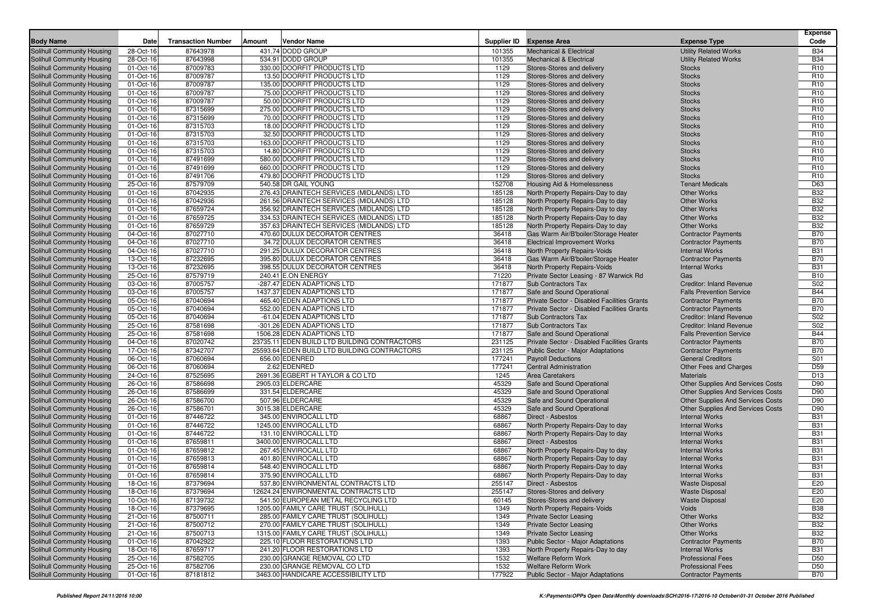| <b>Body Name</b>                                         | Date                   | <b>Transaction Number</b> | Amount | Vendor Name                                  | Supplier ID    | <b>Expense Area</b>                                              | <b>Expense Type</b>                           | <b>Expense</b><br>Code |
|----------------------------------------------------------|------------------------|---------------------------|--------|----------------------------------------------|----------------|------------------------------------------------------------------|-----------------------------------------------|------------------------|
|                                                          |                        | 87643978                  |        | 431.74 DODD GROUP                            |                |                                                                  | <b>Utility Related Works</b>                  | <b>B34</b>             |
| Solihull Community Housing<br>Solihull Community Housing | 28-Oct-16              |                           |        | 534.91 DODD GROUP                            | 101355         | <b>Mechanical &amp; Electrical</b>                               |                                               | <b>B34</b>             |
| Solihull Community Housing                               | 28-Oct-16<br>01-Oct-16 | 87643998<br>87009783      |        | 330.00 DOORFIT PRODUCTS LTD                  | 101355<br>1129 | <b>Mechanical &amp; Electrical</b><br>Stores-Stores and delivery | <b>Utility Related Works</b><br><b>Stocks</b> | R <sub>10</sub>        |
| Solihull Community Housing                               | 01-Oct-16              | 87009787                  |        | 13.50 DOORFIT PRODUCTS LTD                   | 1129           | Stores-Stores and delivery                                       | <b>Stocks</b>                                 | R <sub>10</sub>        |
|                                                          | 01-Oct-16              | 87009787                  |        | 135.00 DOORFIT PRODUCTS LTD                  | 1129           | Stores-Stores and delivery                                       | <b>Stocks</b>                                 | R <sub>10</sub>        |
| Solihull Community Housing<br>Solihull Community Housing | 01-Oct-16              | 87009787                  |        | 75.00 DOORFIT PRODUCTS LTD                   | 1129           | Stores-Stores and delivery                                       | <b>Stocks</b>                                 | R <sub>10</sub>        |
| Solihull Community Housing                               | 01-Oct-16              | 87009787                  |        | 50.00 DOORFIT PRODUCTS LTD                   | 1129           | Stores-Stores and delivery                                       | <b>Stocks</b>                                 | R <sub>10</sub>        |
| Solihull Community Housing                               | 01-Oct-16              | 87315699                  |        | 275.00 DOORFIT PRODUCTS LTD                  | 1129           | Stores-Stores and delivery                                       | <b>Stocks</b>                                 | R <sub>10</sub>        |
| Solihull Community Housing                               | 01-Oct-16              | 87315699                  |        | 70.00 DOORFIT PRODUCTS LTD                   | 1129           | Stores-Stores and delivery                                       | <b>Stocks</b>                                 | R <sub>10</sub>        |
| Solihull Community Housing                               | 01-Oct-16              | 87315703                  |        | 18.00 DOORFIT PRODUCTS LTD                   | 1129           | Stores-Stores and delivery                                       | <b>Stocks</b>                                 | R <sub>10</sub>        |
| Solihull Community Housing                               | 01-Oct-16              | 87315703                  |        | 32.50 DOORFIT PRODUCTS LTD                   | 1129           | Stores-Stores and delivery                                       | <b>Stocks</b>                                 | R <sub>10</sub>        |
| Solihull Community Housing                               | 01-Oct-16              | 87315703                  |        | 163.00 DOORFIT PRODUCTS LTD                  | 1129           | Stores-Stores and delivery                                       | <b>Stocks</b>                                 | R <sub>10</sub>        |
| Solihull Community Housing                               | 01-Oct-16              | 87315703                  |        | 14.80 DOORFIT PRODUCTS LTD                   | 1129           | Stores-Stores and delivery                                       | <b>Stocks</b>                                 | R <sub>10</sub>        |
| Solihull Community Housing                               | 01-Oct-16              | 87491699                  |        | 580.00 DOORFIT PRODUCTS LTD                  | 1129           | Stores-Stores and delivery                                       | <b>Stocks</b>                                 | R <sub>10</sub>        |
| Solihull Community Housing                               | 01-Oct-16              | 87491699                  |        | 660.00 DOORFIT PRODUCTS LTD                  | 1129           | Stores-Stores and delivery                                       | <b>Stocks</b>                                 | R <sub>10</sub>        |
| Solihull Community Housing                               | 01-Oct-16              | 87491706                  |        | 479.80 DOORFIT PRODUCTS LTD                  | 1129           | Stores-Stores and delivery                                       | <b>Stocks</b>                                 | R <sub>10</sub>        |
| Solihull Community Housing                               | 25-Oct-16              | 87579709                  |        | 540.58 DR GAIL YOUNG                         | 152708         | Housing Aid & Homelessness                                       | <b>Tenant Medicals</b>                        | D63                    |
| Solihull Community Housing                               | 01-Oct-16              | 87042935                  |        | 276.43 DRAINTECH SERVICES (MIDLANDS) LTD     | 185128         | North Property Repairs-Day to day                                | <b>Other Works</b>                            | <b>B32</b>             |
| Solihull Community Housing                               | 01-Oct-16              | 87042936                  |        | 261.56 DRAINTECH SERVICES (MIDLANDS) LTD     | 185128         | North Property Repairs-Day to day                                | <b>Other Works</b>                            | <b>B32</b>             |
| Solihull Community Housing                               | 01-Oct-16              | 87659724                  |        | 356.92 DRAINTECH SERVICES (MIDLANDS) LTD     | 185128         | North Property Repairs-Day to day                                | <b>Other Works</b>                            | <b>B32</b>             |
| <b>Solihull Community Housing</b>                        | 01-Oct-16              | 87659725                  |        | 334.53 DRAINTECH SERVICES (MIDLANDS) LTD     | 185128         | North Property Repairs-Day to day                                | <b>Other Works</b>                            | <b>B32</b>             |
| Solihull Community Housing                               | 01-Oct-16              | 87659729                  |        | 357.63 DRAINTECH SERVICES (MIDLANDS) LTD     | 185128         | North Property Repairs-Day to day                                | <b>Other Works</b>                            | <b>B32</b>             |
| Solihull Community Housing                               | 04-Oct-16              | 87027710                  |        | 470.60 DULUX DECORATOR CENTRES               | 36418          | Gas Warm Air/B'boiler/Storage Heater                             | <b>Contractor Payments</b>                    | <b>B70</b>             |
| Solihull Community Housing                               | 04-Oct-16              | 87027710                  |        | 34.72 DULUX DECORATOR CENTRES                | 36418          | <b>Electrical Improvement Works</b>                              | <b>Contractor Payments</b>                    | <b>B70</b>             |
| Solihull Community Housing                               | 04-Oct-16              | 87027710                  |        | 291.25 DULUX DECORATOR CENTRES               | 36418          | North Property Repairs-Voids                                     | <b>Internal Works</b>                         | <b>B31</b>             |
| Solihull Community Housing                               | 13-Oct-16              | 87232695                  |        | 395.80 DULUX DECORATOR CENTRES               | 36418          | Gas Warm Air/B'boiler/Storage Heater                             | <b>Contractor Payments</b>                    | <b>B70</b>             |
| Solihull Community Housing                               | 13-Oct-16              | 87232695                  |        | 398.55 DULUX DECORATOR CENTRES               | 36418          | North Property Repairs-Voids                                     | <b>Internal Works</b>                         | <b>B31</b>             |
| Solihull Community Housing                               | 25-Oct-16              | 87579719                  |        | 240.41 E.ON ENERGY                           | 71220          | Private Sector Leasing - 87 Warwick Rd                           | Gas                                           | <b>B10</b>             |
| Solihull Community Housing                               | 03-Oct-16              | 87005757                  |        | -287.47 EDEN ADAPTIONS LTD                   | 171877         | Sub Contractors Tax                                              | <b>Creditor: Inland Revenue</b>               | S02                    |
| Solihull Community Housing                               | 03-Oct-16              | 87005757                  |        | 1437.37 EDEN ADAPTIONS LTD                   | 171877         | Safe and Sound Operational                                       | <b>Falls Prevention Service</b>               | <b>B44</b>             |
| Solihull Community Housing                               | 05-Oct-16              | 87040694                  |        | 465.40 EDEN ADAPTIONS LTD                    | 171877         | Private Sector - Disabled Facilities Grants                      | <b>Contractor Payments</b>                    | <b>B70</b>             |
| Solihull Community Housing                               | 05-Oct-16              | 87040694                  |        | 552.00 EDEN ADAPTIONS LTD                    | 171877         | Private Sector - Disabled Facilities Grants                      | <b>Contractor Payments</b>                    | <b>B70</b>             |
| Solihull Community Housing                               | 05-Oct-16              | 87040694                  |        | -61.04 EDEN ADAPTIONS LTD                    | 171877         | Sub Contractors Tax                                              | Creditor: Inland Revenue                      | S02                    |
| Solihull Community Housing                               | 25-Oct-16              | 87581698                  |        | -301.26 EDEN ADAPTIONS LTD                   | 171877         | <b>Sub Contractors Tax</b>                                       | <b>Creditor: Inland Revenue</b>               | S02                    |
| Solihull Community Housing                               | 25-Oct-16              | 87581698                  |        | 1506.28 EDEN ADAPTIONS LTD                   | 171877         | Safe and Sound Operational                                       | <b>Falls Prevention Service</b>               | <b>B44</b>             |
| Solihull Community Housing                               | 04-Oct-16              | 87020742                  |        | 23735.11 EDEN BUILD LTD BUILDING CONTRACTORS | 231125         | Private Sector - Disabled Facilities Grants                      | <b>Contractor Payments</b>                    | <b>B70</b>             |
| Solihull Community Housing                               | 17-Oct-16              | 87342707                  |        | 25593.64 EDEN BUILD LTD BUILDING CONTRACTORS | 231125         | Public Sector - Major Adaptations                                | <b>Contractor Payments</b>                    | <b>B70</b>             |
| Solihull Community Housing                               | 06-Oct-16              | 87060694                  |        | 656.00 EDENRED                               | 177241         | <b>Payroll Deductions</b>                                        | <b>General Creditors</b>                      | S01                    |
| Solihull Community Housing                               | 06-Oct-16              | 87060694                  |        | 2.62 EDENRED                                 | 177241         | <b>Central Administration</b>                                    | Other Fees and Charges                        | D <sub>59</sub>        |
| Solihull Community Housing                               | 24-Oct-16              | 87525695                  |        | 2691.36 EGBERT H TAYLOR & CO LTD             | 1245           | <b>Area Caretakers</b>                                           | <b>Materials</b>                              | D <sub>13</sub>        |
| Solihull Community Housing                               | 26-Oct-16              | 87586698                  |        | 2905.03 ELDERCARE                            | 45329          | Safe and Sound Operational                                       | Other Supplies And Services Costs             | D90                    |
| Solihull Community Housing                               | 26-Oct-16              | 87586699                  |        | 331.54 ELDERCARE                             | 45329          | Safe and Sound Operational                                       | <b>Other Supplies And Services Costs</b>      | D90                    |
| Solihull Community Housing                               | 26-Oct-16              | 87586700                  |        | 507.96 ELDERCARE                             | 45329          | Safe and Sound Operational                                       | <b>Other Supplies And Services Costs</b>      | D90                    |
| Solihull Community Housing                               | 26-Oct-16              | 87586701                  |        | 3015.38 ELDERCARE                            | 45329          | Safe and Sound Operational                                       | Other Supplies And Services Costs             | D90                    |
| Solihull Community Housing                               | 01-Oct-16              | 87446722                  |        | 345.00 ENVIROCALL LTD                        | 68867          | Direct - Asbestos                                                | <b>Internal Works</b>                         | <b>B31</b>             |
| Solihull Community Housing                               | 01-Oct-16              | 87446722                  |        | 1245.00 ENVIROCALL LTD                       | 68867          | North Property Repairs-Day to day                                | <b>Internal Works</b>                         | <b>B31</b>             |
| Solihull Community Housing                               | 01-Oct-16              | 87446722                  |        | 131.10 ENVIROCALL LTD                        | 68867          | North Property Repairs-Day to day                                | <b>Internal Works</b>                         | <b>B31</b>             |
| Solihull Community Housing                               | 01-Oct-16              | 87659811                  |        | 3400.00 ENVIROCALL LTD                       | 68867          | Direct - Asbestos                                                | <b>Internal Works</b>                         | <b>B31</b>             |
| Solihull Community Housing                               | 01-Oct-16              | 87659812                  |        | 267.45 ENVIROCALL LTD                        | 68867          | North Property Repairs-Day to day                                | <b>Internal Works</b>                         | <b>B31</b>             |
| Solihull Community Housing                               | 01-Oct-16              | 87659813                  |        | 401.80 ENVIROCALL LTD                        | 68867          | North Property Repairs-Day to day                                | <b>Internal Works</b>                         | <b>B31</b>             |
| Solihull Community Housing                               | 01-Oct-16              | 87659814                  |        | 548.40 ENVIROCALL LTD                        | 68867          | North Property Repairs-Day to day                                | <b>Internal Works</b>                         | <b>B31</b>             |
| Solihull Community Housing                               | 01-Oct-16              | 87659814                  |        | 375.90 ENVIROCALL LTD                        | 68867          | North Property Repairs-Day to day                                | <b>Internal Works</b>                         | <b>B31</b>             |
| Solihull Community Housing                               | 18-Oct-16              | 87379694                  |        | 537.80 ENVIRONMENTAL CONTRACTS LTD           | 255147         | Direct - Asbestos                                                | <b>Waste Disposal</b>                         | E20                    |
| Solihull Community Housing                               | 18-Oct-16              | 87379694                  |        | 12624.24 ENVIRONMENTAL CONTRACTS LTD         | 255147         | Stores-Stores and delivery                                       | <b>Waste Disposa</b>                          | E20                    |
| Solihull Community Housing                               | 10-Oct-16              | 87139732                  |        | 541.50 EUROPEAN METAL RECYCLING LTD          | 60145          | Stores-Stores and delivery                                       | <b>Waste Disposal</b>                         | E20                    |
| Solihull Community Housing                               | 18-Oct-16              | 87379695                  |        | 1205.00 FAMILY CARE TRUST (SOLIHULL)         | 1349           | North Property Repairs-Voids                                     | Voids                                         | <b>B38</b>             |
| Solihull Community Housing                               | 21-Oct-16              | 87500711                  |        | 285.00 FAMILY CARE TRUST (SOLIHULL)          | 1349           | <b>Private Sector Leasing</b>                                    | Other Works                                   | <b>B32</b>             |
| Solihull Community Housing                               | 21-Oct-16              | 87500712                  |        | 270.00 FAMILY CARE TRUST (SOLIHULL)          | 1349           | <b>Private Sector Leasing</b>                                    | Other Works                                   | <b>B32</b>             |
| Solihull Community Housing                               | 21-Oct-16              | 87500713                  |        | 1315.00 FAMILY CARE TRUST (SOLIHULL)         | 1349           | <b>Private Sector Leasing</b>                                    | Other Works                                   | <b>B32</b>             |
| Solihull Community Housing                               | 01-Oct-16              | 87042922                  |        | 225.10 FLOOR RESTORATIONS LTD                | 1393           | <b>Public Sector - Major Adaptations</b>                         | <b>Contractor Payments</b>                    | B70                    |
| Solihull Community Housing                               | 18-Oct-16              | 87659717                  |        | 241.20 FLOOR RESTORATIONS LTD                | 1393           | North Property Repairs-Day to day                                | <b>Internal Works</b>                         | <b>B31</b>             |
| Solihull Community Housing                               | 25-Oct-16              | 87582705                  |        | 230.00 GRANGE REMOVAL CO LTD                 | 1532           | <b>Welfare Reform Work</b>                                       | <b>Professional Fees</b>                      | D50                    |
| Solihull Community Housing                               | 25-Oct-16              | 87582706                  |        | 230.00 GRANGE REMOVAL CO LTD                 | 1532           | <b>Welfare Reform Work</b>                                       | <b>Professional Fees</b>                      | D50                    |
| Solihull Community Housing                               | 01-Oct-16              | 87181812                  |        | 3463.00 HANDICARE ACCESSIBILITY LTD          | 177922         | Public Sector - Major Adaptations                                | <b>Contractor Payments</b>                    | <b>B70</b>             |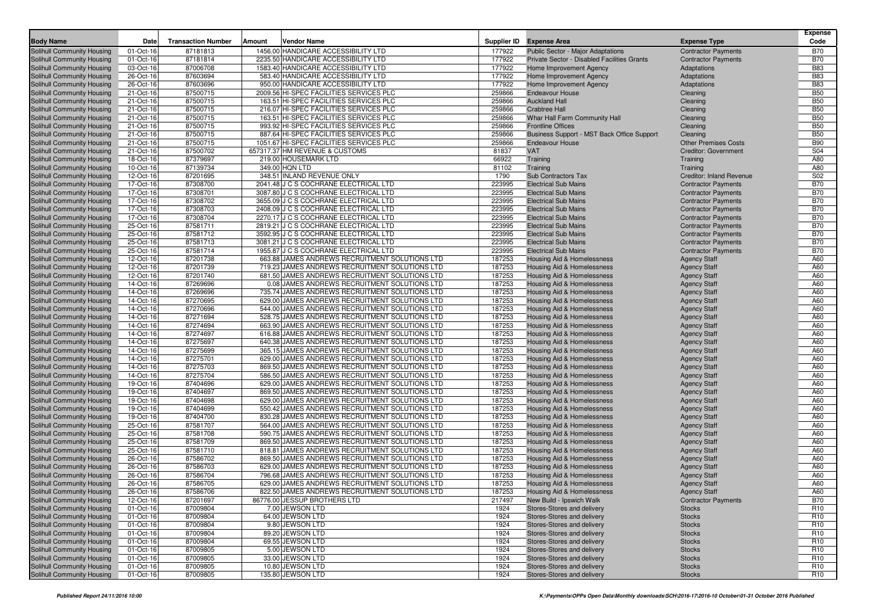| <b>Body Name</b>                                         | Date                   | <b>Transaction Number</b> | Amount | <b>Vendor Name</b>                                                                               | Supplier ID      | <b>Expense Area</b>                                      | <b>Expense Type</b>                        | <b>Expense</b><br>Code |
|----------------------------------------------------------|------------------------|---------------------------|--------|--------------------------------------------------------------------------------------------------|------------------|----------------------------------------------------------|--------------------------------------------|------------------------|
| Solihull Community Housing                               | 01-Oct-16              | 87181813                  |        | 1456.00 HANDICARE ACCESSIBILITY LTD                                                              | 177922           | Public Sector - Major Adaptations                        | <b>Contractor Payments</b>                 | <b>B70</b>             |
| Solihull Community Housing                               | 01-Oct-16              | 87181814                  |        | 2235.50 HANDICARE ACCESSIBILITY LTD                                                              | 177922           | Private Sector - Disabled Facilities Grants              | <b>Contractor Payments</b>                 | <b>B70</b>             |
| Solihull Community Housing                               | 03-Oct-16              | 87006708                  |        | 1583.40 HANDICARE ACCESSIBILITY LTD                                                              | 177922           | Home Improvement Agency                                  | Adaptations                                | <b>B83</b>             |
| Solihull Community Housing                               | 26-Oct-16              | 87603694                  |        | 583.40 HANDICARE ACCESSIBILITY LTD                                                               | 177922           | Home Improvement Agency                                  | Adaptations                                | <b>B83</b>             |
| Solihull Community Housing                               | 26-Oct-16              | 87603696                  |        | 950.00 HANDICARE ACCESSIBILITY LTD                                                               | 177922           | Home Improvement Agency                                  | Adaptations                                | <b>B83</b>             |
| Solihull Community Housing                               | 21-Oct-16              | 87500715                  |        | 2009.56 HI-SPEC FACILITIES SERVICES PLC                                                          | 259866           | <b>Endeavour House</b>                                   | Cleaning                                   | <b>B50</b>             |
| Solihull Community Housing                               | 21-Oct-16              | 87500715                  |        | 163.51 HI-SPEC FACILITIES SERVICES PLC                                                           | 259866           | <b>Auckland Hall</b>                                     | Cleaning                                   | <b>B50</b>             |
| Solihull Community Housing                               | 21-Oct-16              | 87500715                  |        | 216.07 HI-SPEC FACILITIES SERVICES PLC                                                           | 259866           | <b>Crabtree Hall</b>                                     | Cleaning                                   | <b>B50</b>             |
| Solihull Community Housing                               | 21-Oct-16              | 87500715                  |        | 163.51 HI-SPEC FACILITIES SERVICES PLC                                                           | 259866           | Whar Hall Farm Community Hall                            | Cleaning                                   | <b>B50</b>             |
| Solihull Community Housing                               | 21-Oct-16              | 87500715                  |        | 993.92 HI-SPEC FACILITIES SERVICES PLC                                                           | 259866           | <b>Frontline Offices</b>                                 | Cleaning                                   | <b>B50</b>             |
| Solihull Community Housing                               | 21-Oct-16              | 87500715                  |        | 887.64 HI-SPEC FACILITIES SERVICES PLC                                                           | 259866           | Business Support - MST Back Office Support               | Cleaning                                   | <b>B50</b>             |
| Solihull Community Housing                               | 21-Oct-16              | 87500715                  |        | 1051.67 HI-SPEC FACILITIES SERVICES PLC                                                          | 259866           | <b>Endeavour House</b>                                   | <b>Other Premises Costs</b>                | <b>B90</b>             |
| Solihull Community Housing                               | 21-Oct-16              | 87500702                  |        | 657317.37 HM REVENUE & CUSTOMS                                                                   | 81837            | <b>VAT</b>                                               | <b>Creditor: Government</b>                | S <sub>04</sub>        |
| Solihull Community Housing                               | 18-Oct-16              | 87379697                  |        | 219.00 HOUSEMARK LTD                                                                             | 66922            | Training                                                 | Training                                   | A80                    |
| Solihull Community Housing                               | 10-Oct-16              | 87139734                  |        | 349.00 HQN LTD                                                                                   | 81102            | Training                                                 | Training                                   | A80                    |
| Solihull Community Housing                               | 12-Oct-16              | 87201695                  |        | 348.51 INLAND REVENUE ONLY                                                                       | 1790             | Sub Contractors Tax                                      | <b>Creditor: Inland Revenue</b>            | S02                    |
| Solihull Community Housing                               | 17-Oct-16              | 87308700                  |        | 2041.48 J C S COCHRANE ELECTRICAL LTD                                                            | 223995           | <b>Electrical Sub Mains</b>                              | <b>Contractor Payments</b>                 | <b>B70</b>             |
| Solihull Community Housing                               | 17-Oct-16              | 87308701                  |        | 3087.80 J C S COCHRANE ELECTRICAL LTD                                                            | 223995           | <b>Electrical Sub Mains</b>                              | <b>Contractor Payments</b>                 | <b>B70</b>             |
| Solihull Community Housing                               | 17-Oct-16              | 87308702                  |        | 3655.09 J C S COCHRANE ELECTRICAL LTD                                                            | 223995           | <b>Electrical Sub Mains</b>                              | <b>Contractor Payments</b>                 | <b>B70</b>             |
| Solihull Community Housing                               | 17-Oct-16              | 87308703                  |        | 2408.09 J C S COCHRANE ELECTRICAL LTD                                                            | 223995           | <b>Electrical Sub Mains</b>                              | <b>Contractor Payments</b>                 | <b>B70</b>             |
| Solihull Community Housing                               | 17-Oct-16              | 87308704                  |        | 2270.17 J C S COCHRANE ELECTRICAL LTD                                                            | 223995           | <b>Electrical Sub Mains</b>                              | <b>Contractor Payments</b>                 | <b>B70</b>             |
| Solihull Community Housing                               | 25-Oct-16              | 87581711                  |        | 2819.21 J C S COCHRANE ELECTRICAL LTD                                                            | 223995           | <b>Electrical Sub Mains</b>                              | <b>Contractor Payments</b>                 | <b>B70</b>             |
| Solihull Community Housing                               | 25-Oct-16              | 87581712                  |        | 3592.95 J C S COCHRANE ELECTRICAL LTD                                                            | 223995           | <b>Electrical Sub Mains</b>                              | <b>Contractor Payments</b>                 | <b>B70</b>             |
| Solihull Community Housing                               | 25-Oct-16              | 87581713                  |        | 3081.21 J C S COCHRANE ELECTRICAL LTD                                                            | 223995           | <b>Electrical Sub Mains</b>                              | <b>Contractor Payments</b>                 | <b>B70</b>             |
| Solihull Community Housing                               | 25-Oct-16              | 87581714                  |        | 1955.87 J C S COCHRANE ELECTRICAL LTD                                                            | 223995           | <b>Electrical Sub Mains</b>                              | <b>Contractor Payments</b>                 | <b>B70</b>             |
| Solihull Community Housing                               | 12-Oct-16              | 87201738                  |        | 663.88 JAMES ANDREWS RECRUITMENT SOLUTIONS LTD                                                   | 187253           | Housing Aid & Homelessness                               | <b>Agency Staff</b>                        | A60                    |
| Solihull Community Housing                               | 12-Oct-16              | 87201739                  |        | 719.23 JAMES ANDREWS RECRUITMENT SOLUTIONS LTD                                                   | 187253           | Housing Aid & Homelessness                               | <b>Agency Staff</b>                        | A60                    |
| Solihull Community Housing                               | 12-Oct-16              | 87201740                  |        | 681.50 JAMES ANDREWS RECRUITMENT SOLUTIONS LTD                                                   | 187253           | Housing Aid & Homelessness                               | <b>Agency Staff</b>                        | A60                    |
| Solihull Community Housing                               | 14-Oct-16              | 87269696                  |        | 0.08 JAMES ANDREWS RECRUITMENT SOLUTIONS LTD                                                     | 187253           | Housing Aid & Homelessness                               | <b>Agency Staff</b>                        | A60                    |
| Solihull Community Housing                               | 14-Oct-16              | 87269696                  |        | 735.74 JAMES ANDREWS RECRUITMENT SOLUTIONS LTD                                                   | 187253           | Housing Aid & Homelessness                               | <b>Agency Staff</b>                        | A60                    |
| Solihull Community Housing                               | 14-Oct-16              | 87270695                  |        | 629.00 JAMES ANDREWS RECRUITMENT SOLUTIONS LTD                                                   | 187253           | Housing Aid & Homelessness                               | <b>Agency Staff</b>                        | A60                    |
| Solihull Community Housing                               | 14-Oct-16              | 87270696                  |        | 544.00 JAMES ANDREWS RECRUITMENT SOLUTIONS LTD                                                   | 187253           | Housing Aid & Homelessness                               | <b>Agency Staff</b>                        | A60                    |
| Solihull Community Housing                               | 14-Oct-16              | 87271694                  |        | 528.75 JAMES ANDREWS RECRUITMENT SOLUTIONS LTD                                                   | 187253           | Housing Aid & Homelessness                               | <b>Agency Staff</b>                        | A60                    |
| Solihull Community Housing                               | 14-Oct-16              | 87274694                  |        | 663.90 JAMES ANDREWS RECRUITMENT SOLUTIONS LTD                                                   | 187253           | Housing Aid & Homelessness                               | <b>Agency Staff</b>                        | A60                    |
| Solihull Community Housing                               | 14-Oct-16              | 87274697                  |        | 616.88 JAMES ANDREWS RECRUITMENT SOLUTIONS LTD                                                   | 187253           | Housing Aid & Homelessness                               | <b>Agency Staff</b>                        | A60                    |
| Solihull Community Housing                               | 14-Oct-16              | 87275697                  |        | 640.38 JAMES ANDREWS RECRUITMENT SOLUTIONS LTD                                                   | 187253           | Housing Aid & Homelessness                               | <b>Agency Staff</b>                        | A60                    |
| Solihull Community Housing                               | 14-Oct-16              | 87275699                  |        | 365.15 JAMES ANDREWS RECRUITMENT SOLUTIONS LTD                                                   | 187253           | Housing Aid & Homelessness                               | <b>Agency Staff</b>                        | A60                    |
| Solihull Community Housing                               | 14-Oct-16              | 87275701                  |        | 629.00 JAMES ANDREWS RECRUITMENT SOLUTIONS LTD                                                   | 187253           | Housing Aid & Homelessness                               | <b>Agency Staff</b>                        | A60                    |
| Solihull Community Housing                               | 14-Oct-16              | 87275703<br>87275704      |        | 869.50 JAMES ANDREWS RECRUITMENT SOLUTIONS LTD<br>586.50 JAMES ANDREWS RECRUITMENT SOLUTIONS LTD | 187253<br>187253 | Housing Aid & Homelessness                               | <b>Agency Staff</b>                        | A60<br>A60             |
| Solihull Community Housing<br>Solihull Community Housing | 14-Oct-16<br>19-Oct-16 | 87404696                  |        | 629.00 JAMES ANDREWS RECRUITMENT SOLUTIONS LTD                                                   | 187253           | Housing Aid & Homelessness<br>Housing Aid & Homelessness | <b>Agency Staff</b><br><b>Agency Staff</b> | A60                    |
| Solihull Community Housing                               | 19-Oct-16              | 87404697                  |        | 869.50 JAMES ANDREWS RECRUITMENT SOLUTIONS LTD                                                   | 187253           | Housing Aid & Homelessness                               | <b>Agency Staff</b>                        | A60                    |
| Solihull Community Housing                               | 19-Oct-16              | 87404698                  |        | 629.00 JAMES ANDREWS RECRUITMENT SOLUTIONS LTD                                                   | 187253           | Housing Aid & Homelessness                               | <b>Agency Staff</b>                        | A60                    |
| Solihull Community Housing                               | 19-Oct-16              | 87404699                  |        | 550.42 JAMES ANDREWS RECRUITMENT SOLUTIONS LTD                                                   | 187253           | Housing Aid & Homelessness                               | <b>Agency Staff</b>                        | A60                    |
| Solihull Community Housing                               | 19-Oct-16              | 87404700                  |        | 830.28 JAMES ANDREWS RECRUITMENT SOLUTIONS LTD                                                   | 187253           | Housing Aid & Homelessness                               | <b>Agency Staff</b>                        | A60                    |
| Solihull Community Housing                               | 25-Oct-16              | 87581707                  |        | 564.00 JAMES ANDREWS RECRUITMENT SOLUTIONS LTD                                                   | 187253           | Housing Aid & Homelessness                               | <b>Agency Staff</b>                        | A60                    |
| Solihull Community Housing                               | 25-Oct-16              | 87581708                  |        | 590.75 JAMES ANDREWS RECRUITMENT SOLUTIONS LTD                                                   | 187253           | Housing Aid & Homelessness                               | <b>Agency Staff</b>                        | A60                    |
| Solihull Community Housing                               | 25-Oct-16              | 87581709                  |        | 869.50 JAMES ANDREWS RECRUITMENT SOLUTIONS LTD                                                   | 187253           | Housing Aid & Homelessness                               | <b>Agency Staff</b>                        | A60                    |
| Solihull Community Housing                               | 25-Oct-16              | 87581710                  |        | 818.81 JAMES ANDREWS RECRUITMENT SOLUTIONS LTD                                                   | 187253           | Housing Aid & Homelessness                               | <b>Agency Staff</b>                        | A60                    |
| Solihull Community Housing                               | 26-Oct-16              | 87586702                  |        | 869.50 JAMES ANDREWS RECRUITMENT SOLUTIONS LTD                                                   | 187253           | Housing Aid & Homelessness                               | <b>Agency Staff</b>                        | A60                    |
| Solihull Community Housing                               | 26-Oct-16              | 87586703                  |        | 629.00 JAMES ANDREWS RECRUITMENT SOLUTIONS LTD                                                   | 187253           | Housing Aid & Homelessness                               | <b>Agency Staff</b>                        | A60                    |
| Solihull Community Housing                               | 26-Oct-16              | 87586704                  |        | 796.68 JAMES ANDREWS RECRUITMENT SOLUTIONS LTD                                                   | 187253           | Housing Aid & Homelessness                               | <b>Agency Staff</b>                        | A60                    |
| Solihull Community Housing                               | 26-Oct-16              | 87586705                  |        | 629.00 JAMES ANDREWS RECRUITMENT SOLUTIONS LTD                                                   | 187253           | <b>Housing Aid &amp; Homelessness</b>                    | <b>Agency Staff</b>                        | A60                    |
| Solihull Community Housing                               | 26-Oct-16              | 87586706                  |        | 822.50 JAMES ANDREWS RECRUITMENT SOLUTIONS LTD                                                   | 187253           | Housing Aid & Homelessness                               | <b>Agency Staff</b>                        | A60                    |
| Solihull Community Housing                               | 12-Oct-16              | 87201697                  |        | 86776.00 JESSUP BROTHERS LTD                                                                     | 217497           | New Build - Ipswich Walk                                 | <b>Contractor Payments</b>                 | <b>B70</b>             |
| Solihull Community Housing                               | 01-Oct-16              | 87009804                  |        | 7.00 JEWSON LTD                                                                                  | 1924             | Stores-Stores and delivery                               | <b>Stocks</b>                              | R <sub>10</sub>        |
| Solihull Community Housing                               | 01-Oct-16              | 87009804                  |        | 64.00 JEWSON LTD                                                                                 | 1924             | Stores-Stores and delivery                               | Stocks                                     | R <sub>10</sub>        |
| Solihull Community Housing                               | 01-Oct-16              | 87009804                  |        | 9.80 JEWSON LTD                                                                                  | 1924             | Stores-Stores and delivery                               | <b>Stocks</b>                              | R <sub>10</sub>        |
| Solihull Community Housing                               | 01-Oct-16              | 87009804                  |        | 89.20 JEWSON LTD                                                                                 | 1924             | Stores-Stores and delivery                               | <b>Stocks</b>                              | R <sub>10</sub>        |
| Solihull Community Housing                               | 01-Oct-16              | 87009804                  |        | 69.55 JEWSON LTD                                                                                 | 1924             | Stores-Stores and delivery                               | Stocks                                     | R <sub>10</sub>        |
| Solihull Community Housing                               | 01-Oct-16              | 87009805                  |        | 5.00 JEWSON LTD                                                                                  | 1924             | Stores-Stores and delivery                               | Stocks                                     | R <sub>10</sub>        |
| Solihull Community Housing                               | 01-Oct-16              | 87009805                  |        | 33.00 JEWSON LTD                                                                                 | 1924             | Stores-Stores and delivery                               | <b>Stocks</b>                              | R <sub>10</sub>        |
| Solihull Community Housing                               | 01-Oct-16              | 87009805                  |        | 10.80 JEWSON LTD                                                                                 | 1924             | Stores-Stores and delivery                               | Stocks                                     | R <sub>10</sub>        |
| Solihull Community Housing                               | 01-Oct-16              | 87009805                  |        | 135.80 JEWSON LTD                                                                                | 1924             | Stores-Stores and delivery                               | Stocks                                     | R <sub>10</sub>        |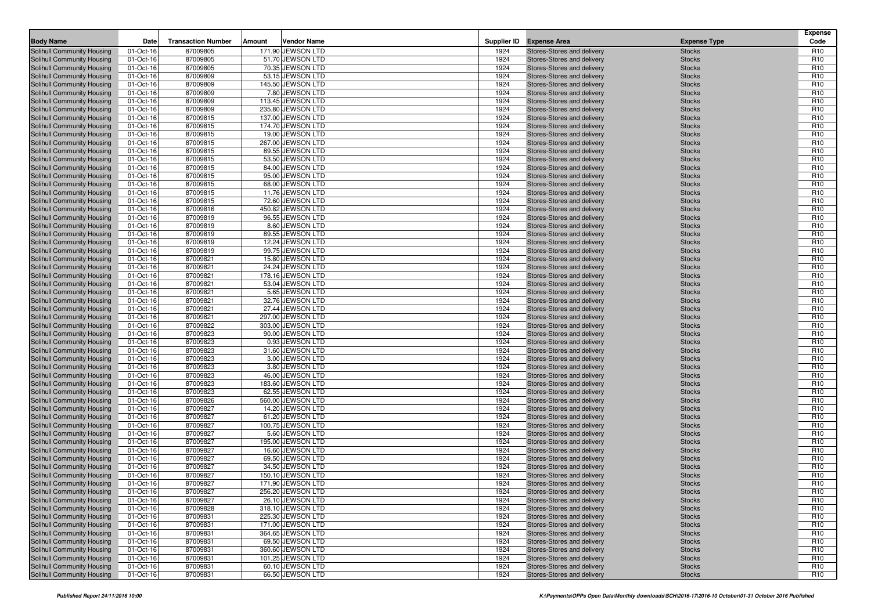| <b>Body Name</b>                                         | Date                   | <b>Transaction Number</b> | Amount | <b>Vendor Name</b>                    |              | Supplier ID Expense Area                                 | <b>Expense Type</b>            | <b>Expense</b><br>Code             |
|----------------------------------------------------------|------------------------|---------------------------|--------|---------------------------------------|--------------|----------------------------------------------------------|--------------------------------|------------------------------------|
| <b>Solihull Community Housing</b>                        | 01-Oct-16              | 87009805                  |        | 171.90 JEWSON LTD                     | 1924         | Stores-Stores and delivery                               | <b>Stocks</b>                  | R <sub>10</sub>                    |
| Solihull Community Housing                               | 01-Oct-16              | 87009805                  |        | 51.70 JEWSON LTD                      | 1924         | Stores-Stores and delivery                               | <b>Stocks</b>                  | R <sub>10</sub>                    |
| Solihull Community Housing                               | 01-Oct-16              | 87009805                  |        | 70.35 JEWSON LTD                      | 1924         | Stores-Stores and delivery                               | <b>Stocks</b>                  | R <sub>10</sub>                    |
| Solihull Community Housing                               | 01-Oct-16              | 87009809                  |        | 53.15 JEWSON LTD                      | 1924         | Stores-Stores and delivery                               | <b>Stocks</b>                  | R <sub>10</sub>                    |
| Solihull Community Housing                               | 01-Oct-16              | 87009809                  |        | 145.50 JEWSON LTD                     | 1924         | Stores-Stores and delivery                               | <b>Stocks</b>                  | R <sub>10</sub>                    |
| Solihull Community Housing                               | 01-Oct-16              | 87009809                  |        | 7.80 JEWSON LTD                       | 1924         | Stores-Stores and delivery                               | <b>Stocks</b>                  | R <sub>10</sub>                    |
| Solihull Community Housing                               | 01-Oct-16              | 87009809                  |        | 113.45 JEWSON LTD                     | 1924         | Stores-Stores and delivery                               | <b>Stocks</b>                  | R <sub>10</sub>                    |
| Solihull Community Housing                               | 01-Oct-16              | 87009809                  |        | 235.80 JEWSON LTD                     | 1924         | Stores-Stores and delivery                               | <b>Stocks</b>                  | R <sub>10</sub>                    |
| Solihull Community Housing                               | 01-Oct-16              | 87009815                  |        | 137.00 JEWSON LTD                     | 1924         | Stores-Stores and delivery                               | <b>Stocks</b>                  | R <sub>10</sub>                    |
| <b>Solihull Community Housing</b>                        | 01-Oct-16              | 87009815                  |        | 174.70 JEWSON LTD                     | 1924         | Stores-Stores and delivery                               | <b>Stocks</b>                  | R <sub>10</sub>                    |
| Solihull Community Housing                               | 01-Oct-16              | 87009815                  |        | 19.00 JEWSON LTD                      | 1924         | Stores-Stores and delivery                               | <b>Stocks</b>                  | R <sub>10</sub>                    |
| Solihull Community Housing                               | 01-Oct-16              | 87009815                  |        | 267.00 JEWSON LTD                     | 1924         | Stores-Stores and delivery                               | <b>Stocks</b>                  | R <sub>10</sub>                    |
| <b>Solihull Community Housing</b>                        | 01-Oct-16              | 87009815                  |        | 89.55 JEWSON LTD                      | 1924         | Stores-Stores and delivery                               | <b>Stocks</b>                  | R <sub>10</sub>                    |
| Solihull Community Housing                               | 01-Oct-16              | 87009815                  |        | 53.50 JEWSON LTD                      | 1924         | Stores-Stores and delivery                               | <b>Stocks</b>                  | R <sub>10</sub>                    |
| Solihull Community Housing                               | 01-Oct-16              | 87009815                  |        | 84.00 JEWSON LTD                      | 1924         | Stores-Stores and delivery                               | <b>Stocks</b>                  | R <sub>10</sub>                    |
| Solihull Community Housing                               | 01-Oct-16              | 87009815                  |        | 95.00 JEWSON LTD                      | 1924         | Stores-Stores and delivery                               | <b>Stocks</b>                  | R <sub>10</sub>                    |
| Solihull Community Housing                               | 01-Oct-16              | 87009815                  |        | 68.00 JEWSON LTD                      | 1924         | Stores-Stores and delivery                               | <b>Stocks</b>                  | R <sub>10</sub>                    |
| Solihull Community Housing                               | 01-Oct-16              | 87009815<br>87009815      |        | 11.76 JEWSON LTD<br>72.60 JEWSON LTD  | 1924<br>1924 | Stores-Stores and delivery                               | <b>Stocks</b>                  | R <sub>10</sub><br>R <sub>10</sub> |
| Solihull Community Housing<br>Solihull Community Housing | 01-Oct-16<br>01-Oct-16 | 87009816                  |        | 450.82 JEWSON LTD                     | 1924         | Stores-Stores and delivery<br>Stores-Stores and delivery | <b>Stocks</b><br><b>Stocks</b> | R <sub>10</sub>                    |
| Solihull Community Housing                               | 01-Oct-16              | 87009819                  |        | 96.55 JEWSON LTD                      | 1924         | Stores-Stores and delivery                               | <b>Stocks</b>                  | R <sub>10</sub>                    |
| Solihull Community Housing                               | 01-Oct-16              | 87009819                  |        | 8.60 JEWSON LTD                       | 1924         | Stores-Stores and delivery                               | <b>Stocks</b>                  | R <sub>10</sub>                    |
| Solihull Community Housing                               | 01-Oct-16              | 87009819                  |        | 89.55 JEWSON LTD                      | 1924         | Stores-Stores and delivery                               | <b>Stocks</b>                  | R <sub>10</sub>                    |
| Solihull Community Housing                               | 01-Oct-16              | 87009819                  |        | 12.24 JEWSON LTD                      | 1924         | Stores-Stores and delivery                               | <b>Stocks</b>                  | R <sub>10</sub>                    |
| Solihull Community Housing                               | 01-Oct-16              | 87009819                  |        | 99.75 JEWSON LTD                      | 1924         | Stores-Stores and delivery                               | <b>Stocks</b>                  | R <sub>10</sub>                    |
| Solihull Community Housing                               | 01-Oct-16              | 87009821                  |        | 15.80 JEWSON LTD                      | 1924         | Stores-Stores and delivery                               | <b>Stocks</b>                  | R <sub>10</sub>                    |
| Solihull Community Housing                               | 01-Oct-16              | 87009821                  |        | 24.24 JEWSON LTD                      | 1924         | Stores-Stores and delivery                               | <b>Stocks</b>                  | R <sub>10</sub>                    |
| Solihull Community Housing                               | 01-Oct-16              | 87009821                  |        | 178.16 JEWSON LTD                     | 1924         | Stores-Stores and delivery                               | <b>Stocks</b>                  | R <sub>10</sub>                    |
| Solihull Community Housing                               | 01-Oct-16              | 87009821                  |        | 53.04 JEWSON LTD                      | 1924         | Stores-Stores and delivery                               | <b>Stocks</b>                  | R <sub>10</sub>                    |
| Solihull Community Housing                               | 01-Oct-16              | 87009821                  |        | 5.65 JEWSON LTD                       | 1924         | Stores-Stores and delivery                               | <b>Stocks</b>                  | R <sub>10</sub>                    |
| Solihull Community Housing                               | 01-Oct-16              | 87009821                  |        | 32.76 JEWSON LTD                      | 1924         | Stores-Stores and delivery                               | <b>Stocks</b>                  | R <sub>10</sub>                    |
| Solihull Community Housing                               | 01-Oct-16              | 87009821                  |        | 27.44 JEWSON LTD                      | 1924         | Stores-Stores and delivery                               | <b>Stocks</b>                  | R <sub>10</sub>                    |
| Solihull Community Housing                               | 01-Oct-16              | 87009821                  |        | 297.00 JEWSON LTD                     | 1924         | Stores-Stores and delivery                               | <b>Stocks</b>                  | R <sub>10</sub>                    |
| Solihull Community Housing                               | 01-Oct-16              | 87009822                  |        | 303.00 JEWSON LTD                     | 1924         | Stores-Stores and delivery                               | <b>Stocks</b>                  | R <sub>10</sub>                    |
| <b>Solihull Community Housing</b>                        | 01-Oct-16              | 87009823                  |        | 90.00 JEWSON LTD                      | 1924         | Stores-Stores and delivery                               | <b>Stocks</b>                  | R <sub>10</sub>                    |
| Solihull Community Housing                               | 01-Oct-16              | 87009823                  |        | 0.93 JEWSON LTD                       | 1924         | Stores-Stores and delivery                               | <b>Stocks</b>                  | R <sub>10</sub>                    |
| Solihull Community Housing                               | 01-Oct-16              | 87009823<br>87009823      |        | 31.60 JEWSON LTD<br>3.00 JEWSON LTD   | 1924<br>1924 | Stores-Stores and delivery                               | <b>Stocks</b>                  | R <sub>10</sub><br>R <sub>10</sub> |
| Solihull Community Housing<br>Solihull Community Housing | 01-Oct-16<br>01-Oct-16 | 87009823                  |        | 3.80 JEWSON LTD                       | 1924         | Stores-Stores and delivery<br>Stores-Stores and delivery | <b>Stocks</b><br><b>Stocks</b> | R <sub>10</sub>                    |
| Solihull Community Housing                               | 01-Oct-16              | 87009823                  |        | 46.00 JEWSON LTD                      | 1924         | Stores-Stores and delivery                               | <b>Stocks</b>                  | R <sub>10</sub>                    |
| Solihull Community Housing                               | 01-Oct-16              | 87009823                  |        | 183.60 JEWSON LTD                     | 1924         | Stores-Stores and delivery                               | <b>Stocks</b>                  | R <sub>10</sub>                    |
| Solihull Community Housing                               | 01-Oct-16              | 87009823                  |        | 62.55 JEWSON LTD                      | 1924         | Stores-Stores and delivery                               | <b>Stocks</b>                  | R <sub>10</sub>                    |
| Solihull Community Housing                               | 01-Oct-16              | 87009826                  |        | 560.00 JEWSON LTD                     | 1924         | Stores-Stores and delivery                               | <b>Stocks</b>                  | R <sub>10</sub>                    |
| Solihull Community Housing                               | 01-Oct-16              | 87009827                  |        | 14.20 JEWSON LTD                      | 1924         | Stores-Stores and delivery                               | <b>Stocks</b>                  | R <sub>10</sub>                    |
| Solihull Community Housing                               | 01-Oct-16              | 87009827                  |        | 61.20 JEWSON LTD                      | 1924         | Stores-Stores and delivery                               | <b>Stocks</b>                  | R <sub>10</sub>                    |
| Solihull Community Housing                               | 01-Oct-16              | 87009827                  |        | 100.75 JEWSON LTD                     | 1924         | Stores-Stores and delivery                               | <b>Stocks</b>                  | R <sub>10</sub>                    |
| Solihull Community Housing                               | 01-Oct-16              | 87009827                  |        | 5.60 JEWSON LTD                       | 1924         | Stores-Stores and delivery                               | <b>Stocks</b>                  | R <sub>10</sub>                    |
| Solihull Community Housing                               | 01-Oct-16              | 87009827                  |        | 195.00 JEWSON LTD                     | 1924         | Stores-Stores and delivery                               | <b>Stocks</b>                  | R <sub>10</sub>                    |
| Solihull Community Housing                               | 01-Oct-16              | 87009827                  |        | 16.60 JEWSON LTD                      | 1924         | Stores-Stores and delivery                               | <b>Stocks</b>                  | R <sub>10</sub>                    |
| Solihull Community Housing                               | 01-Oct-16              | 87009827                  |        | 69.50 JEWSON LTD                      | 1924         | Stores-Stores and delivery                               | <b>Stocks</b>                  | R <sub>10</sub>                    |
| Solihull Community Housing                               | 01-Oct-16              | 87009827                  |        | 34.50 JEWSON LTD                      | 1924         | Stores-Stores and delivery                               | <b>Stocks</b>                  | R <sub>10</sub>                    |
| Solihull Community Housing                               | 01-Oct-16              | 87009827                  |        | 150.10 JEWSON LTD                     | 1924         | Stores-Stores and delivery                               | <b>Stocks</b>                  | R <sub>10</sub>                    |
| Solihull Community Housing                               | 01-Oct-16              | 87009827                  |        | 171.90 JEWSON LTD                     | 1924         | Stores-Stores and delivery                               | <b>Stocks</b>                  | R <sub>10</sub>                    |
| Solihull Community Housing                               | 01-Oct-16              | 87009827                  |        | 256.20 JEWSON LTD                     | 1924         | Stores-Stores and delivery                               | <b>Stocks</b>                  | R <sub>10</sub>                    |
| Solihull Community Housing<br>Solihull Community Housing | 01-Oct-16<br>01-Oct-16 | 87009827<br>87009828      |        | 26.10 JEWSON LTD<br>318.10 JEWSON LTD | 1924<br>1924 | Stores-Stores and delivery<br>Stores-Stores and delivery | <b>Stocks</b>                  | R <sub>10</sub><br>R <sub>10</sub> |
| Solihull Community Housing                               | 01-Oct-16              | 87009831                  |        | 225.30 JEWSON LTD                     | 1924         | Stores-Stores and delivery                               | <b>Stocks</b><br><b>Stocks</b> | R <sub>10</sub>                    |
| Solihull Community Housing                               | 01-Oct-16              | 87009831                  |        | 171.00 JEWSON LTD                     | 1924         | Stores-Stores and delivery                               | <b>Stocks</b>                  | R <sub>10</sub>                    |
| Solihull Community Housing                               | 01-Oct-16              | 87009831                  |        | 364.65 JEWSON LTD                     | 1924         | Stores-Stores and delivery                               | <b>Stocks</b>                  | R <sub>10</sub>                    |
| Solihull Community Housing                               | 01-Oct-16              | 87009831                  |        | 69.50 JEWSON LTD                      | 1924         | Stores-Stores and delivery                               | <b>Stocks</b>                  | R <sub>10</sub>                    |
| Solihull Community Housing                               | 01-Oct-16              | 87009831                  |        | 360.60 JEWSON LTD                     | 1924         | Stores-Stores and delivery                               | <b>Stocks</b>                  | R <sub>10</sub>                    |
| Solihull Community Housing                               | 01-Oct-16              | 87009831                  |        | 101.25 JEWSON LTD                     | 1924         | Stores-Stores and delivery                               | <b>Stocks</b>                  | R <sub>10</sub>                    |
| Solihull Community Housing                               | 01-Oct-16              | 87009831                  |        | 60.10 JEWSON LTD                      | 1924         | Stores-Stores and delivery                               | <b>Stocks</b>                  | R <sub>10</sub>                    |
| Solihull Community Housing                               | 01-Oct-16              | 87009831                  |        | 66.50 JEWSON LTD                      | 1924         | Stores-Stores and delivery                               | <b>Stocks</b>                  | R <sub>10</sub>                    |
|                                                          |                        |                           |        |                                       |              |                                                          |                                |                                    |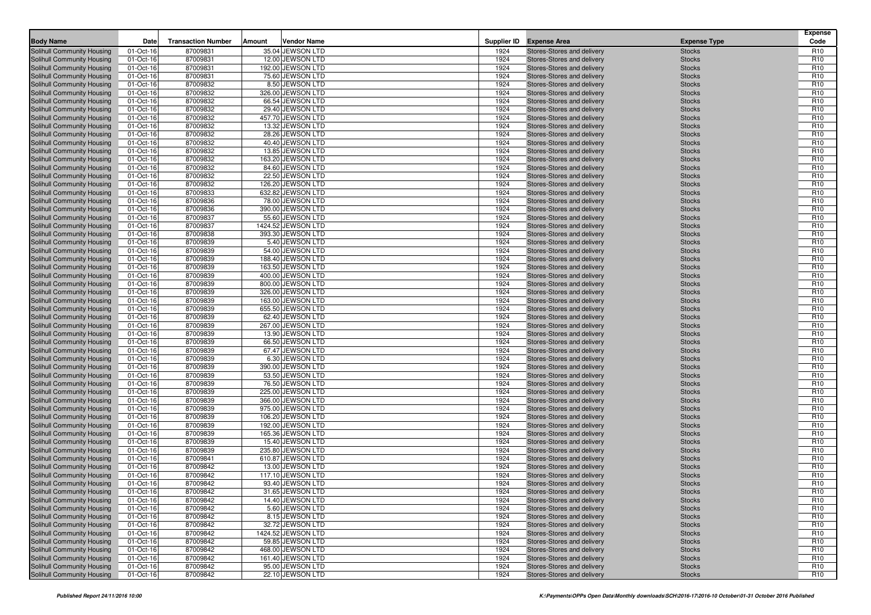| <b>Body Name</b>                                         | Date                   | <b>Transaction Number</b> | Amount | <b>Vendor Name</b>                    |              | Supplier ID Expense Area                                 | <b>Expense Type</b>            | <b>Expense</b><br>Code             |
|----------------------------------------------------------|------------------------|---------------------------|--------|---------------------------------------|--------------|----------------------------------------------------------|--------------------------------|------------------------------------|
| <b>Solihull Community Housing</b>                        | 01-Oct-16              | 87009831                  |        | 35.04 JEWSON LTD                      | 1924         | Stores-Stores and delivery                               | <b>Stocks</b>                  | R <sub>10</sub>                    |
| Solihull Community Housing                               | 01-Oct-16              | 87009831                  |        | 12.00 JEWSON LTD                      | 1924         | Stores-Stores and delivery                               | <b>Stocks</b>                  | R <sub>10</sub>                    |
| Solihull Community Housing                               | 01-Oct-16              | 87009831                  |        | 192.00 JEWSON LTD                     | 1924         | Stores-Stores and delivery                               | <b>Stocks</b>                  | R <sub>10</sub>                    |
| Solihull Community Housing                               | 01-Oct-16              | 87009831                  |        | 75.60 JEWSON LTD                      | 1924         | Stores-Stores and delivery                               | <b>Stocks</b>                  | R <sub>10</sub>                    |
| Solihull Community Housing                               | 01-Oct-16              | 87009832                  |        | 8.50 JEWSON LTD                       | 1924         | Stores-Stores and delivery                               | <b>Stocks</b>                  | R <sub>10</sub>                    |
| Solihull Community Housing                               | 01-Oct-16              | 87009832                  |        | 326.00 JEWSON LTD                     | 1924         | Stores-Stores and delivery                               | <b>Stocks</b>                  | R <sub>10</sub>                    |
| Solihull Community Housing                               | 01-Oct-16              | 87009832                  |        | 66.54 JEWSON LTD                      | 1924         | Stores-Stores and delivery                               | <b>Stocks</b>                  | R <sub>10</sub>                    |
| Solihull Community Housing                               | 01-Oct-16              | 87009832                  |        | 29.40 JEWSON LTD                      | 1924         | Stores-Stores and delivery                               | <b>Stocks</b>                  | R <sub>10</sub>                    |
| Solihull Community Housing                               | 01-Oct-16              | 87009832                  |        | 457.70 JEWSON LTD                     | 1924         | Stores-Stores and delivery                               | <b>Stocks</b>                  | R <sub>10</sub>                    |
| <b>Solihull Community Housing</b>                        | 01-Oct-16              | 87009832                  |        | 13.32 JEWSON LTD                      | 1924         | Stores-Stores and delivery                               | <b>Stocks</b>                  | R <sub>10</sub>                    |
| Solihull Community Housing                               | 01-Oct-16              | 87009832                  |        | 28.26 JEWSON LTD                      | 1924         | Stores-Stores and delivery                               | <b>Stocks</b>                  | R <sub>10</sub>                    |
| Solihull Community Housing                               | 01-Oct-16              | 87009832                  |        | 40.40 JEWSON LTD                      | 1924         | Stores-Stores and delivery                               | <b>Stocks</b>                  | R <sub>10</sub>                    |
| <b>Solihull Community Housing</b>                        | 01-Oct-16              | 87009832                  |        | 13.85 JEWSON LTD                      | 1924         | Stores-Stores and delivery                               | <b>Stocks</b>                  | R <sub>10</sub>                    |
| Solihull Community Housing                               | 01-Oct-16              | 87009832                  |        | 163.20 JEWSON LTD                     | 1924         | Stores-Stores and delivery                               | <b>Stocks</b>                  | R <sub>10</sub>                    |
| Solihull Community Housing                               | 01-Oct-16              | 87009832                  |        | 84.60 JEWSON LTD                      | 1924         | Stores-Stores and delivery                               | <b>Stocks</b>                  | R <sub>10</sub>                    |
| Solihull Community Housing                               | 01-Oct-16              | 87009832                  |        | 22.50 JEWSON LTD                      | 1924         | Stores-Stores and delivery                               | <b>Stocks</b>                  | R <sub>10</sub>                    |
| Solihull Community Housing                               | 01-Oct-16              | 87009832                  |        | 126.20 JEWSON LTD                     | 1924         | Stores-Stores and delivery                               | <b>Stocks</b>                  | R <sub>10</sub>                    |
| Solihull Community Housing                               | 01-Oct-16              | 87009833<br>87009836      |        | 632.82 JEWSON LTD<br>78.00 JEWSON LTD | 1924<br>1924 | Stores-Stores and delivery                               | <b>Stocks</b>                  | R <sub>10</sub><br>R <sub>10</sub> |
| Solihull Community Housing<br>Solihull Community Housing | 01-Oct-16<br>01-Oct-16 | 87009836                  |        | 390.00 JEWSON LTD                     | 1924         | Stores-Stores and delivery<br>Stores-Stores and delivery | <b>Stocks</b><br><b>Stocks</b> | R <sub>10</sub>                    |
| Solihull Community Housing                               | 01-Oct-16              | 87009837                  |        | 55.60 JEWSON LTD                      | 1924         | Stores-Stores and delivery                               | <b>Stocks</b>                  | R <sub>10</sub>                    |
| Solihull Community Housing                               | 01-Oct-16              | 87009837                  |        | 1424.52 JEWSON LTD                    | 1924         | Stores-Stores and delivery                               | <b>Stocks</b>                  | R <sub>10</sub>                    |
| Solihull Community Housing                               | 01-Oct-16              | 87009838                  |        | 393.30 JEWSON LTD                     | 1924         | Stores-Stores and delivery                               | <b>Stocks</b>                  | R <sub>10</sub>                    |
| Solihull Community Housing                               | 01-Oct-16              | 87009839                  |        | 5.40 JEWSON LTD                       | 1924         | Stores-Stores and delivery                               | <b>Stocks</b>                  | R <sub>10</sub>                    |
| Solihull Community Housing                               | 01-Oct-16              | 87009839                  |        | 54.00 JEWSON LTD                      | 1924         | Stores-Stores and delivery                               | <b>Stocks</b>                  | R <sub>10</sub>                    |
| Solihull Community Housing                               | 01-Oct-16              | 87009839                  |        | 188.40 JEWSON LTD                     | 1924         | Stores-Stores and delivery                               | <b>Stocks</b>                  | R <sub>10</sub>                    |
| Solihull Community Housing                               | 01-Oct-16              | 87009839                  |        | 163.50 JEWSON LTD                     | 1924         | Stores-Stores and delivery                               | <b>Stocks</b>                  | R <sub>10</sub>                    |
| Solihull Community Housing                               | 01-Oct-16              | 87009839                  |        | 400.00 JEWSON LTD                     | 1924         | Stores-Stores and delivery                               | <b>Stocks</b>                  | R <sub>10</sub>                    |
| Solihull Community Housing                               | 01-Oct-16              | 87009839                  |        | 800.00 JEWSON LTD                     | 1924         | Stores-Stores and delivery                               | <b>Stocks</b>                  | R <sub>10</sub>                    |
| Solihull Community Housing                               | 01-Oct-16              | 87009839                  |        | 326.00 JEWSON LTD                     | 1924         | Stores-Stores and delivery                               | <b>Stocks</b>                  | R <sub>10</sub>                    |
| Solihull Community Housing                               | 01-Oct-16              | 87009839                  |        | 163.00 JEWSON LTD                     | 1924         | Stores-Stores and delivery                               | <b>Stocks</b>                  | R <sub>10</sub>                    |
| Solihull Community Housing                               | 01-Oct-16              | 87009839                  |        | 655.50 JEWSON LTD                     | 1924         | Stores-Stores and delivery                               | <b>Stocks</b>                  | R <sub>10</sub>                    |
| Solihull Community Housing                               | 01-Oct-16              | 87009839                  |        | 62.40 JEWSON LTD                      | 1924         | Stores-Stores and delivery                               | <b>Stocks</b>                  | R <sub>10</sub>                    |
| Solihull Community Housing                               | 01-Oct-16              | 87009839                  |        | 267.00 JEWSON LTD                     | 1924         | Stores-Stores and delivery                               | <b>Stocks</b>                  | R <sub>10</sub>                    |
| <b>Solihull Community Housing</b>                        | 01-Oct-16              | 87009839                  |        | 13.90 JEWSON LTD                      | 1924         | Stores-Stores and delivery                               | <b>Stocks</b>                  | R <sub>10</sub>                    |
| Solihull Community Housing                               | 01-Oct-16              | 87009839                  |        | 66.50 JEWSON LTD                      | 1924         | Stores-Stores and delivery                               | <b>Stocks</b>                  | R <sub>10</sub>                    |
| Solihull Community Housing                               | 01-Oct-16              | 87009839<br>87009839      |        | 67.47 JEWSON LTD<br>6.30 JEWSON LTD   | 1924<br>1924 | Stores-Stores and delivery                               | <b>Stocks</b>                  | R <sub>10</sub><br>R <sub>10</sub> |
| Solihull Community Housing<br>Solihull Community Housing | 01-Oct-16<br>01-Oct-16 | 87009839                  |        | 390.00 JEWSON LTD                     | 1924         | Stores-Stores and delivery<br>Stores-Stores and delivery | <b>Stocks</b><br><b>Stocks</b> | R <sub>10</sub>                    |
| Solihull Community Housing                               | 01-Oct-16              | 87009839                  |        | 53.50 JEWSON LTD                      | 1924         | Stores-Stores and delivery                               | <b>Stocks</b>                  | R <sub>10</sub>                    |
| Solihull Community Housing                               | 01-Oct-16              | 87009839                  |        | 76.50 JEWSON LTD                      | 1924         | Stores-Stores and delivery                               | <b>Stocks</b>                  | R <sub>10</sub>                    |
| Solihull Community Housing                               | 01-Oct-16              | 87009839                  |        | 225.00 JEWSON LTD                     | 1924         | Stores-Stores and delivery                               | <b>Stocks</b>                  | R <sub>10</sub>                    |
| Solihull Community Housing                               | 01-Oct-16              | 87009839                  |        | 366.00 JEWSON LTD                     | 1924         | Stores-Stores and delivery                               | <b>Stocks</b>                  | R <sub>10</sub>                    |
| Solihull Community Housing                               | 01-Oct-16              | 87009839                  |        | 975.00 JEWSON LTD                     | 1924         | Stores-Stores and delivery                               | <b>Stocks</b>                  | R <sub>10</sub>                    |
| Solihull Community Housing                               | 01-Oct-16              | 87009839                  |        | 106.20 JEWSON LTD                     | 1924         | Stores-Stores and delivery                               | <b>Stocks</b>                  | R <sub>10</sub>                    |
| Solihull Community Housing                               | 01-Oct-16              | 87009839                  |        | 192.00 JEWSON LTD                     | 1924         | Stores-Stores and delivery                               | <b>Stocks</b>                  | R <sub>10</sub>                    |
| Solihull Community Housing                               | 01-Oct-16              | 87009839                  |        | 165.36 JEWSON LTD                     | 1924         | Stores-Stores and delivery                               | <b>Stocks</b>                  | R <sub>10</sub>                    |
| Solihull Community Housing                               | 01-Oct-16              | 87009839                  |        | 15.40 JEWSON LTD                      | 1924         | Stores-Stores and delivery                               | <b>Stocks</b>                  | R <sub>10</sub>                    |
| Solihull Community Housing                               | 01-Oct-16              | 87009839                  |        | 235.80 JEWSON LTD                     | 1924         | Stores-Stores and delivery                               | <b>Stocks</b>                  | R <sub>10</sub>                    |
| Solihull Community Housing                               | 01-Oct-16              | 87009841                  |        | 610.87 JEWSON LTD                     | 1924         | Stores-Stores and delivery                               | <b>Stocks</b>                  | R <sub>10</sub>                    |
| Solihull Community Housing                               | 01-Oct-16              | 87009842                  |        | 13.00 JEWSON LTD                      | 1924         | Stores-Stores and delivery                               | <b>Stocks</b>                  | R <sub>10</sub>                    |
| Solihull Community Housing                               | 01-Oct-16              | 87009842                  |        | 117.10 JEWSON LTD                     | 1924         | Stores-Stores and delivery                               | <b>Stocks</b>                  | R <sub>10</sub>                    |
| Solihull Community Housing                               | 01-Oct-16              | 87009842                  |        | 93.40 JEWSON LTD                      | 1924         | Stores-Stores and delivery                               | <b>Stocks</b>                  | R <sub>10</sub>                    |
| Solihull Community Housing                               | 01-Oct-16              | 87009842                  |        | 31.65 JEWSON LTD                      | 1924         | Stores-Stores and delivery                               | <b>Stocks</b>                  | R <sub>10</sub>                    |
| Solihull Community Housing<br>Solihull Community Housing | 01-Oct-16              | 87009842                  |        | 14.40 JEWSON LTD<br>5.60 JEWSON LTD   | 1924         | Stores-Stores and delivery<br>Stores-Stores and delivery | <b>Stocks</b>                  | R <sub>10</sub>                    |
| Solihull Community Housing                               | 01-Oct-16<br>01-Oct-16 | 87009842<br>87009842      |        | 8.15 JEWSON LTD                       | 1924<br>1924 | Stores-Stores and delivery                               | <b>Stocks</b><br><b>Stocks</b> | R <sub>10</sub><br>R <sub>10</sub> |
| Solihull Community Housing                               | 01-Oct-16              | 87009842                  |        | 32.72 JEWSON LTD                      | 1924         | Stores-Stores and delivery                               | <b>Stocks</b>                  | R <sub>10</sub>                    |
| Solihull Community Housing                               | 01-Oct-16              | 87009842                  |        | 1424.52 JEWSON LTD                    | 1924         | Stores-Stores and delivery                               | <b>Stocks</b>                  | R <sub>10</sub>                    |
| Solihull Community Housing                               | 01-Oct-16              | 87009842                  |        | 59.85 JEWSON LTD                      | 1924         | Stores-Stores and delivery                               | <b>Stocks</b>                  | R <sub>10</sub>                    |
| Solihull Community Housing                               | 01-Oct-16              | 87009842                  |        | 468.00 JEWSON LTD                     | 1924         | Stores-Stores and delivery                               | <b>Stocks</b>                  | R <sub>10</sub>                    |
| Solihull Community Housing                               | 01-Oct-16              | 87009842                  |        | 161.40 JEWSON LTD                     | 1924         | Stores-Stores and delivery                               | <b>Stocks</b>                  | R <sub>10</sub>                    |
| Solihull Community Housing                               | 01-Oct-16              | 87009842                  |        | 95.00 JEWSON LTD                      | 1924         | Stores-Stores and delivery                               | <b>Stocks</b>                  | R <sub>10</sub>                    |
| Solihull Community Housing                               | 01-Oct-16              | 87009842                  |        | 22.10 JEWSON LTD                      | 1924         | Stores-Stores and delivery                               | <b>Stocks</b>                  | R <sub>10</sub>                    |
|                                                          |                        |                           |        |                                       |              |                                                          |                                |                                    |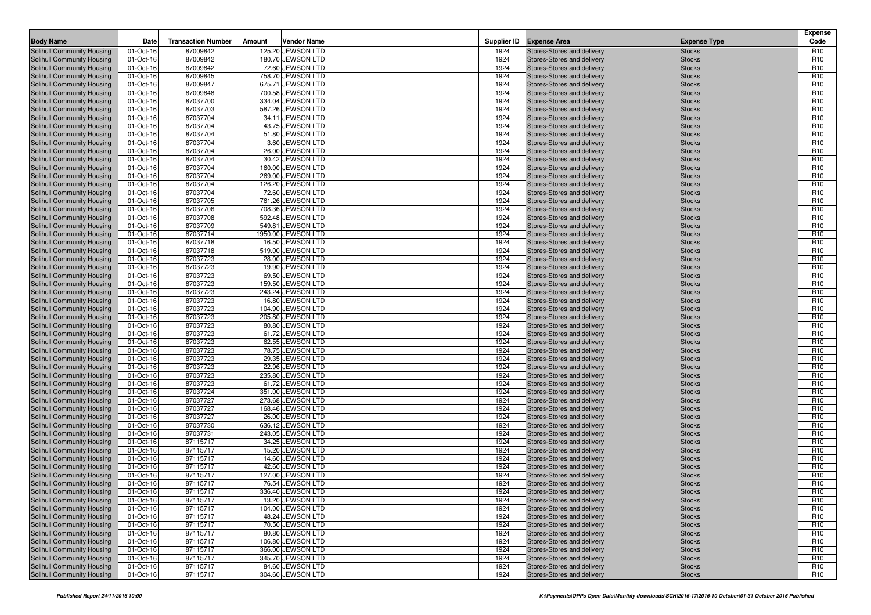| <b>Body Name</b>                                         | Date                   | <b>Transaction Number</b> | Amount | <b>Vendor Name</b>                    |              | Supplier ID Expense Area                                 | <b>Expense Type</b>            | <b>Expense</b><br>Code             |
|----------------------------------------------------------|------------------------|---------------------------|--------|---------------------------------------|--------------|----------------------------------------------------------|--------------------------------|------------------------------------|
| <b>Solihull Community Housing</b>                        | 01-Oct-16              | 87009842                  |        | 125.20 JEWSON LTD                     | 1924         | Stores-Stores and delivery                               | <b>Stocks</b>                  | R <sub>10</sub>                    |
| Solihull Community Housing                               | 01-Oct-16              | 87009842                  |        | 180.70 JEWSON LTD                     | 1924         | Stores-Stores and delivery                               | <b>Stocks</b>                  | R <sub>10</sub>                    |
| Solihull Community Housing                               | 01-Oct-16              | 87009842                  |        | 72.60 JEWSON LTD                      | 1924         | Stores-Stores and delivery                               | <b>Stocks</b>                  | R <sub>10</sub>                    |
| Solihull Community Housing                               | 01-Oct-16              | 87009845                  |        | 758.70 JEWSON LTD                     | 1924         | Stores-Stores and delivery                               | <b>Stocks</b>                  | R <sub>10</sub>                    |
| Solihull Community Housing                               | 01-Oct-16              | 87009847                  |        | 675.71 JEWSON LTD                     | 1924         | Stores-Stores and delivery                               | <b>Stocks</b>                  | R <sub>10</sub>                    |
| Solihull Community Housing                               | 01-Oct-16              | 87009848                  |        | 700.58 JEWSON LTD                     | 1924         | Stores-Stores and delivery                               | <b>Stocks</b>                  | R <sub>10</sub>                    |
| Solihull Community Housing                               | 01-Oct-16              | 87037700                  |        | 334.04 JEWSON LTD                     | 1924         | Stores-Stores and delivery                               | <b>Stocks</b>                  | R <sub>10</sub>                    |
| Solihull Community Housing                               | 01-Oct-16              | 87037703                  |        | 587.26 JEWSON LTD                     | 1924         | Stores-Stores and delivery                               | <b>Stocks</b>                  | R <sub>10</sub>                    |
| Solihull Community Housing                               | 01-Oct-16              | 87037704                  |        | 34.11 JEWSON LTD                      | 1924         | Stores-Stores and delivery                               | <b>Stocks</b>                  | R <sub>10</sub>                    |
| <b>Solihull Community Housing</b>                        | 01-Oct-16              | 87037704                  |        | 43.75 JEWSON LTD                      | 1924         | Stores-Stores and delivery                               | <b>Stocks</b>                  | R <sub>10</sub>                    |
| Solihull Community Housing                               | 01-Oct-16              | 87037704                  |        | 51.80 JEWSON LTD                      | 1924         | Stores-Stores and delivery                               | <b>Stocks</b>                  | R <sub>10</sub>                    |
| Solihull Community Housing                               | 01-Oct-16              | 87037704                  |        | 3.60 JEWSON LTD                       | 1924         | Stores-Stores and delivery                               | <b>Stocks</b>                  | R <sub>10</sub>                    |
| <b>Solihull Community Housing</b>                        | 01-Oct-16              | 87037704                  |        | 26.00 JEWSON LTD                      | 1924         | Stores-Stores and delivery                               | <b>Stocks</b>                  | R <sub>10</sub>                    |
| Solihull Community Housing                               | 01-Oct-16              | 87037704                  |        | 30.42 JEWSON LTD                      | 1924         | Stores-Stores and delivery                               | <b>Stocks</b>                  | R <sub>10</sub>                    |
| Solihull Community Housing                               | 01-Oct-16              | 87037704                  |        | 160.00 JEWSON LTD                     | 1924         | Stores-Stores and delivery                               | <b>Stocks</b>                  | R <sub>10</sub>                    |
| Solihull Community Housing                               | 01-Oct-16              | 87037704                  |        | 269.00 JEWSON LTD                     | 1924         | Stores-Stores and delivery                               | <b>Stocks</b>                  | R <sub>10</sub>                    |
| Solihull Community Housing                               | 01-Oct-16              | 87037704                  |        | 126.20 JEWSON LTD                     | 1924         | Stores-Stores and delivery                               | <b>Stocks</b>                  | R <sub>10</sub>                    |
| Solihull Community Housing                               | 01-Oct-16<br>01-Oct-16 | 87037704<br>87037705      |        | 72.60 JEWSON LTD<br>761.26 JEWSON LTD | 1924<br>1924 | Stores-Stores and delivery                               | <b>Stocks</b>                  | R <sub>10</sub><br>R <sub>10</sub> |
| Solihull Community Housing<br>Solihull Community Housing | 01-Oct-16              | 87037706                  |        | 708.36 JEWSON LTD                     | 1924         | Stores-Stores and delivery<br>Stores-Stores and delivery | <b>Stocks</b><br><b>Stocks</b> | R <sub>10</sub>                    |
| Solihull Community Housing                               | 01-Oct-16              | 87037708                  |        | 592.48 JEWSON LTD                     | 1924         | Stores-Stores and delivery                               | <b>Stocks</b>                  | R <sub>10</sub>                    |
| Solihull Community Housing                               | 01-Oct-16              | 87037709                  |        | 549.81 JEWSON LTD                     | 1924         | Stores-Stores and delivery                               | <b>Stocks</b>                  | R <sub>10</sub>                    |
| Solihull Community Housing                               | 01-Oct-16              | 87037714                  |        | 1950.00 JEWSON LTD                    | 1924         | Stores-Stores and delivery                               | <b>Stocks</b>                  | R <sub>10</sub>                    |
| Solihull Community Housing                               | 01-Oct-16              | 87037718                  |        | 16.50 JEWSON LTD                      | 1924         | Stores-Stores and delivery                               | <b>Stocks</b>                  | R <sub>10</sub>                    |
| Solihull Community Housing                               | 01-Oct-16              | 87037718                  |        | 519.00 JEWSON LTD                     | 1924         | Stores-Stores and delivery                               | <b>Stocks</b>                  | R <sub>10</sub>                    |
| Solihull Community Housing                               | 01-Oct-16              | 87037723                  |        | 28.00 JEWSON LTD                      | 1924         | Stores-Stores and delivery                               | <b>Stocks</b>                  | R <sub>10</sub>                    |
| Solihull Community Housing                               | 01-Oct-16              | 87037723                  |        | 19.90 JEWSON LTD                      | 1924         | Stores-Stores and delivery                               | <b>Stocks</b>                  | R <sub>10</sub>                    |
| Solihull Community Housing                               | 01-Oct-16              | 87037723                  |        | 69.50 JEWSON LTD                      | 1924         | Stores-Stores and delivery                               | <b>Stocks</b>                  | R <sub>10</sub>                    |
| Solihull Community Housing                               | 01-Oct-16              | 87037723                  |        | 159.50 JEWSON LTD                     | 1924         | Stores-Stores and delivery                               | <b>Stocks</b>                  | R <sub>10</sub>                    |
| Solihull Community Housing                               | 01-Oct-16              | 87037723                  |        | 243.24 JEWSON LTD                     | 1924         | Stores-Stores and delivery                               | <b>Stocks</b>                  | R <sub>10</sub>                    |
| Solihull Community Housing                               | 01-Oct-16              | 87037723                  |        | 16.80 JEWSON LTD                      | 1924         | Stores-Stores and delivery                               | <b>Stocks</b>                  | R <sub>10</sub>                    |
| Solihull Community Housing                               | 01-Oct-16              | 87037723                  |        | 104.90 JEWSON LTD                     | 1924         | Stores-Stores and delivery                               | <b>Stocks</b>                  | R <sub>10</sub>                    |
| Solihull Community Housing                               | 01-Oct-16              | 87037723                  |        | 205.80 JEWSON LTD                     | 1924         | Stores-Stores and delivery                               | <b>Stocks</b>                  | R <sub>10</sub>                    |
| Solihull Community Housing                               | 01-Oct-16              | 87037723                  |        | 80.80 JEWSON LTD                      | 1924         | Stores-Stores and delivery                               | <b>Stocks</b>                  | R <sub>10</sub>                    |
| <b>Solihull Community Housing</b>                        | 01-Oct-16              | 87037723                  |        | 61.72 JEWSON LTD                      | 1924         | Stores-Stores and delivery                               | <b>Stocks</b>                  | R <sub>10</sub>                    |
| Solihull Community Housing                               | 01-Oct-16              | 87037723                  |        | 62.55 JEWSON LTD                      | 1924<br>1924 | Stores-Stores and delivery                               | <b>Stocks</b>                  | R <sub>10</sub><br>R <sub>10</sub> |
| Solihull Community Housing<br>Solihull Community Housing | 01-Oct-16<br>01-Oct-16 | 87037723<br>87037723      |        | 78.75 JEWSON LTD<br>29.35 JEWSON LTD  | 1924         | Stores-Stores and delivery<br>Stores-Stores and delivery | <b>Stocks</b><br><b>Stocks</b> | R <sub>10</sub>                    |
| Solihull Community Housing                               | 01-Oct-16              | 87037723                  |        | 22.96 JEWSON LTD                      | 1924         | Stores-Stores and delivery                               | <b>Stocks</b>                  | R <sub>10</sub>                    |
| Solihull Community Housing                               | 01-Oct-16              | 87037723                  |        | 235.80 JEWSON LTD                     | 1924         | Stores-Stores and delivery                               | <b>Stocks</b>                  | R <sub>10</sub>                    |
| Solihull Community Housing                               | 01-Oct-16              | 87037723                  |        | 61.72 JEWSON LTD                      | 1924         | Stores-Stores and delivery                               | <b>Stocks</b>                  | R <sub>10</sub>                    |
| Solihull Community Housing                               | 01-Oct-16              | 87037724                  |        | 351.00 JEWSON LTD                     | 1924         | Stores-Stores and delivery                               | <b>Stocks</b>                  | R <sub>10</sub>                    |
| Solihull Community Housing                               | 01-Oct-16              | 87037727                  |        | 273.68 JEWSON LTD                     | 1924         | Stores-Stores and delivery                               | <b>Stocks</b>                  | R <sub>10</sub>                    |
| Solihull Community Housing                               | 01-Oct-16              | 87037727                  |        | 168.46 JEWSON LTD                     | 1924         | Stores-Stores and delivery                               | <b>Stocks</b>                  | R <sub>10</sub>                    |
| Solihull Community Housing                               | 01-Oct-16              | 87037727                  |        | 26.00 JEWSON LTD                      | 1924         | Stores-Stores and delivery                               | <b>Stocks</b>                  | R <sub>10</sub>                    |
| Solihull Community Housing                               | 01-Oct-16              | 87037730                  |        | 636.12 JEWSON LTD                     | 1924         | Stores-Stores and delivery                               | <b>Stocks</b>                  | R <sub>10</sub>                    |
| Solihull Community Housing                               | 01-Oct-16              | 87037731                  |        | 243.05 JEWSON LTD                     | 1924         | Stores-Stores and delivery                               | <b>Stocks</b>                  | R <sub>10</sub>                    |
| Solihull Community Housing                               | 01-Oct-16              | 87115717                  |        | 34.25 JEWSON LTD                      | 1924         | Stores-Stores and delivery                               | <b>Stocks</b>                  | R <sub>10</sub>                    |
| Solihull Community Housing                               | 01-Oct-16              | 87115717                  |        | 15.20 JEWSON LTD                      | 1924         | Stores-Stores and delivery                               | <b>Stocks</b>                  | R <sub>10</sub>                    |
| Solihull Community Housing                               | 01-Oct-16              | 87115717                  |        | 14.60 JEWSON LTD                      | 1924         | Stores-Stores and delivery                               | <b>Stocks</b>                  | R <sub>10</sub>                    |
| Solihull Community Housing                               | 01-Oct-16              | 87115717                  |        | 42.60 JEWSON LTD                      | 1924         | Stores-Stores and delivery                               | <b>Stocks</b>                  | R <sub>10</sub>                    |
| Solihull Community Housing<br>Solihull Community Housing | 01-Oct-16              | 87115717                  |        | 127.00 JEWSON LTD                     | 1924<br>1924 | Stores-Stores and delivery                               | <b>Stocks</b>                  | R <sub>10</sub><br>R <sub>10</sub> |
| Solihull Community Housing                               | 01-Oct-16<br>01-Oct-16 | 87115717<br>87115717      |        | 76.54 JEWSON LTD<br>336.40 JEWSON LTD | 1924         | Stores-Stores and delivery<br>Stores-Stores and delivery | <b>Stocks</b>                  | R <sub>10</sub>                    |
| Solihull Community Housing                               | 01-Oct-16              | 87115717                  |        | 13.20 JEWSON LTD                      | 1924         | Stores-Stores and delivery                               | <b>Stocks</b><br><b>Stocks</b> | R <sub>10</sub>                    |
| Solihull Community Housing                               | 01-Oct-16              | 87115717                  |        | 104.00 JEWSON LTD                     | 1924         | Stores-Stores and delivery                               | <b>Stocks</b>                  | R <sub>10</sub>                    |
| Solihull Community Housing                               | 01-Oct-16              | 87115717                  |        | 48.24 JEWSON LTD                      | 1924         | Stores-Stores and delivery                               | <b>Stocks</b>                  | R <sub>10</sub>                    |
| Solihull Community Housing                               | 01-Oct-16              | 87115717                  |        | 70.50 JEWSON LTD                      | 1924         | Stores-Stores and delivery                               | <b>Stocks</b>                  | R <sub>10</sub>                    |
| Solihull Community Housing                               | 01-Oct-16              | 87115717                  |        | 80.80 JEWSON LTD                      | 1924         | Stores-Stores and delivery                               | <b>Stocks</b>                  | R <sub>10</sub>                    |
| Solihull Community Housing                               | 01-Oct-16              | 87115717                  |        | 106.80 JEWSON LTD                     | 1924         | Stores-Stores and delivery                               | <b>Stocks</b>                  | R <sub>10</sub>                    |
| Solihull Community Housing                               | 01-Oct-16              | 87115717                  |        | 366.00 JEWSON LTD                     | 1924         | Stores-Stores and delivery                               | <b>Stocks</b>                  | R <sub>10</sub>                    |
| Solihull Community Housing                               | 01-Oct-16              | 87115717                  |        | 345.70 JEWSON LTD                     | 1924         | Stores-Stores and delivery                               | <b>Stocks</b>                  | R <sub>10</sub>                    |
| Solihull Community Housing                               | 01-Oct-16              | 87115717                  |        | 84.60 JEWSON LTD                      | 1924         | Stores-Stores and delivery                               | <b>Stocks</b>                  | R <sub>10</sub>                    |
| Solihull Community Housing                               | 01-Oct-16              | 87115717                  |        | 304.60 JEWSON LTD                     | 1924         | Stores-Stores and delivery                               | <b>Stocks</b>                  | R <sub>10</sub>                    |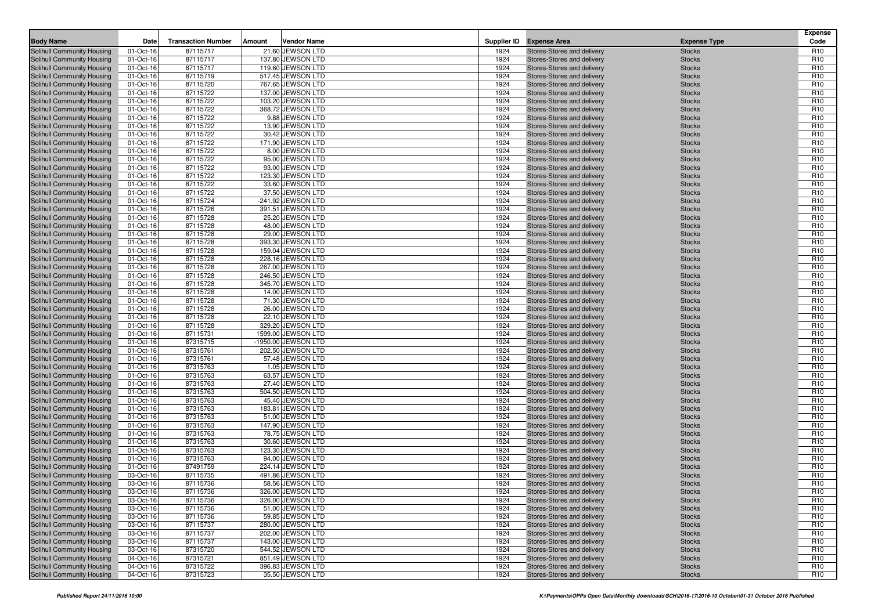| <b>Solihull Community Housing</b><br>01-Oct-16<br>87115717<br>21.60 JEWSON LTD<br>R <sub>10</sub><br>1924<br>Stores-Stores and delivery<br><b>Stocks</b><br>87115717<br>1924<br>Solihull Community Housing<br>01-Oct-16<br>137.80 JEWSON LTD<br><b>Stocks</b><br>R <sub>10</sub><br>Stores-Stores and delivery<br>1924<br>R <sub>10</sub><br>Solihull Community Housing<br>87115717<br>119.60 JEWSON LTD<br><b>Stocks</b><br>01-Oct-16<br>Stores-Stores and delivery<br>87115719<br>517.45 JEWSON LTD<br>1924<br>Solihull Community Housing<br>01-Oct-16<br>Stores-Stores and delivery<br><b>Stocks</b><br>R <sub>10</sub><br>87115720<br>1924<br>R <sub>10</sub><br>Solihull Community Housing<br>01-Oct-16<br>767.65 JEWSON LTD<br>Stores-Stores and delivery<br><b>Stocks</b><br>137.00 JEWSON LTD<br>R <sub>10</sub><br>Solihull Community Housing<br>01-Oct-16<br>87115722<br>1924<br>Stores-Stores and delivery<br><b>Stocks</b><br>87115722<br>103.20 JEWSON LTD<br>Solihull Community Housing<br>01-Oct-16<br>1924<br>Stores-Stores and delivery<br><b>Stocks</b><br>R <sub>10</sub><br>87115722<br>1924<br>R <sub>10</sub><br>Solihull Community Housing<br>01-Oct-16<br>368.72 JEWSON LTD<br>Stores-Stores and delivery<br><b>Stocks</b><br>Solihull Community Housing<br>01-Oct-16<br>87115722<br>9.88 JEWSON LTD<br>1924<br>Stores-Stores and delivery<br>R <sub>10</sub><br><b>Stocks</b><br>87115722<br>13.90 JEWSON LTD<br>1924<br>R <sub>10</sub><br><b>Solihull Community Housing</b><br>01-Oct-16<br>Stores-Stores and delivery<br><b>Stocks</b><br>87115722<br>1924<br>R <sub>10</sub><br>Solihull Community Housing<br>30.42 JEWSON LTD<br><b>Stocks</b><br>01-Oct-16<br>Stores-Stores and delivery<br>Solihull Community Housing<br>01-Oct-16<br>87115722<br>171.90 JEWSON LTD<br>1924<br>Stores-Stores and delivery<br>R <sub>10</sub><br><b>Stocks</b><br>87115722<br>8.00 JEWSON LTD<br>1924<br>R <sub>10</sub><br><b>Solihull Community Housing</b><br>01-Oct-16<br>Stores-Stores and delivery<br><b>Stocks</b><br>87115722<br>1924<br>R <sub>10</sub><br>Solihull Community Housing<br>95.00 JEWSON LTD<br><b>Stocks</b><br>01-Oct-16<br>Stores-Stores and delivery<br>87115722<br>93.00 JEWSON LTD<br>1924<br>R <sub>10</sub><br>Solihull Community Housing<br>01-Oct-16<br>Stores-Stores and delivery<br><b>Stocks</b><br>87115722<br>1924<br>R <sub>10</sub><br>01-Oct-16<br>123.30 JEWSON LTD<br>Solihull Community Housing<br>Stores-Stores and delivery<br><b>Stocks</b><br>R <sub>10</sub><br>Solihull Community Housing<br>01-Oct-16<br>87115722<br>33.60 JEWSON LTD<br>1924<br>Stores-Stores and delivery<br><b>Stocks</b><br>1924<br>Solihull Community Housing<br>01-Oct-16<br>87115722<br>37.50 JEWSON LTD<br>Stores-Stores and delivery<br>R <sub>10</sub><br><b>Stocks</b><br>87115724<br>-241.92 JEWSON LTD<br>Solihull Community Housing<br>1924<br>Stores-Stores and delivery<br><b>Stocks</b><br>R <sub>10</sub><br>01-Oct-16<br>R <sub>10</sub><br>Solihull Community Housing<br>01-Oct-16<br>87115726<br>391.51 JEWSON LTD<br>1924<br>Stores-Stores and delivery<br><b>Stocks</b><br>Solihull Community Housing<br>01-Oct-16<br>87115728<br>25.20 JEWSON LTD<br>1924<br>Stores-Stores and delivery<br>R <sub>10</sub><br><b>Stocks</b><br>87115728<br>48.00 JEWSON LTD<br>1924<br>R <sub>10</sub><br>Solihull Community Housing<br>01-Oct-16<br>Stores-Stores and delivery<br><b>Stocks</b><br>R <sub>10</sub><br>Solihull Community Housing<br>01-Oct-16<br>87115728<br>29.00 JEWSON LTD<br>1924<br>Stores-Stores and delivery<br><b>Stocks</b><br>87115728<br>393.30 JEWSON LTD<br>1924<br>R <sub>10</sub><br>Solihull Community Housing<br>01-Oct-16<br>Stores-Stores and delivery<br><b>Stocks</b><br>87115728<br>1924<br>R <sub>10</sub><br>159.04 JEWSON LTD<br>Solihull Community Housing<br>01-Oct-16<br>Stores-Stores and delivery<br><b>Stocks</b><br>87115728<br>228.16 JEWSON LTD<br>1924<br>R <sub>10</sub><br>Solihull Community Housing<br>01-Oct-16<br>Stores-Stores and delivery<br><b>Stocks</b><br>1924<br>R <sub>10</sub><br>Solihull Community Housing<br>01-Oct-16<br>87115728<br>267.00 JEWSON LTD<br>Stores-Stores and delivery<br><b>Stocks</b><br>Solihull Community Housing<br>01-Oct-16<br>87115728<br>246.50 JEWSON LTD<br>1924<br>Stores-Stores and delivery<br><b>Stocks</b><br>R <sub>10</sub><br>87115728<br>345.70 JEWSON LTD<br>R <sub>10</sub><br>Solihull Community Housing<br>01-Oct-16<br>1924<br>Stores-Stores and delivery<br><b>Stocks</b><br>R <sub>10</sub><br>87115728<br>14.00 JEWSON LTD<br>1924<br>Solihull Community Housing<br>01-Oct-16<br>Stores-Stores and delivery<br><b>Stocks</b><br>87115728<br>Solihull Community Housing<br>01-Oct-16<br>71.30 JEWSON LTD<br>1924<br>Stores-Stores and delivery<br><b>Stocks</b><br>R <sub>10</sub><br>87115728<br>26.00 JEWSON LTD<br>R <sub>10</sub><br>Solihull Community Housing<br>01-Oct-16<br>1924<br>Stores-Stores and delivery<br><b>Stocks</b><br>87115728<br>1924<br>R <sub>10</sub><br>Solihull Community Housing<br>01-Oct-16<br>22.10 JEWSON LTD<br>Stores-Stores and delivery<br><b>Stocks</b><br>87115728<br>Solihull Community Housing<br>01-Oct-16<br>329.20 JEWSON LTD<br>1924<br>Stores-Stores and delivery<br><b>Stocks</b><br>R <sub>10</sub><br>87115731<br>1599.00 JEWSON LTD<br>1924<br>R <sub>10</sub><br><b>Solihull Community Housing</b><br>01-Oct-16<br>Stores-Stores and delivery<br><b>Stocks</b><br>1924<br>R <sub>10</sub><br>Solihull Community Housing<br>01-Oct-16<br>87315715<br>-1950.00 JEWSON LTD<br>Stores-Stores and delivery<br><b>Stocks</b><br>87315761<br>202.50 JEWSON LTD<br>1924<br>R <sub>10</sub><br>Solihull Community Housing<br>01-Oct-16<br>Stores-Stores and delivery<br><b>Stocks</b><br>57.48 JEWSON LTD<br>1924<br>R <sub>10</sub><br>Solihull Community Housing<br>01-Oct-16<br>87315761<br>Stores-Stores and delivery<br><b>Stocks</b><br>1924<br>R <sub>10</sub><br>01-Oct-16<br>87315763<br>1.05 JEWSON LTD<br>Solihull Community Housing<br>Stores-Stores and delivery<br><b>Stocks</b><br>87315763<br>63.57 JEWSON LTD<br>R <sub>10</sub><br>Solihull Community Housing<br>01-Oct-16<br>1924<br>Stores-Stores and delivery<br><b>Stocks</b><br>1924<br>R <sub>10</sub><br>Solihull Community Housing<br>87315763<br>27.40 JEWSON LTD<br>01-Oct-16<br>Stores-Stores and delivery<br><b>Stocks</b><br>1924<br>Solihull Community Housing<br>01-Oct-16<br>87315763<br>504.50 JEWSON LTD<br>Stores-Stores and delivery<br><b>Stocks</b><br>R <sub>10</sub><br>R <sub>10</sub><br>Solihull Community Housing<br>01-Oct-16<br>87315763<br>45.40 JEWSON LTD<br>1924<br>Stores-Stores and delivery<br><b>Stocks</b><br>183.81 JEWSON LTD<br>1924<br>R <sub>10</sub><br>Solihull Community Housing<br>01-Oct-16<br>87315763<br>Stores-Stores and delivery<br><b>Stocks</b><br>1924<br>Solihull Community Housing<br>01-Oct-16<br>87315763<br>51.00 JEWSON LTD<br>Stores-Stores and delivery<br><b>Stocks</b><br>R <sub>10</sub><br>87315763<br>147.90 JEWSON LTD<br>1924<br>R <sub>10</sub><br>Solihull Community Housing<br>01-Oct-16<br>Stores-Stores and delivery<br><b>Stocks</b><br>78.75 JEWSON LTD<br>1924<br>R <sub>10</sub><br>Solihull Community Housing<br>87315763<br>01-Oct-16<br>Stores-Stores and delivery<br><b>Stocks</b><br>1924<br>Solihull Community Housing<br>01-Oct-16<br>87315763<br>30.60 JEWSON LTD<br>Stores-Stores and delivery<br><b>Stocks</b><br>R <sub>10</sub><br>87315763<br>123.30 JEWSON LTD<br>1924<br>R <sub>10</sub><br>Solihull Community Housing<br>01-Oct-16<br>Stores-Stores and delivery<br><b>Stocks</b><br>1924<br>R <sub>10</sub><br>Solihull Community Housing<br>87315763<br>94.00 JEWSON LTD<br>01-Oct-16<br>Stores-Stores and delivery<br><b>Stocks</b><br>87491759<br>224.14 JEWSON LTD<br>Solihull Community Housing<br>01-Oct-16<br>1924<br>Stores-Stores and delivery<br><b>Stocks</b><br>R <sub>10</sub><br>R <sub>10</sub><br>Solihull Community Housing<br>03-Oct-16<br>87115735<br>491.86 JEWSON LTD<br>1924<br>Stores-Stores and delivery<br><b>Stocks</b><br>58.56 JEWSON LTD<br>1924<br>R <sub>10</sub><br>Solihull Community Housing<br>03-Oct-16<br>87115736<br>Stores-Stores and delivery<br><b>Stocks</b><br>Solihull Community Housing<br>03-Oct-16<br>87115736<br>326.00 JEWSON LTD<br>1924<br>Stores-Stores and delivery<br>R <sub>10</sub><br><b>Stocks</b><br>Solihull Community Housing<br>87115736<br>326.00 JEWSON LTD<br>1924<br>R <sub>10</sub><br>03-Oct-16<br>Stores-Stores and delivery<br><b>Stocks</b><br>Solihull Community Housing<br>51.00 JEWSON LTD<br>03-Oct-16<br>87115736<br>1924<br>Stores-Stores and delivery<br>R <sub>10</sub><br><b>Stocks</b><br>59.85 JEWSON LTD<br>1924<br>Solihull Community Housing<br>03-Oct-16<br>87115736<br>Stores-Stores and delivery<br><b>Stocks</b><br>R <sub>10</sub><br>Solihull Community Housing<br>87115737<br>280.00 JEWSON LTD<br>1924<br>R <sub>10</sub><br>03-Oct-16<br>Stores-Stores and delivery<br><b>Stocks</b><br>Solihull Community Housing<br>03-Oct-16<br>87115737<br>202.00 JEWSON LTD<br>1924<br>Stores-Stores and delivery<br><b>Stocks</b><br>R <sub>10</sub><br>Solihull Community Housing<br>87115737<br>143.00 JEWSON LTD<br>1924<br>03-Oct-16<br>Stores-Stores and delivery<br><b>Stocks</b><br>R <sub>10</sub><br>1924<br>R <sub>10</sub><br>Solihull Community Housing<br>03-Oct-16<br>87315720<br>544.52 JEWSON LTD<br>Stores-Stores and delivery<br><b>Stocks</b><br>Solihull Community Housing<br>87315721<br>851.49 JEWSON LTD<br>1924<br>R <sub>10</sub><br>04-Oct-16<br>Stores-Stores and delivery<br><b>Stocks</b><br>87315722<br>396.83 JEWSON LTD<br>1924<br>Solihull Community Housing<br>04-Oct-16<br>Stores-Stores and delivery<br><b>Stocks</b><br>R <sub>10</sub><br>R <sub>10</sub><br>Solihull Community Housing<br>87315723<br>35.50 JEWSON LTD<br>1924<br>04-Oct-16<br>Stores-Stores and delivery<br><b>Stocks</b> | <b>Body Name</b> | Date | <b>Transaction Number</b> | Amount | <b>Vendor Name</b> | Supplier ID Expense Area | <b>Expense Type</b> | <b>Expense</b><br>Code |
|----------------------------------------------------------------------------------------------------------------------------------------------------------------------------------------------------------------------------------------------------------------------------------------------------------------------------------------------------------------------------------------------------------------------------------------------------------------------------------------------------------------------------------------------------------------------------------------------------------------------------------------------------------------------------------------------------------------------------------------------------------------------------------------------------------------------------------------------------------------------------------------------------------------------------------------------------------------------------------------------------------------------------------------------------------------------------------------------------------------------------------------------------------------------------------------------------------------------------------------------------------------------------------------------------------------------------------------------------------------------------------------------------------------------------------------------------------------------------------------------------------------------------------------------------------------------------------------------------------------------------------------------------------------------------------------------------------------------------------------------------------------------------------------------------------------------------------------------------------------------------------------------------------------------------------------------------------------------------------------------------------------------------------------------------------------------------------------------------------------------------------------------------------------------------------------------------------------------------------------------------------------------------------------------------------------------------------------------------------------------------------------------------------------------------------------------------------------------------------------------------------------------------------------------------------------------------------------------------------------------------------------------------------------------------------------------------------------------------------------------------------------------------------------------------------------------------------------------------------------------------------------------------------------------------------------------------------------------------------------------------------------------------------------------------------------------------------------------------------------------------------------------------------------------------------------------------------------------------------------------------------------------------------------------------------------------------------------------------------------------------------------------------------------------------------------------------------------------------------------------------------------------------------------------------------------------------------------------------------------------------------------------------------------------------------------------------------------------------------------------------------------------------------------------------------------------------------------------------------------------------------------------------------------------------------------------------------------------------------------------------------------------------------------------------------------------------------------------------------------------------------------------------------------------------------------------------------------------------------------------------------------------------------------------------------------------------------------------------------------------------------------------------------------------------------------------------------------------------------------------------------------------------------------------------------------------------------------------------------------------------------------------------------------------------------------------------------------------------------------------------------------------------------------------------------------------------------------------------------------------------------------------------------------------------------------------------------------------------------------------------------------------------------------------------------------------------------------------------------------------------------------------------------------------------------------------------------------------------------------------------------------------------------------------------------------------------------------------------------------------------------------------------------------------------------------------------------------------------------------------------------------------------------------------------------------------------------------------------------------------------------------------------------------------------------------------------------------------------------------------------------------------------------------------------------------------------------------------------------------------------------------------------------------------------------------------------------------------------------------------------------------------------------------------------------------------------------------------------------------------------------------------------------------------------------------------------------------------------------------------------------------------------------------------------------------------------------------------------------------------------------------------------------------------------------------------------------------------------------------------------------------------------------------------------------------------------------------------------------------------------------------------------------------------------------------------------------------------------------------------------------------------------------------------------------------------------------------------------------------------------------------------------------------------------------------------------------------------------------------------------------------------------------------------------------------------------------------------------------------------------------------------------------------------------------------------------------------------------------------------------------------------------------------------------------------------------------------------------------------------------------------------------------------------------------------------------------------------------------------------------------------------------------------------------------------------------------------------------------------------------------------------------------------------------------------------------------------------------------------------------------------------------------------------------------------------------------------------------------------------------------------------------------------------------------------------------------------------------------------------------------------------------------------------------------------------------------------------------------------------------------------------------------------------------------------------------------------------------------------------------------------------------------------------------------------------------------------------------------------------------------------------------------------------------------------------------------------------------------------------------------------------------------------------------------------------------------------------------------------------------------------------------------------------------------------------------------------------------------------------------------------------------------------------------------------------------------------------------------------------------------------------------------------------------------------------------------------------------------------------------------------------------------------------------------------------------------------------------------------------------------------------------------------------------------------------------------------------------------------------------------------------------------------------------------------------------------------------------------------------------------------------------------------------------------------------------------------------------------------------------------------------------------------------------------------------------------------------------------------------------------------------------------------------------------------------------------------------------------------------------------------------------------------------------------------------------------------------------------------------------------------------------------------------------------------------------------------------------------------------|------------------|------|---------------------------|--------|--------------------|--------------------------|---------------------|------------------------|
|                                                                                                                                                                                                                                                                                                                                                                                                                                                                                                                                                                                                                                                                                                                                                                                                                                                                                                                                                                                                                                                                                                                                                                                                                                                                                                                                                                                                                                                                                                                                                                                                                                                                                                                                                                                                                                                                                                                                                                                                                                                                                                                                                                                                                                                                                                                                                                                                                                                                                                                                                                                                                                                                                                                                                                                                                                                                                                                                                                                                                                                                                                                                                                                                                                                                                                                                                                                                                                                                                                                                                                                                                                                                                                                                                                                                                                                                                                                                                                                                                                                                                                                                                                                                                                                                                                                                                                                                                                                                                                                                                                                                                                                                                                                                                                                                                                                                                                                                                                                                                                                                                                                                                                                                                                                                                                                                                                                                                                                                                                                                                                                                                                                                                                                                                                                                                                                                                                                                                                                                                                                                                                                                                                                                                                                                                                                                                                                                                                                                                                                                                                                                                                                                                                                                                                                                                                                                                                                                                                                                                                                                                                                                                                                                                                                                                                                                                                                                                                                                                                                                                                                                                                                                                                                                                                                                                                                                                                                                                                                                                                                                                                                                                                                                                                                                                                                                                                                                                                                                                                                                                                                                                                                                                                                                                                                                                                                                                                                                                                                                                                                                                                                                                                                                                                                                                                                                                                                                                                                                                                                                                                                                                                                                                                                                                                                                                                                                                                                                                                                              |                  |      |                           |        |                    |                          |                     |                        |
|                                                                                                                                                                                                                                                                                                                                                                                                                                                                                                                                                                                                                                                                                                                                                                                                                                                                                                                                                                                                                                                                                                                                                                                                                                                                                                                                                                                                                                                                                                                                                                                                                                                                                                                                                                                                                                                                                                                                                                                                                                                                                                                                                                                                                                                                                                                                                                                                                                                                                                                                                                                                                                                                                                                                                                                                                                                                                                                                                                                                                                                                                                                                                                                                                                                                                                                                                                                                                                                                                                                                                                                                                                                                                                                                                                                                                                                                                                                                                                                                                                                                                                                                                                                                                                                                                                                                                                                                                                                                                                                                                                                                                                                                                                                                                                                                                                                                                                                                                                                                                                                                                                                                                                                                                                                                                                                                                                                                                                                                                                                                                                                                                                                                                                                                                                                                                                                                                                                                                                                                                                                                                                                                                                                                                                                                                                                                                                                                                                                                                                                                                                                                                                                                                                                                                                                                                                                                                                                                                                                                                                                                                                                                                                                                                                                                                                                                                                                                                                                                                                                                                                                                                                                                                                                                                                                                                                                                                                                                                                                                                                                                                                                                                                                                                                                                                                                                                                                                                                                                                                                                                                                                                                                                                                                                                                                                                                                                                                                                                                                                                                                                                                                                                                                                                                                                                                                                                                                                                                                                                                                                                                                                                                                                                                                                                                                                                                                                                                                                                                                              |                  |      |                           |        |                    |                          |                     |                        |
|                                                                                                                                                                                                                                                                                                                                                                                                                                                                                                                                                                                                                                                                                                                                                                                                                                                                                                                                                                                                                                                                                                                                                                                                                                                                                                                                                                                                                                                                                                                                                                                                                                                                                                                                                                                                                                                                                                                                                                                                                                                                                                                                                                                                                                                                                                                                                                                                                                                                                                                                                                                                                                                                                                                                                                                                                                                                                                                                                                                                                                                                                                                                                                                                                                                                                                                                                                                                                                                                                                                                                                                                                                                                                                                                                                                                                                                                                                                                                                                                                                                                                                                                                                                                                                                                                                                                                                                                                                                                                                                                                                                                                                                                                                                                                                                                                                                                                                                                                                                                                                                                                                                                                                                                                                                                                                                                                                                                                                                                                                                                                                                                                                                                                                                                                                                                                                                                                                                                                                                                                                                                                                                                                                                                                                                                                                                                                                                                                                                                                                                                                                                                                                                                                                                                                                                                                                                                                                                                                                                                                                                                                                                                                                                                                                                                                                                                                                                                                                                                                                                                                                                                                                                                                                                                                                                                                                                                                                                                                                                                                                                                                                                                                                                                                                                                                                                                                                                                                                                                                                                                                                                                                                                                                                                                                                                                                                                                                                                                                                                                                                                                                                                                                                                                                                                                                                                                                                                                                                                                                                                                                                                                                                                                                                                                                                                                                                                                                                                                                                                              |                  |      |                           |        |                    |                          |                     |                        |
|                                                                                                                                                                                                                                                                                                                                                                                                                                                                                                                                                                                                                                                                                                                                                                                                                                                                                                                                                                                                                                                                                                                                                                                                                                                                                                                                                                                                                                                                                                                                                                                                                                                                                                                                                                                                                                                                                                                                                                                                                                                                                                                                                                                                                                                                                                                                                                                                                                                                                                                                                                                                                                                                                                                                                                                                                                                                                                                                                                                                                                                                                                                                                                                                                                                                                                                                                                                                                                                                                                                                                                                                                                                                                                                                                                                                                                                                                                                                                                                                                                                                                                                                                                                                                                                                                                                                                                                                                                                                                                                                                                                                                                                                                                                                                                                                                                                                                                                                                                                                                                                                                                                                                                                                                                                                                                                                                                                                                                                                                                                                                                                                                                                                                                                                                                                                                                                                                                                                                                                                                                                                                                                                                                                                                                                                                                                                                                                                                                                                                                                                                                                                                                                                                                                                                                                                                                                                                                                                                                                                                                                                                                                                                                                                                                                                                                                                                                                                                                                                                                                                                                                                                                                                                                                                                                                                                                                                                                                                                                                                                                                                                                                                                                                                                                                                                                                                                                                                                                                                                                                                                                                                                                                                                                                                                                                                                                                                                                                                                                                                                                                                                                                                                                                                                                                                                                                                                                                                                                                                                                                                                                                                                                                                                                                                                                                                                                                                                                                                                                                              |                  |      |                           |        |                    |                          |                     |                        |
|                                                                                                                                                                                                                                                                                                                                                                                                                                                                                                                                                                                                                                                                                                                                                                                                                                                                                                                                                                                                                                                                                                                                                                                                                                                                                                                                                                                                                                                                                                                                                                                                                                                                                                                                                                                                                                                                                                                                                                                                                                                                                                                                                                                                                                                                                                                                                                                                                                                                                                                                                                                                                                                                                                                                                                                                                                                                                                                                                                                                                                                                                                                                                                                                                                                                                                                                                                                                                                                                                                                                                                                                                                                                                                                                                                                                                                                                                                                                                                                                                                                                                                                                                                                                                                                                                                                                                                                                                                                                                                                                                                                                                                                                                                                                                                                                                                                                                                                                                                                                                                                                                                                                                                                                                                                                                                                                                                                                                                                                                                                                                                                                                                                                                                                                                                                                                                                                                                                                                                                                                                                                                                                                                                                                                                                                                                                                                                                                                                                                                                                                                                                                                                                                                                                                                                                                                                                                                                                                                                                                                                                                                                                                                                                                                                                                                                                                                                                                                                                                                                                                                                                                                                                                                                                                                                                                                                                                                                                                                                                                                                                                                                                                                                                                                                                                                                                                                                                                                                                                                                                                                                                                                                                                                                                                                                                                                                                                                                                                                                                                                                                                                                                                                                                                                                                                                                                                                                                                                                                                                                                                                                                                                                                                                                                                                                                                                                                                                                                                                                                              |                  |      |                           |        |                    |                          |                     |                        |
|                                                                                                                                                                                                                                                                                                                                                                                                                                                                                                                                                                                                                                                                                                                                                                                                                                                                                                                                                                                                                                                                                                                                                                                                                                                                                                                                                                                                                                                                                                                                                                                                                                                                                                                                                                                                                                                                                                                                                                                                                                                                                                                                                                                                                                                                                                                                                                                                                                                                                                                                                                                                                                                                                                                                                                                                                                                                                                                                                                                                                                                                                                                                                                                                                                                                                                                                                                                                                                                                                                                                                                                                                                                                                                                                                                                                                                                                                                                                                                                                                                                                                                                                                                                                                                                                                                                                                                                                                                                                                                                                                                                                                                                                                                                                                                                                                                                                                                                                                                                                                                                                                                                                                                                                                                                                                                                                                                                                                                                                                                                                                                                                                                                                                                                                                                                                                                                                                                                                                                                                                                                                                                                                                                                                                                                                                                                                                                                                                                                                                                                                                                                                                                                                                                                                                                                                                                                                                                                                                                                                                                                                                                                                                                                                                                                                                                                                                                                                                                                                                                                                                                                                                                                                                                                                                                                                                                                                                                                                                                                                                                                                                                                                                                                                                                                                                                                                                                                                                                                                                                                                                                                                                                                                                                                                                                                                                                                                                                                                                                                                                                                                                                                                                                                                                                                                                                                                                                                                                                                                                                                                                                                                                                                                                                                                                                                                                                                                                                                                                                                              |                  |      |                           |        |                    |                          |                     |                        |
|                                                                                                                                                                                                                                                                                                                                                                                                                                                                                                                                                                                                                                                                                                                                                                                                                                                                                                                                                                                                                                                                                                                                                                                                                                                                                                                                                                                                                                                                                                                                                                                                                                                                                                                                                                                                                                                                                                                                                                                                                                                                                                                                                                                                                                                                                                                                                                                                                                                                                                                                                                                                                                                                                                                                                                                                                                                                                                                                                                                                                                                                                                                                                                                                                                                                                                                                                                                                                                                                                                                                                                                                                                                                                                                                                                                                                                                                                                                                                                                                                                                                                                                                                                                                                                                                                                                                                                                                                                                                                                                                                                                                                                                                                                                                                                                                                                                                                                                                                                                                                                                                                                                                                                                                                                                                                                                                                                                                                                                                                                                                                                                                                                                                                                                                                                                                                                                                                                                                                                                                                                                                                                                                                                                                                                                                                                                                                                                                                                                                                                                                                                                                                                                                                                                                                                                                                                                                                                                                                                                                                                                                                                                                                                                                                                                                                                                                                                                                                                                                                                                                                                                                                                                                                                                                                                                                                                                                                                                                                                                                                                                                                                                                                                                                                                                                                                                                                                                                                                                                                                                                                                                                                                                                                                                                                                                                                                                                                                                                                                                                                                                                                                                                                                                                                                                                                                                                                                                                                                                                                                                                                                                                                                                                                                                                                                                                                                                                                                                                                                                              |                  |      |                           |        |                    |                          |                     |                        |
|                                                                                                                                                                                                                                                                                                                                                                                                                                                                                                                                                                                                                                                                                                                                                                                                                                                                                                                                                                                                                                                                                                                                                                                                                                                                                                                                                                                                                                                                                                                                                                                                                                                                                                                                                                                                                                                                                                                                                                                                                                                                                                                                                                                                                                                                                                                                                                                                                                                                                                                                                                                                                                                                                                                                                                                                                                                                                                                                                                                                                                                                                                                                                                                                                                                                                                                                                                                                                                                                                                                                                                                                                                                                                                                                                                                                                                                                                                                                                                                                                                                                                                                                                                                                                                                                                                                                                                                                                                                                                                                                                                                                                                                                                                                                                                                                                                                                                                                                                                                                                                                                                                                                                                                                                                                                                                                                                                                                                                                                                                                                                                                                                                                                                                                                                                                                                                                                                                                                                                                                                                                                                                                                                                                                                                                                                                                                                                                                                                                                                                                                                                                                                                                                                                                                                                                                                                                                                                                                                                                                                                                                                                                                                                                                                                                                                                                                                                                                                                                                                                                                                                                                                                                                                                                                                                                                                                                                                                                                                                                                                                                                                                                                                                                                                                                                                                                                                                                                                                                                                                                                                                                                                                                                                                                                                                                                                                                                                                                                                                                                                                                                                                                                                                                                                                                                                                                                                                                                                                                                                                                                                                                                                                                                                                                                                                                                                                                                                                                                                                                              |                  |      |                           |        |                    |                          |                     |                        |
|                                                                                                                                                                                                                                                                                                                                                                                                                                                                                                                                                                                                                                                                                                                                                                                                                                                                                                                                                                                                                                                                                                                                                                                                                                                                                                                                                                                                                                                                                                                                                                                                                                                                                                                                                                                                                                                                                                                                                                                                                                                                                                                                                                                                                                                                                                                                                                                                                                                                                                                                                                                                                                                                                                                                                                                                                                                                                                                                                                                                                                                                                                                                                                                                                                                                                                                                                                                                                                                                                                                                                                                                                                                                                                                                                                                                                                                                                                                                                                                                                                                                                                                                                                                                                                                                                                                                                                                                                                                                                                                                                                                                                                                                                                                                                                                                                                                                                                                                                                                                                                                                                                                                                                                                                                                                                                                                                                                                                                                                                                                                                                                                                                                                                                                                                                                                                                                                                                                                                                                                                                                                                                                                                                                                                                                                                                                                                                                                                                                                                                                                                                                                                                                                                                                                                                                                                                                                                                                                                                                                                                                                                                                                                                                                                                                                                                                                                                                                                                                                                                                                                                                                                                                                                                                                                                                                                                                                                                                                                                                                                                                                                                                                                                                                                                                                                                                                                                                                                                                                                                                                                                                                                                                                                                                                                                                                                                                                                                                                                                                                                                                                                                                                                                                                                                                                                                                                                                                                                                                                                                                                                                                                                                                                                                                                                                                                                                                                                                                                                                                              |                  |      |                           |        |                    |                          |                     |                        |
|                                                                                                                                                                                                                                                                                                                                                                                                                                                                                                                                                                                                                                                                                                                                                                                                                                                                                                                                                                                                                                                                                                                                                                                                                                                                                                                                                                                                                                                                                                                                                                                                                                                                                                                                                                                                                                                                                                                                                                                                                                                                                                                                                                                                                                                                                                                                                                                                                                                                                                                                                                                                                                                                                                                                                                                                                                                                                                                                                                                                                                                                                                                                                                                                                                                                                                                                                                                                                                                                                                                                                                                                                                                                                                                                                                                                                                                                                                                                                                                                                                                                                                                                                                                                                                                                                                                                                                                                                                                                                                                                                                                                                                                                                                                                                                                                                                                                                                                                                                                                                                                                                                                                                                                                                                                                                                                                                                                                                                                                                                                                                                                                                                                                                                                                                                                                                                                                                                                                                                                                                                                                                                                                                                                                                                                                                                                                                                                                                                                                                                                                                                                                                                                                                                                                                                                                                                                                                                                                                                                                                                                                                                                                                                                                                                                                                                                                                                                                                                                                                                                                                                                                                                                                                                                                                                                                                                                                                                                                                                                                                                                                                                                                                                                                                                                                                                                                                                                                                                                                                                                                                                                                                                                                                                                                                                                                                                                                                                                                                                                                                                                                                                                                                                                                                                                                                                                                                                                                                                                                                                                                                                                                                                                                                                                                                                                                                                                                                                                                                                                              |                  |      |                           |        |                    |                          |                     |                        |
|                                                                                                                                                                                                                                                                                                                                                                                                                                                                                                                                                                                                                                                                                                                                                                                                                                                                                                                                                                                                                                                                                                                                                                                                                                                                                                                                                                                                                                                                                                                                                                                                                                                                                                                                                                                                                                                                                                                                                                                                                                                                                                                                                                                                                                                                                                                                                                                                                                                                                                                                                                                                                                                                                                                                                                                                                                                                                                                                                                                                                                                                                                                                                                                                                                                                                                                                                                                                                                                                                                                                                                                                                                                                                                                                                                                                                                                                                                                                                                                                                                                                                                                                                                                                                                                                                                                                                                                                                                                                                                                                                                                                                                                                                                                                                                                                                                                                                                                                                                                                                                                                                                                                                                                                                                                                                                                                                                                                                                                                                                                                                                                                                                                                                                                                                                                                                                                                                                                                                                                                                                                                                                                                                                                                                                                                                                                                                                                                                                                                                                                                                                                                                                                                                                                                                                                                                                                                                                                                                                                                                                                                                                                                                                                                                                                                                                                                                                                                                                                                                                                                                                                                                                                                                                                                                                                                                                                                                                                                                                                                                                                                                                                                                                                                                                                                                                                                                                                                                                                                                                                                                                                                                                                                                                                                                                                                                                                                                                                                                                                                                                                                                                                                                                                                                                                                                                                                                                                                                                                                                                                                                                                                                                                                                                                                                                                                                                                                                                                                                                                              |                  |      |                           |        |                    |                          |                     |                        |
|                                                                                                                                                                                                                                                                                                                                                                                                                                                                                                                                                                                                                                                                                                                                                                                                                                                                                                                                                                                                                                                                                                                                                                                                                                                                                                                                                                                                                                                                                                                                                                                                                                                                                                                                                                                                                                                                                                                                                                                                                                                                                                                                                                                                                                                                                                                                                                                                                                                                                                                                                                                                                                                                                                                                                                                                                                                                                                                                                                                                                                                                                                                                                                                                                                                                                                                                                                                                                                                                                                                                                                                                                                                                                                                                                                                                                                                                                                                                                                                                                                                                                                                                                                                                                                                                                                                                                                                                                                                                                                                                                                                                                                                                                                                                                                                                                                                                                                                                                                                                                                                                                                                                                                                                                                                                                                                                                                                                                                                                                                                                                                                                                                                                                                                                                                                                                                                                                                                                                                                                                                                                                                                                                                                                                                                                                                                                                                                                                                                                                                                                                                                                                                                                                                                                                                                                                                                                                                                                                                                                                                                                                                                                                                                                                                                                                                                                                                                                                                                                                                                                                                                                                                                                                                                                                                                                                                                                                                                                                                                                                                                                                                                                                                                                                                                                                                                                                                                                                                                                                                                                                                                                                                                                                                                                                                                                                                                                                                                                                                                                                                                                                                                                                                                                                                                                                                                                                                                                                                                                                                                                                                                                                                                                                                                                                                                                                                                                                                                                                                                              |                  |      |                           |        |                    |                          |                     |                        |
|                                                                                                                                                                                                                                                                                                                                                                                                                                                                                                                                                                                                                                                                                                                                                                                                                                                                                                                                                                                                                                                                                                                                                                                                                                                                                                                                                                                                                                                                                                                                                                                                                                                                                                                                                                                                                                                                                                                                                                                                                                                                                                                                                                                                                                                                                                                                                                                                                                                                                                                                                                                                                                                                                                                                                                                                                                                                                                                                                                                                                                                                                                                                                                                                                                                                                                                                                                                                                                                                                                                                                                                                                                                                                                                                                                                                                                                                                                                                                                                                                                                                                                                                                                                                                                                                                                                                                                                                                                                                                                                                                                                                                                                                                                                                                                                                                                                                                                                                                                                                                                                                                                                                                                                                                                                                                                                                                                                                                                                                                                                                                                                                                                                                                                                                                                                                                                                                                                                                                                                                                                                                                                                                                                                                                                                                                                                                                                                                                                                                                                                                                                                                                                                                                                                                                                                                                                                                                                                                                                                                                                                                                                                                                                                                                                                                                                                                                                                                                                                                                                                                                                                                                                                                                                                                                                                                                                                                                                                                                                                                                                                                                                                                                                                                                                                                                                                                                                                                                                                                                                                                                                                                                                                                                                                                                                                                                                                                                                                                                                                                                                                                                                                                                                                                                                                                                                                                                                                                                                                                                                                                                                                                                                                                                                                                                                                                                                                                                                                                                                                              |                  |      |                           |        |                    |                          |                     |                        |
|                                                                                                                                                                                                                                                                                                                                                                                                                                                                                                                                                                                                                                                                                                                                                                                                                                                                                                                                                                                                                                                                                                                                                                                                                                                                                                                                                                                                                                                                                                                                                                                                                                                                                                                                                                                                                                                                                                                                                                                                                                                                                                                                                                                                                                                                                                                                                                                                                                                                                                                                                                                                                                                                                                                                                                                                                                                                                                                                                                                                                                                                                                                                                                                                                                                                                                                                                                                                                                                                                                                                                                                                                                                                                                                                                                                                                                                                                                                                                                                                                                                                                                                                                                                                                                                                                                                                                                                                                                                                                                                                                                                                                                                                                                                                                                                                                                                                                                                                                                                                                                                                                                                                                                                                                                                                                                                                                                                                                                                                                                                                                                                                                                                                                                                                                                                                                                                                                                                                                                                                                                                                                                                                                                                                                                                                                                                                                                                                                                                                                                                                                                                                                                                                                                                                                                                                                                                                                                                                                                                                                                                                                                                                                                                                                                                                                                                                                                                                                                                                                                                                                                                                                                                                                                                                                                                                                                                                                                                                                                                                                                                                                                                                                                                                                                                                                                                                                                                                                                                                                                                                                                                                                                                                                                                                                                                                                                                                                                                                                                                                                                                                                                                                                                                                                                                                                                                                                                                                                                                                                                                                                                                                                                                                                                                                                                                                                                                                                                                                                                                              |                  |      |                           |        |                    |                          |                     |                        |
|                                                                                                                                                                                                                                                                                                                                                                                                                                                                                                                                                                                                                                                                                                                                                                                                                                                                                                                                                                                                                                                                                                                                                                                                                                                                                                                                                                                                                                                                                                                                                                                                                                                                                                                                                                                                                                                                                                                                                                                                                                                                                                                                                                                                                                                                                                                                                                                                                                                                                                                                                                                                                                                                                                                                                                                                                                                                                                                                                                                                                                                                                                                                                                                                                                                                                                                                                                                                                                                                                                                                                                                                                                                                                                                                                                                                                                                                                                                                                                                                                                                                                                                                                                                                                                                                                                                                                                                                                                                                                                                                                                                                                                                                                                                                                                                                                                                                                                                                                                                                                                                                                                                                                                                                                                                                                                                                                                                                                                                                                                                                                                                                                                                                                                                                                                                                                                                                                                                                                                                                                                                                                                                                                                                                                                                                                                                                                                                                                                                                                                                                                                                                                                                                                                                                                                                                                                                                                                                                                                                                                                                                                                                                                                                                                                                                                                                                                                                                                                                                                                                                                                                                                                                                                                                                                                                                                                                                                                                                                                                                                                                                                                                                                                                                                                                                                                                                                                                                                                                                                                                                                                                                                                                                                                                                                                                                                                                                                                                                                                                                                                                                                                                                                                                                                                                                                                                                                                                                                                                                                                                                                                                                                                                                                                                                                                                                                                                                                                                                                                                              |                  |      |                           |        |                    |                          |                     |                        |
|                                                                                                                                                                                                                                                                                                                                                                                                                                                                                                                                                                                                                                                                                                                                                                                                                                                                                                                                                                                                                                                                                                                                                                                                                                                                                                                                                                                                                                                                                                                                                                                                                                                                                                                                                                                                                                                                                                                                                                                                                                                                                                                                                                                                                                                                                                                                                                                                                                                                                                                                                                                                                                                                                                                                                                                                                                                                                                                                                                                                                                                                                                                                                                                                                                                                                                                                                                                                                                                                                                                                                                                                                                                                                                                                                                                                                                                                                                                                                                                                                                                                                                                                                                                                                                                                                                                                                                                                                                                                                                                                                                                                                                                                                                                                                                                                                                                                                                                                                                                                                                                                                                                                                                                                                                                                                                                                                                                                                                                                                                                                                                                                                                                                                                                                                                                                                                                                                                                                                                                                                                                                                                                                                                                                                                                                                                                                                                                                                                                                                                                                                                                                                                                                                                                                                                                                                                                                                                                                                                                                                                                                                                                                                                                                                                                                                                                                                                                                                                                                                                                                                                                                                                                                                                                                                                                                                                                                                                                                                                                                                                                                                                                                                                                                                                                                                                                                                                                                                                                                                                                                                                                                                                                                                                                                                                                                                                                                                                                                                                                                                                                                                                                                                                                                                                                                                                                                                                                                                                                                                                                                                                                                                                                                                                                                                                                                                                                                                                                                                                                              |                  |      |                           |        |                    |                          |                     |                        |
|                                                                                                                                                                                                                                                                                                                                                                                                                                                                                                                                                                                                                                                                                                                                                                                                                                                                                                                                                                                                                                                                                                                                                                                                                                                                                                                                                                                                                                                                                                                                                                                                                                                                                                                                                                                                                                                                                                                                                                                                                                                                                                                                                                                                                                                                                                                                                                                                                                                                                                                                                                                                                                                                                                                                                                                                                                                                                                                                                                                                                                                                                                                                                                                                                                                                                                                                                                                                                                                                                                                                                                                                                                                                                                                                                                                                                                                                                                                                                                                                                                                                                                                                                                                                                                                                                                                                                                                                                                                                                                                                                                                                                                                                                                                                                                                                                                                                                                                                                                                                                                                                                                                                                                                                                                                                                                                                                                                                                                                                                                                                                                                                                                                                                                                                                                                                                                                                                                                                                                                                                                                                                                                                                                                                                                                                                                                                                                                                                                                                                                                                                                                                                                                                                                                                                                                                                                                                                                                                                                                                                                                                                                                                                                                                                                                                                                                                                                                                                                                                                                                                                                                                                                                                                                                                                                                                                                                                                                                                                                                                                                                                                                                                                                                                                                                                                                                                                                                                                                                                                                                                                                                                                                                                                                                                                                                                                                                                                                                                                                                                                                                                                                                                                                                                                                                                                                                                                                                                                                                                                                                                                                                                                                                                                                                                                                                                                                                                                                                                                                                              |                  |      |                           |        |                    |                          |                     |                        |
|                                                                                                                                                                                                                                                                                                                                                                                                                                                                                                                                                                                                                                                                                                                                                                                                                                                                                                                                                                                                                                                                                                                                                                                                                                                                                                                                                                                                                                                                                                                                                                                                                                                                                                                                                                                                                                                                                                                                                                                                                                                                                                                                                                                                                                                                                                                                                                                                                                                                                                                                                                                                                                                                                                                                                                                                                                                                                                                                                                                                                                                                                                                                                                                                                                                                                                                                                                                                                                                                                                                                                                                                                                                                                                                                                                                                                                                                                                                                                                                                                                                                                                                                                                                                                                                                                                                                                                                                                                                                                                                                                                                                                                                                                                                                                                                                                                                                                                                                                                                                                                                                                                                                                                                                                                                                                                                                                                                                                                                                                                                                                                                                                                                                                                                                                                                                                                                                                                                                                                                                                                                                                                                                                                                                                                                                                                                                                                                                                                                                                                                                                                                                                                                                                                                                                                                                                                                                                                                                                                                                                                                                                                                                                                                                                                                                                                                                                                                                                                                                                                                                                                                                                                                                                                                                                                                                                                                                                                                                                                                                                                                                                                                                                                                                                                                                                                                                                                                                                                                                                                                                                                                                                                                                                                                                                                                                                                                                                                                                                                                                                                                                                                                                                                                                                                                                                                                                                                                                                                                                                                                                                                                                                                                                                                                                                                                                                                                                                                                                                                                              |                  |      |                           |        |                    |                          |                     |                        |
|                                                                                                                                                                                                                                                                                                                                                                                                                                                                                                                                                                                                                                                                                                                                                                                                                                                                                                                                                                                                                                                                                                                                                                                                                                                                                                                                                                                                                                                                                                                                                                                                                                                                                                                                                                                                                                                                                                                                                                                                                                                                                                                                                                                                                                                                                                                                                                                                                                                                                                                                                                                                                                                                                                                                                                                                                                                                                                                                                                                                                                                                                                                                                                                                                                                                                                                                                                                                                                                                                                                                                                                                                                                                                                                                                                                                                                                                                                                                                                                                                                                                                                                                                                                                                                                                                                                                                                                                                                                                                                                                                                                                                                                                                                                                                                                                                                                                                                                                                                                                                                                                                                                                                                                                                                                                                                                                                                                                                                                                                                                                                                                                                                                                                                                                                                                                                                                                                                                                                                                                                                                                                                                                                                                                                                                                                                                                                                                                                                                                                                                                                                                                                                                                                                                                                                                                                                                                                                                                                                                                                                                                                                                                                                                                                                                                                                                                                                                                                                                                                                                                                                                                                                                                                                                                                                                                                                                                                                                                                                                                                                                                                                                                                                                                                                                                                                                                                                                                                                                                                                                                                                                                                                                                                                                                                                                                                                                                                                                                                                                                                                                                                                                                                                                                                                                                                                                                                                                                                                                                                                                                                                                                                                                                                                                                                                                                                                                                                                                                                                                              |                  |      |                           |        |                    |                          |                     |                        |
|                                                                                                                                                                                                                                                                                                                                                                                                                                                                                                                                                                                                                                                                                                                                                                                                                                                                                                                                                                                                                                                                                                                                                                                                                                                                                                                                                                                                                                                                                                                                                                                                                                                                                                                                                                                                                                                                                                                                                                                                                                                                                                                                                                                                                                                                                                                                                                                                                                                                                                                                                                                                                                                                                                                                                                                                                                                                                                                                                                                                                                                                                                                                                                                                                                                                                                                                                                                                                                                                                                                                                                                                                                                                                                                                                                                                                                                                                                                                                                                                                                                                                                                                                                                                                                                                                                                                                                                                                                                                                                                                                                                                                                                                                                                                                                                                                                                                                                                                                                                                                                                                                                                                                                                                                                                                                                                                                                                                                                                                                                                                                                                                                                                                                                                                                                                                                                                                                                                                                                                                                                                                                                                                                                                                                                                                                                                                                                                                                                                                                                                                                                                                                                                                                                                                                                                                                                                                                                                                                                                                                                                                                                                                                                                                                                                                                                                                                                                                                                                                                                                                                                                                                                                                                                                                                                                                                                                                                                                                                                                                                                                                                                                                                                                                                                                                                                                                                                                                                                                                                                                                                                                                                                                                                                                                                                                                                                                                                                                                                                                                                                                                                                                                                                                                                                                                                                                                                                                                                                                                                                                                                                                                                                                                                                                                                                                                                                                                                                                                                                                              |                  |      |                           |        |                    |                          |                     |                        |
|                                                                                                                                                                                                                                                                                                                                                                                                                                                                                                                                                                                                                                                                                                                                                                                                                                                                                                                                                                                                                                                                                                                                                                                                                                                                                                                                                                                                                                                                                                                                                                                                                                                                                                                                                                                                                                                                                                                                                                                                                                                                                                                                                                                                                                                                                                                                                                                                                                                                                                                                                                                                                                                                                                                                                                                                                                                                                                                                                                                                                                                                                                                                                                                                                                                                                                                                                                                                                                                                                                                                                                                                                                                                                                                                                                                                                                                                                                                                                                                                                                                                                                                                                                                                                                                                                                                                                                                                                                                                                                                                                                                                                                                                                                                                                                                                                                                                                                                                                                                                                                                                                                                                                                                                                                                                                                                                                                                                                                                                                                                                                                                                                                                                                                                                                                                                                                                                                                                                                                                                                                                                                                                                                                                                                                                                                                                                                                                                                                                                                                                                                                                                                                                                                                                                                                                                                                                                                                                                                                                                                                                                                                                                                                                                                                                                                                                                                                                                                                                                                                                                                                                                                                                                                                                                                                                                                                                                                                                                                                                                                                                                                                                                                                                                                                                                                                                                                                                                                                                                                                                                                                                                                                                                                                                                                                                                                                                                                                                                                                                                                                                                                                                                                                                                                                                                                                                                                                                                                                                                                                                                                                                                                                                                                                                                                                                                                                                                                                                                                                                              |                  |      |                           |        |                    |                          |                     |                        |
|                                                                                                                                                                                                                                                                                                                                                                                                                                                                                                                                                                                                                                                                                                                                                                                                                                                                                                                                                                                                                                                                                                                                                                                                                                                                                                                                                                                                                                                                                                                                                                                                                                                                                                                                                                                                                                                                                                                                                                                                                                                                                                                                                                                                                                                                                                                                                                                                                                                                                                                                                                                                                                                                                                                                                                                                                                                                                                                                                                                                                                                                                                                                                                                                                                                                                                                                                                                                                                                                                                                                                                                                                                                                                                                                                                                                                                                                                                                                                                                                                                                                                                                                                                                                                                                                                                                                                                                                                                                                                                                                                                                                                                                                                                                                                                                                                                                                                                                                                                                                                                                                                                                                                                                                                                                                                                                                                                                                                                                                                                                                                                                                                                                                                                                                                                                                                                                                                                                                                                                                                                                                                                                                                                                                                                                                                                                                                                                                                                                                                                                                                                                                                                                                                                                                                                                                                                                                                                                                                                                                                                                                                                                                                                                                                                                                                                                                                                                                                                                                                                                                                                                                                                                                                                                                                                                                                                                                                                                                                                                                                                                                                                                                                                                                                                                                                                                                                                                                                                                                                                                                                                                                                                                                                                                                                                                                                                                                                                                                                                                                                                                                                                                                                                                                                                                                                                                                                                                                                                                                                                                                                                                                                                                                                                                                                                                                                                                                                                                                                                                              |                  |      |                           |        |                    |                          |                     |                        |
|                                                                                                                                                                                                                                                                                                                                                                                                                                                                                                                                                                                                                                                                                                                                                                                                                                                                                                                                                                                                                                                                                                                                                                                                                                                                                                                                                                                                                                                                                                                                                                                                                                                                                                                                                                                                                                                                                                                                                                                                                                                                                                                                                                                                                                                                                                                                                                                                                                                                                                                                                                                                                                                                                                                                                                                                                                                                                                                                                                                                                                                                                                                                                                                                                                                                                                                                                                                                                                                                                                                                                                                                                                                                                                                                                                                                                                                                                                                                                                                                                                                                                                                                                                                                                                                                                                                                                                                                                                                                                                                                                                                                                                                                                                                                                                                                                                                                                                                                                                                                                                                                                                                                                                                                                                                                                                                                                                                                                                                                                                                                                                                                                                                                                                                                                                                                                                                                                                                                                                                                                                                                                                                                                                                                                                                                                                                                                                                                                                                                                                                                                                                                                                                                                                                                                                                                                                                                                                                                                                                                                                                                                                                                                                                                                                                                                                                                                                                                                                                                                                                                                                                                                                                                                                                                                                                                                                                                                                                                                                                                                                                                                                                                                                                                                                                                                                                                                                                                                                                                                                                                                                                                                                                                                                                                                                                                                                                                                                                                                                                                                                                                                                                                                                                                                                                                                                                                                                                                                                                                                                                                                                                                                                                                                                                                                                                                                                                                                                                                                                                              |                  |      |                           |        |                    |                          |                     |                        |
|                                                                                                                                                                                                                                                                                                                                                                                                                                                                                                                                                                                                                                                                                                                                                                                                                                                                                                                                                                                                                                                                                                                                                                                                                                                                                                                                                                                                                                                                                                                                                                                                                                                                                                                                                                                                                                                                                                                                                                                                                                                                                                                                                                                                                                                                                                                                                                                                                                                                                                                                                                                                                                                                                                                                                                                                                                                                                                                                                                                                                                                                                                                                                                                                                                                                                                                                                                                                                                                                                                                                                                                                                                                                                                                                                                                                                                                                                                                                                                                                                                                                                                                                                                                                                                                                                                                                                                                                                                                                                                                                                                                                                                                                                                                                                                                                                                                                                                                                                                                                                                                                                                                                                                                                                                                                                                                                                                                                                                                                                                                                                                                                                                                                                                                                                                                                                                                                                                                                                                                                                                                                                                                                                                                                                                                                                                                                                                                                                                                                                                                                                                                                                                                                                                                                                                                                                                                                                                                                                                                                                                                                                                                                                                                                                                                                                                                                                                                                                                                                                                                                                                                                                                                                                                                                                                                                                                                                                                                                                                                                                                                                                                                                                                                                                                                                                                                                                                                                                                                                                                                                                                                                                                                                                                                                                                                                                                                                                                                                                                                                                                                                                                                                                                                                                                                                                                                                                                                                                                                                                                                                                                                                                                                                                                                                                                                                                                                                                                                                                                                              |                  |      |                           |        |                    |                          |                     |                        |
|                                                                                                                                                                                                                                                                                                                                                                                                                                                                                                                                                                                                                                                                                                                                                                                                                                                                                                                                                                                                                                                                                                                                                                                                                                                                                                                                                                                                                                                                                                                                                                                                                                                                                                                                                                                                                                                                                                                                                                                                                                                                                                                                                                                                                                                                                                                                                                                                                                                                                                                                                                                                                                                                                                                                                                                                                                                                                                                                                                                                                                                                                                                                                                                                                                                                                                                                                                                                                                                                                                                                                                                                                                                                                                                                                                                                                                                                                                                                                                                                                                                                                                                                                                                                                                                                                                                                                                                                                                                                                                                                                                                                                                                                                                                                                                                                                                                                                                                                                                                                                                                                                                                                                                                                                                                                                                                                                                                                                                                                                                                                                                                                                                                                                                                                                                                                                                                                                                                                                                                                                                                                                                                                                                                                                                                                                                                                                                                                                                                                                                                                                                                                                                                                                                                                                                                                                                                                                                                                                                                                                                                                                                                                                                                                                                                                                                                                                                                                                                                                                                                                                                                                                                                                                                                                                                                                                                                                                                                                                                                                                                                                                                                                                                                                                                                                                                                                                                                                                                                                                                                                                                                                                                                                                                                                                                                                                                                                                                                                                                                                                                                                                                                                                                                                                                                                                                                                                                                                                                                                                                                                                                                                                                                                                                                                                                                                                                                                                                                                                                                              |                  |      |                           |        |                    |                          |                     |                        |
|                                                                                                                                                                                                                                                                                                                                                                                                                                                                                                                                                                                                                                                                                                                                                                                                                                                                                                                                                                                                                                                                                                                                                                                                                                                                                                                                                                                                                                                                                                                                                                                                                                                                                                                                                                                                                                                                                                                                                                                                                                                                                                                                                                                                                                                                                                                                                                                                                                                                                                                                                                                                                                                                                                                                                                                                                                                                                                                                                                                                                                                                                                                                                                                                                                                                                                                                                                                                                                                                                                                                                                                                                                                                                                                                                                                                                                                                                                                                                                                                                                                                                                                                                                                                                                                                                                                                                                                                                                                                                                                                                                                                                                                                                                                                                                                                                                                                                                                                                                                                                                                                                                                                                                                                                                                                                                                                                                                                                                                                                                                                                                                                                                                                                                                                                                                                                                                                                                                                                                                                                                                                                                                                                                                                                                                                                                                                                                                                                                                                                                                                                                                                                                                                                                                                                                                                                                                                                                                                                                                                                                                                                                                                                                                                                                                                                                                                                                                                                                                                                                                                                                                                                                                                                                                                                                                                                                                                                                                                                                                                                                                                                                                                                                                                                                                                                                                                                                                                                                                                                                                                                                                                                                                                                                                                                                                                                                                                                                                                                                                                                                                                                                                                                                                                                                                                                                                                                                                                                                                                                                                                                                                                                                                                                                                                                                                                                                                                                                                                                                                              |                  |      |                           |        |                    |                          |                     |                        |
|                                                                                                                                                                                                                                                                                                                                                                                                                                                                                                                                                                                                                                                                                                                                                                                                                                                                                                                                                                                                                                                                                                                                                                                                                                                                                                                                                                                                                                                                                                                                                                                                                                                                                                                                                                                                                                                                                                                                                                                                                                                                                                                                                                                                                                                                                                                                                                                                                                                                                                                                                                                                                                                                                                                                                                                                                                                                                                                                                                                                                                                                                                                                                                                                                                                                                                                                                                                                                                                                                                                                                                                                                                                                                                                                                                                                                                                                                                                                                                                                                                                                                                                                                                                                                                                                                                                                                                                                                                                                                                                                                                                                                                                                                                                                                                                                                                                                                                                                                                                                                                                                                                                                                                                                                                                                                                                                                                                                                                                                                                                                                                                                                                                                                                                                                                                                                                                                                                                                                                                                                                                                                                                                                                                                                                                                                                                                                                                                                                                                                                                                                                                                                                                                                                                                                                                                                                                                                                                                                                                                                                                                                                                                                                                                                                                                                                                                                                                                                                                                                                                                                                                                                                                                                                                                                                                                                                                                                                                                                                                                                                                                                                                                                                                                                                                                                                                                                                                                                                                                                                                                                                                                                                                                                                                                                                                                                                                                                                                                                                                                                                                                                                                                                                                                                                                                                                                                                                                                                                                                                                                                                                                                                                                                                                                                                                                                                                                                                                                                                                                              |                  |      |                           |        |                    |                          |                     |                        |
|                                                                                                                                                                                                                                                                                                                                                                                                                                                                                                                                                                                                                                                                                                                                                                                                                                                                                                                                                                                                                                                                                                                                                                                                                                                                                                                                                                                                                                                                                                                                                                                                                                                                                                                                                                                                                                                                                                                                                                                                                                                                                                                                                                                                                                                                                                                                                                                                                                                                                                                                                                                                                                                                                                                                                                                                                                                                                                                                                                                                                                                                                                                                                                                                                                                                                                                                                                                                                                                                                                                                                                                                                                                                                                                                                                                                                                                                                                                                                                                                                                                                                                                                                                                                                                                                                                                                                                                                                                                                                                                                                                                                                                                                                                                                                                                                                                                                                                                                                                                                                                                                                                                                                                                                                                                                                                                                                                                                                                                                                                                                                                                                                                                                                                                                                                                                                                                                                                                                                                                                                                                                                                                                                                                                                                                                                                                                                                                                                                                                                                                                                                                                                                                                                                                                                                                                                                                                                                                                                                                                                                                                                                                                                                                                                                                                                                                                                                                                                                                                                                                                                                                                                                                                                                                                                                                                                                                                                                                                                                                                                                                                                                                                                                                                                                                                                                                                                                                                                                                                                                                                                                                                                                                                                                                                                                                                                                                                                                                                                                                                                                                                                                                                                                                                                                                                                                                                                                                                                                                                                                                                                                                                                                                                                                                                                                                                                                                                                                                                                                                              |                  |      |                           |        |                    |                          |                     |                        |
|                                                                                                                                                                                                                                                                                                                                                                                                                                                                                                                                                                                                                                                                                                                                                                                                                                                                                                                                                                                                                                                                                                                                                                                                                                                                                                                                                                                                                                                                                                                                                                                                                                                                                                                                                                                                                                                                                                                                                                                                                                                                                                                                                                                                                                                                                                                                                                                                                                                                                                                                                                                                                                                                                                                                                                                                                                                                                                                                                                                                                                                                                                                                                                                                                                                                                                                                                                                                                                                                                                                                                                                                                                                                                                                                                                                                                                                                                                                                                                                                                                                                                                                                                                                                                                                                                                                                                                                                                                                                                                                                                                                                                                                                                                                                                                                                                                                                                                                                                                                                                                                                                                                                                                                                                                                                                                                                                                                                                                                                                                                                                                                                                                                                                                                                                                                                                                                                                                                                                                                                                                                                                                                                                                                                                                                                                                                                                                                                                                                                                                                                                                                                                                                                                                                                                                                                                                                                                                                                                                                                                                                                                                                                                                                                                                                                                                                                                                                                                                                                                                                                                                                                                                                                                                                                                                                                                                                                                                                                                                                                                                                                                                                                                                                                                                                                                                                                                                                                                                                                                                                                                                                                                                                                                                                                                                                                                                                                                                                                                                                                                                                                                                                                                                                                                                                                                                                                                                                                                                                                                                                                                                                                                                                                                                                                                                                                                                                                                                                                                                                              |                  |      |                           |        |                    |                          |                     |                        |
|                                                                                                                                                                                                                                                                                                                                                                                                                                                                                                                                                                                                                                                                                                                                                                                                                                                                                                                                                                                                                                                                                                                                                                                                                                                                                                                                                                                                                                                                                                                                                                                                                                                                                                                                                                                                                                                                                                                                                                                                                                                                                                                                                                                                                                                                                                                                                                                                                                                                                                                                                                                                                                                                                                                                                                                                                                                                                                                                                                                                                                                                                                                                                                                                                                                                                                                                                                                                                                                                                                                                                                                                                                                                                                                                                                                                                                                                                                                                                                                                                                                                                                                                                                                                                                                                                                                                                                                                                                                                                                                                                                                                                                                                                                                                                                                                                                                                                                                                                                                                                                                                                                                                                                                                                                                                                                                                                                                                                                                                                                                                                                                                                                                                                                                                                                                                                                                                                                                                                                                                                                                                                                                                                                                                                                                                                                                                                                                                                                                                                                                                                                                                                                                                                                                                                                                                                                                                                                                                                                                                                                                                                                                                                                                                                                                                                                                                                                                                                                                                                                                                                                                                                                                                                                                                                                                                                                                                                                                                                                                                                                                                                                                                                                                                                                                                                                                                                                                                                                                                                                                                                                                                                                                                                                                                                                                                                                                                                                                                                                                                                                                                                                                                                                                                                                                                                                                                                                                                                                                                                                                                                                                                                                                                                                                                                                                                                                                                                                                                                                                              |                  |      |                           |        |                    |                          |                     |                        |
|                                                                                                                                                                                                                                                                                                                                                                                                                                                                                                                                                                                                                                                                                                                                                                                                                                                                                                                                                                                                                                                                                                                                                                                                                                                                                                                                                                                                                                                                                                                                                                                                                                                                                                                                                                                                                                                                                                                                                                                                                                                                                                                                                                                                                                                                                                                                                                                                                                                                                                                                                                                                                                                                                                                                                                                                                                                                                                                                                                                                                                                                                                                                                                                                                                                                                                                                                                                                                                                                                                                                                                                                                                                                                                                                                                                                                                                                                                                                                                                                                                                                                                                                                                                                                                                                                                                                                                                                                                                                                                                                                                                                                                                                                                                                                                                                                                                                                                                                                                                                                                                                                                                                                                                                                                                                                                                                                                                                                                                                                                                                                                                                                                                                                                                                                                                                                                                                                                                                                                                                                                                                                                                                                                                                                                                                                                                                                                                                                                                                                                                                                                                                                                                                                                                                                                                                                                                                                                                                                                                                                                                                                                                                                                                                                                                                                                                                                                                                                                                                                                                                                                                                                                                                                                                                                                                                                                                                                                                                                                                                                                                                                                                                                                                                                                                                                                                                                                                                                                                                                                                                                                                                                                                                                                                                                                                                                                                                                                                                                                                                                                                                                                                                                                                                                                                                                                                                                                                                                                                                                                                                                                                                                                                                                                                                                                                                                                                                                                                                                                                              |                  |      |                           |        |                    |                          |                     |                        |
|                                                                                                                                                                                                                                                                                                                                                                                                                                                                                                                                                                                                                                                                                                                                                                                                                                                                                                                                                                                                                                                                                                                                                                                                                                                                                                                                                                                                                                                                                                                                                                                                                                                                                                                                                                                                                                                                                                                                                                                                                                                                                                                                                                                                                                                                                                                                                                                                                                                                                                                                                                                                                                                                                                                                                                                                                                                                                                                                                                                                                                                                                                                                                                                                                                                                                                                                                                                                                                                                                                                                                                                                                                                                                                                                                                                                                                                                                                                                                                                                                                                                                                                                                                                                                                                                                                                                                                                                                                                                                                                                                                                                                                                                                                                                                                                                                                                                                                                                                                                                                                                                                                                                                                                                                                                                                                                                                                                                                                                                                                                                                                                                                                                                                                                                                                                                                                                                                                                                                                                                                                                                                                                                                                                                                                                                                                                                                                                                                                                                                                                                                                                                                                                                                                                                                                                                                                                                                                                                                                                                                                                                                                                                                                                                                                                                                                                                                                                                                                                                                                                                                                                                                                                                                                                                                                                                                                                                                                                                                                                                                                                                                                                                                                                                                                                                                                                                                                                                                                                                                                                                                                                                                                                                                                                                                                                                                                                                                                                                                                                                                                                                                                                                                                                                                                                                                                                                                                                                                                                                                                                                                                                                                                                                                                                                                                                                                                                                                                                                                                                              |                  |      |                           |        |                    |                          |                     |                        |
|                                                                                                                                                                                                                                                                                                                                                                                                                                                                                                                                                                                                                                                                                                                                                                                                                                                                                                                                                                                                                                                                                                                                                                                                                                                                                                                                                                                                                                                                                                                                                                                                                                                                                                                                                                                                                                                                                                                                                                                                                                                                                                                                                                                                                                                                                                                                                                                                                                                                                                                                                                                                                                                                                                                                                                                                                                                                                                                                                                                                                                                                                                                                                                                                                                                                                                                                                                                                                                                                                                                                                                                                                                                                                                                                                                                                                                                                                                                                                                                                                                                                                                                                                                                                                                                                                                                                                                                                                                                                                                                                                                                                                                                                                                                                                                                                                                                                                                                                                                                                                                                                                                                                                                                                                                                                                                                                                                                                                                                                                                                                                                                                                                                                                                                                                                                                                                                                                                                                                                                                                                                                                                                                                                                                                                                                                                                                                                                                                                                                                                                                                                                                                                                                                                                                                                                                                                                                                                                                                                                                                                                                                                                                                                                                                                                                                                                                                                                                                                                                                                                                                                                                                                                                                                                                                                                                                                                                                                                                                                                                                                                                                                                                                                                                                                                                                                                                                                                                                                                                                                                                                                                                                                                                                                                                                                                                                                                                                                                                                                                                                                                                                                                                                                                                                                                                                                                                                                                                                                                                                                                                                                                                                                                                                                                                                                                                                                                                                                                                                                                              |                  |      |                           |        |                    |                          |                     |                        |
|                                                                                                                                                                                                                                                                                                                                                                                                                                                                                                                                                                                                                                                                                                                                                                                                                                                                                                                                                                                                                                                                                                                                                                                                                                                                                                                                                                                                                                                                                                                                                                                                                                                                                                                                                                                                                                                                                                                                                                                                                                                                                                                                                                                                                                                                                                                                                                                                                                                                                                                                                                                                                                                                                                                                                                                                                                                                                                                                                                                                                                                                                                                                                                                                                                                                                                                                                                                                                                                                                                                                                                                                                                                                                                                                                                                                                                                                                                                                                                                                                                                                                                                                                                                                                                                                                                                                                                                                                                                                                                                                                                                                                                                                                                                                                                                                                                                                                                                                                                                                                                                                                                                                                                                                                                                                                                                                                                                                                                                                                                                                                                                                                                                                                                                                                                                                                                                                                                                                                                                                                                                                                                                                                                                                                                                                                                                                                                                                                                                                                                                                                                                                                                                                                                                                                                                                                                                                                                                                                                                                                                                                                                                                                                                                                                                                                                                                                                                                                                                                                                                                                                                                                                                                                                                                                                                                                                                                                                                                                                                                                                                                                                                                                                                                                                                                                                                                                                                                                                                                                                                                                                                                                                                                                                                                                                                                                                                                                                                                                                                                                                                                                                                                                                                                                                                                                                                                                                                                                                                                                                                                                                                                                                                                                                                                                                                                                                                                                                                                                                                              |                  |      |                           |        |                    |                          |                     |                        |
|                                                                                                                                                                                                                                                                                                                                                                                                                                                                                                                                                                                                                                                                                                                                                                                                                                                                                                                                                                                                                                                                                                                                                                                                                                                                                                                                                                                                                                                                                                                                                                                                                                                                                                                                                                                                                                                                                                                                                                                                                                                                                                                                                                                                                                                                                                                                                                                                                                                                                                                                                                                                                                                                                                                                                                                                                                                                                                                                                                                                                                                                                                                                                                                                                                                                                                                                                                                                                                                                                                                                                                                                                                                                                                                                                                                                                                                                                                                                                                                                                                                                                                                                                                                                                                                                                                                                                                                                                                                                                                                                                                                                                                                                                                                                                                                                                                                                                                                                                                                                                                                                                                                                                                                                                                                                                                                                                                                                                                                                                                                                                                                                                                                                                                                                                                                                                                                                                                                                                                                                                                                                                                                                                                                                                                                                                                                                                                                                                                                                                                                                                                                                                                                                                                                                                                                                                                                                                                                                                                                                                                                                                                                                                                                                                                                                                                                                                                                                                                                                                                                                                                                                                                                                                                                                                                                                                                                                                                                                                                                                                                                                                                                                                                                                                                                                                                                                                                                                                                                                                                                                                                                                                                                                                                                                                                                                                                                                                                                                                                                                                                                                                                                                                                                                                                                                                                                                                                                                                                                                                                                                                                                                                                                                                                                                                                                                                                                                                                                                                                                              |                  |      |                           |        |                    |                          |                     |                        |
|                                                                                                                                                                                                                                                                                                                                                                                                                                                                                                                                                                                                                                                                                                                                                                                                                                                                                                                                                                                                                                                                                                                                                                                                                                                                                                                                                                                                                                                                                                                                                                                                                                                                                                                                                                                                                                                                                                                                                                                                                                                                                                                                                                                                                                                                                                                                                                                                                                                                                                                                                                                                                                                                                                                                                                                                                                                                                                                                                                                                                                                                                                                                                                                                                                                                                                                                                                                                                                                                                                                                                                                                                                                                                                                                                                                                                                                                                                                                                                                                                                                                                                                                                                                                                                                                                                                                                                                                                                                                                                                                                                                                                                                                                                                                                                                                                                                                                                                                                                                                                                                                                                                                                                                                                                                                                                                                                                                                                                                                                                                                                                                                                                                                                                                                                                                                                                                                                                                                                                                                                                                                                                                                                                                                                                                                                                                                                                                                                                                                                                                                                                                                                                                                                                                                                                                                                                                                                                                                                                                                                                                                                                                                                                                                                                                                                                                                                                                                                                                                                                                                                                                                                                                                                                                                                                                                                                                                                                                                                                                                                                                                                                                                                                                                                                                                                                                                                                                                                                                                                                                                                                                                                                                                                                                                                                                                                                                                                                                                                                                                                                                                                                                                                                                                                                                                                                                                                                                                                                                                                                                                                                                                                                                                                                                                                                                                                                                                                                                                                                                              |                  |      |                           |        |                    |                          |                     |                        |
|                                                                                                                                                                                                                                                                                                                                                                                                                                                                                                                                                                                                                                                                                                                                                                                                                                                                                                                                                                                                                                                                                                                                                                                                                                                                                                                                                                                                                                                                                                                                                                                                                                                                                                                                                                                                                                                                                                                                                                                                                                                                                                                                                                                                                                                                                                                                                                                                                                                                                                                                                                                                                                                                                                                                                                                                                                                                                                                                                                                                                                                                                                                                                                                                                                                                                                                                                                                                                                                                                                                                                                                                                                                                                                                                                                                                                                                                                                                                                                                                                                                                                                                                                                                                                                                                                                                                                                                                                                                                                                                                                                                                                                                                                                                                                                                                                                                                                                                                                                                                                                                                                                                                                                                                                                                                                                                                                                                                                                                                                                                                                                                                                                                                                                                                                                                                                                                                                                                                                                                                                                                                                                                                                                                                                                                                                                                                                                                                                                                                                                                                                                                                                                                                                                                                                                                                                                                                                                                                                                                                                                                                                                                                                                                                                                                                                                                                                                                                                                                                                                                                                                                                                                                                                                                                                                                                                                                                                                                                                                                                                                                                                                                                                                                                                                                                                                                                                                                                                                                                                                                                                                                                                                                                                                                                                                                                                                                                                                                                                                                                                                                                                                                                                                                                                                                                                                                                                                                                                                                                                                                                                                                                                                                                                                                                                                                                                                                                                                                                                                                              |                  |      |                           |        |                    |                          |                     |                        |
|                                                                                                                                                                                                                                                                                                                                                                                                                                                                                                                                                                                                                                                                                                                                                                                                                                                                                                                                                                                                                                                                                                                                                                                                                                                                                                                                                                                                                                                                                                                                                                                                                                                                                                                                                                                                                                                                                                                                                                                                                                                                                                                                                                                                                                                                                                                                                                                                                                                                                                                                                                                                                                                                                                                                                                                                                                                                                                                                                                                                                                                                                                                                                                                                                                                                                                                                                                                                                                                                                                                                                                                                                                                                                                                                                                                                                                                                                                                                                                                                                                                                                                                                                                                                                                                                                                                                                                                                                                                                                                                                                                                                                                                                                                                                                                                                                                                                                                                                                                                                                                                                                                                                                                                                                                                                                                                                                                                                                                                                                                                                                                                                                                                                                                                                                                                                                                                                                                                                                                                                                                                                                                                                                                                                                                                                                                                                                                                                                                                                                                                                                                                                                                                                                                                                                                                                                                                                                                                                                                                                                                                                                                                                                                                                                                                                                                                                                                                                                                                                                                                                                                                                                                                                                                                                                                                                                                                                                                                                                                                                                                                                                                                                                                                                                                                                                                                                                                                                                                                                                                                                                                                                                                                                                                                                                                                                                                                                                                                                                                                                                                                                                                                                                                                                                                                                                                                                                                                                                                                                                                                                                                                                                                                                                                                                                                                                                                                                                                                                                                                              |                  |      |                           |        |                    |                          |                     |                        |
|                                                                                                                                                                                                                                                                                                                                                                                                                                                                                                                                                                                                                                                                                                                                                                                                                                                                                                                                                                                                                                                                                                                                                                                                                                                                                                                                                                                                                                                                                                                                                                                                                                                                                                                                                                                                                                                                                                                                                                                                                                                                                                                                                                                                                                                                                                                                                                                                                                                                                                                                                                                                                                                                                                                                                                                                                                                                                                                                                                                                                                                                                                                                                                                                                                                                                                                                                                                                                                                                                                                                                                                                                                                                                                                                                                                                                                                                                                                                                                                                                                                                                                                                                                                                                                                                                                                                                                                                                                                                                                                                                                                                                                                                                                                                                                                                                                                                                                                                                                                                                                                                                                                                                                                                                                                                                                                                                                                                                                                                                                                                                                                                                                                                                                                                                                                                                                                                                                                                                                                                                                                                                                                                                                                                                                                                                                                                                                                                                                                                                                                                                                                                                                                                                                                                                                                                                                                                                                                                                                                                                                                                                                                                                                                                                                                                                                                                                                                                                                                                                                                                                                                                                                                                                                                                                                                                                                                                                                                                                                                                                                                                                                                                                                                                                                                                                                                                                                                                                                                                                                                                                                                                                                                                                                                                                                                                                                                                                                                                                                                                                                                                                                                                                                                                                                                                                                                                                                                                                                                                                                                                                                                                                                                                                                                                                                                                                                                                                                                                                                                              |                  |      |                           |        |                    |                          |                     |                        |
|                                                                                                                                                                                                                                                                                                                                                                                                                                                                                                                                                                                                                                                                                                                                                                                                                                                                                                                                                                                                                                                                                                                                                                                                                                                                                                                                                                                                                                                                                                                                                                                                                                                                                                                                                                                                                                                                                                                                                                                                                                                                                                                                                                                                                                                                                                                                                                                                                                                                                                                                                                                                                                                                                                                                                                                                                                                                                                                                                                                                                                                                                                                                                                                                                                                                                                                                                                                                                                                                                                                                                                                                                                                                                                                                                                                                                                                                                                                                                                                                                                                                                                                                                                                                                                                                                                                                                                                                                                                                                                                                                                                                                                                                                                                                                                                                                                                                                                                                                                                                                                                                                                                                                                                                                                                                                                                                                                                                                                                                                                                                                                                                                                                                                                                                                                                                                                                                                                                                                                                                                                                                                                                                                                                                                                                                                                                                                                                                                                                                                                                                                                                                                                                                                                                                                                                                                                                                                                                                                                                                                                                                                                                                                                                                                                                                                                                                                                                                                                                                                                                                                                                                                                                                                                                                                                                                                                                                                                                                                                                                                                                                                                                                                                                                                                                                                                                                                                                                                                                                                                                                                                                                                                                                                                                                                                                                                                                                                                                                                                                                                                                                                                                                                                                                                                                                                                                                                                                                                                                                                                                                                                                                                                                                                                                                                                                                                                                                                                                                                                                              |                  |      |                           |        |                    |                          |                     |                        |
|                                                                                                                                                                                                                                                                                                                                                                                                                                                                                                                                                                                                                                                                                                                                                                                                                                                                                                                                                                                                                                                                                                                                                                                                                                                                                                                                                                                                                                                                                                                                                                                                                                                                                                                                                                                                                                                                                                                                                                                                                                                                                                                                                                                                                                                                                                                                                                                                                                                                                                                                                                                                                                                                                                                                                                                                                                                                                                                                                                                                                                                                                                                                                                                                                                                                                                                                                                                                                                                                                                                                                                                                                                                                                                                                                                                                                                                                                                                                                                                                                                                                                                                                                                                                                                                                                                                                                                                                                                                                                                                                                                                                                                                                                                                                                                                                                                                                                                                                                                                                                                                                                                                                                                                                                                                                                                                                                                                                                                                                                                                                                                                                                                                                                                                                                                                                                                                                                                                                                                                                                                                                                                                                                                                                                                                                                                                                                                                                                                                                                                                                                                                                                                                                                                                                                                                                                                                                                                                                                                                                                                                                                                                                                                                                                                                                                                                                                                                                                                                                                                                                                                                                                                                                                                                                                                                                                                                                                                                                                                                                                                                                                                                                                                                                                                                                                                                                                                                                                                                                                                                                                                                                                                                                                                                                                                                                                                                                                                                                                                                                                                                                                                                                                                                                                                                                                                                                                                                                                                                                                                                                                                                                                                                                                                                                                                                                                                                                                                                                                                                              |                  |      |                           |        |                    |                          |                     |                        |
|                                                                                                                                                                                                                                                                                                                                                                                                                                                                                                                                                                                                                                                                                                                                                                                                                                                                                                                                                                                                                                                                                                                                                                                                                                                                                                                                                                                                                                                                                                                                                                                                                                                                                                                                                                                                                                                                                                                                                                                                                                                                                                                                                                                                                                                                                                                                                                                                                                                                                                                                                                                                                                                                                                                                                                                                                                                                                                                                                                                                                                                                                                                                                                                                                                                                                                                                                                                                                                                                                                                                                                                                                                                                                                                                                                                                                                                                                                                                                                                                                                                                                                                                                                                                                                                                                                                                                                                                                                                                                                                                                                                                                                                                                                                                                                                                                                                                                                                                                                                                                                                                                                                                                                                                                                                                                                                                                                                                                                                                                                                                                                                                                                                                                                                                                                                                                                                                                                                                                                                                                                                                                                                                                                                                                                                                                                                                                                                                                                                                                                                                                                                                                                                                                                                                                                                                                                                                                                                                                                                                                                                                                                                                                                                                                                                                                                                                                                                                                                                                                                                                                                                                                                                                                                                                                                                                                                                                                                                                                                                                                                                                                                                                                                                                                                                                                                                                                                                                                                                                                                                                                                                                                                                                                                                                                                                                                                                                                                                                                                                                                                                                                                                                                                                                                                                                                                                                                                                                                                                                                                                                                                                                                                                                                                                                                                                                                                                                                                                                                                                              |                  |      |                           |        |                    |                          |                     |                        |
|                                                                                                                                                                                                                                                                                                                                                                                                                                                                                                                                                                                                                                                                                                                                                                                                                                                                                                                                                                                                                                                                                                                                                                                                                                                                                                                                                                                                                                                                                                                                                                                                                                                                                                                                                                                                                                                                                                                                                                                                                                                                                                                                                                                                                                                                                                                                                                                                                                                                                                                                                                                                                                                                                                                                                                                                                                                                                                                                                                                                                                                                                                                                                                                                                                                                                                                                                                                                                                                                                                                                                                                                                                                                                                                                                                                                                                                                                                                                                                                                                                                                                                                                                                                                                                                                                                                                                                                                                                                                                                                                                                                                                                                                                                                                                                                                                                                                                                                                                                                                                                                                                                                                                                                                                                                                                                                                                                                                                                                                                                                                                                                                                                                                                                                                                                                                                                                                                                                                                                                                                                                                                                                                                                                                                                                                                                                                                                                                                                                                                                                                                                                                                                                                                                                                                                                                                                                                                                                                                                                                                                                                                                                                                                                                                                                                                                                                                                                                                                                                                                                                                                                                                                                                                                                                                                                                                                                                                                                                                                                                                                                                                                                                                                                                                                                                                                                                                                                                                                                                                                                                                                                                                                                                                                                                                                                                                                                                                                                                                                                                                                                                                                                                                                                                                                                                                                                                                                                                                                                                                                                                                                                                                                                                                                                                                                                                                                                                                                                                                                                              |                  |      |                           |        |                    |                          |                     |                        |
|                                                                                                                                                                                                                                                                                                                                                                                                                                                                                                                                                                                                                                                                                                                                                                                                                                                                                                                                                                                                                                                                                                                                                                                                                                                                                                                                                                                                                                                                                                                                                                                                                                                                                                                                                                                                                                                                                                                                                                                                                                                                                                                                                                                                                                                                                                                                                                                                                                                                                                                                                                                                                                                                                                                                                                                                                                                                                                                                                                                                                                                                                                                                                                                                                                                                                                                                                                                                                                                                                                                                                                                                                                                                                                                                                                                                                                                                                                                                                                                                                                                                                                                                                                                                                                                                                                                                                                                                                                                                                                                                                                                                                                                                                                                                                                                                                                                                                                                                                                                                                                                                                                                                                                                                                                                                                                                                                                                                                                                                                                                                                                                                                                                                                                                                                                                                                                                                                                                                                                                                                                                                                                                                                                                                                                                                                                                                                                                                                                                                                                                                                                                                                                                                                                                                                                                                                                                                                                                                                                                                                                                                                                                                                                                                                                                                                                                                                                                                                                                                                                                                                                                                                                                                                                                                                                                                                                                                                                                                                                                                                                                                                                                                                                                                                                                                                                                                                                                                                                                                                                                                                                                                                                                                                                                                                                                                                                                                                                                                                                                                                                                                                                                                                                                                                                                                                                                                                                                                                                                                                                                                                                                                                                                                                                                                                                                                                                                                                                                                                                                              |                  |      |                           |        |                    |                          |                     |                        |
|                                                                                                                                                                                                                                                                                                                                                                                                                                                                                                                                                                                                                                                                                                                                                                                                                                                                                                                                                                                                                                                                                                                                                                                                                                                                                                                                                                                                                                                                                                                                                                                                                                                                                                                                                                                                                                                                                                                                                                                                                                                                                                                                                                                                                                                                                                                                                                                                                                                                                                                                                                                                                                                                                                                                                                                                                                                                                                                                                                                                                                                                                                                                                                                                                                                                                                                                                                                                                                                                                                                                                                                                                                                                                                                                                                                                                                                                                                                                                                                                                                                                                                                                                                                                                                                                                                                                                                                                                                                                                                                                                                                                                                                                                                                                                                                                                                                                                                                                                                                                                                                                                                                                                                                                                                                                                                                                                                                                                                                                                                                                                                                                                                                                                                                                                                                                                                                                                                                                                                                                                                                                                                                                                                                                                                                                                                                                                                                                                                                                                                                                                                                                                                                                                                                                                                                                                                                                                                                                                                                                                                                                                                                                                                                                                                                                                                                                                                                                                                                                                                                                                                                                                                                                                                                                                                                                                                                                                                                                                                                                                                                                                                                                                                                                                                                                                                                                                                                                                                                                                                                                                                                                                                                                                                                                                                                                                                                                                                                                                                                                                                                                                                                                                                                                                                                                                                                                                                                                                                                                                                                                                                                                                                                                                                                                                                                                                                                                                                                                                                                              |                  |      |                           |        |                    |                          |                     |                        |
|                                                                                                                                                                                                                                                                                                                                                                                                                                                                                                                                                                                                                                                                                                                                                                                                                                                                                                                                                                                                                                                                                                                                                                                                                                                                                                                                                                                                                                                                                                                                                                                                                                                                                                                                                                                                                                                                                                                                                                                                                                                                                                                                                                                                                                                                                                                                                                                                                                                                                                                                                                                                                                                                                                                                                                                                                                                                                                                                                                                                                                                                                                                                                                                                                                                                                                                                                                                                                                                                                                                                                                                                                                                                                                                                                                                                                                                                                                                                                                                                                                                                                                                                                                                                                                                                                                                                                                                                                                                                                                                                                                                                                                                                                                                                                                                                                                                                                                                                                                                                                                                                                                                                                                                                                                                                                                                                                                                                                                                                                                                                                                                                                                                                                                                                                                                                                                                                                                                                                                                                                                                                                                                                                                                                                                                                                                                                                                                                                                                                                                                                                                                                                                                                                                                                                                                                                                                                                                                                                                                                                                                                                                                                                                                                                                                                                                                                                                                                                                                                                                                                                                                                                                                                                                                                                                                                                                                                                                                                                                                                                                                                                                                                                                                                                                                                                                                                                                                                                                                                                                                                                                                                                                                                                                                                                                                                                                                                                                                                                                                                                                                                                                                                                                                                                                                                                                                                                                                                                                                                                                                                                                                                                                                                                                                                                                                                                                                                                                                                                                                              |                  |      |                           |        |                    |                          |                     |                        |
|                                                                                                                                                                                                                                                                                                                                                                                                                                                                                                                                                                                                                                                                                                                                                                                                                                                                                                                                                                                                                                                                                                                                                                                                                                                                                                                                                                                                                                                                                                                                                                                                                                                                                                                                                                                                                                                                                                                                                                                                                                                                                                                                                                                                                                                                                                                                                                                                                                                                                                                                                                                                                                                                                                                                                                                                                                                                                                                                                                                                                                                                                                                                                                                                                                                                                                                                                                                                                                                                                                                                                                                                                                                                                                                                                                                                                                                                                                                                                                                                                                                                                                                                                                                                                                                                                                                                                                                                                                                                                                                                                                                                                                                                                                                                                                                                                                                                                                                                                                                                                                                                                                                                                                                                                                                                                                                                                                                                                                                                                                                                                                                                                                                                                                                                                                                                                                                                                                                                                                                                                                                                                                                                                                                                                                                                                                                                                                                                                                                                                                                                                                                                                                                                                                                                                                                                                                                                                                                                                                                                                                                                                                                                                                                                                                                                                                                                                                                                                                                                                                                                                                                                                                                                                                                                                                                                                                                                                                                                                                                                                                                                                                                                                                                                                                                                                                                                                                                                                                                                                                                                                                                                                                                                                                                                                                                                                                                                                                                                                                                                                                                                                                                                                                                                                                                                                                                                                                                                                                                                                                                                                                                                                                                                                                                                                                                                                                                                                                                                                                                              |                  |      |                           |        |                    |                          |                     |                        |
|                                                                                                                                                                                                                                                                                                                                                                                                                                                                                                                                                                                                                                                                                                                                                                                                                                                                                                                                                                                                                                                                                                                                                                                                                                                                                                                                                                                                                                                                                                                                                                                                                                                                                                                                                                                                                                                                                                                                                                                                                                                                                                                                                                                                                                                                                                                                                                                                                                                                                                                                                                                                                                                                                                                                                                                                                                                                                                                                                                                                                                                                                                                                                                                                                                                                                                                                                                                                                                                                                                                                                                                                                                                                                                                                                                                                                                                                                                                                                                                                                                                                                                                                                                                                                                                                                                                                                                                                                                                                                                                                                                                                                                                                                                                                                                                                                                                                                                                                                                                                                                                                                                                                                                                                                                                                                                                                                                                                                                                                                                                                                                                                                                                                                                                                                                                                                                                                                                                                                                                                                                                                                                                                                                                                                                                                                                                                                                                                                                                                                                                                                                                                                                                                                                                                                                                                                                                                                                                                                                                                                                                                                                                                                                                                                                                                                                                                                                                                                                                                                                                                                                                                                                                                                                                                                                                                                                                                                                                                                                                                                                                                                                                                                                                                                                                                                                                                                                                                                                                                                                                                                                                                                                                                                                                                                                                                                                                                                                                                                                                                                                                                                                                                                                                                                                                                                                                                                                                                                                                                                                                                                                                                                                                                                                                                                                                                                                                                                                                                                                                              |                  |      |                           |        |                    |                          |                     |                        |
|                                                                                                                                                                                                                                                                                                                                                                                                                                                                                                                                                                                                                                                                                                                                                                                                                                                                                                                                                                                                                                                                                                                                                                                                                                                                                                                                                                                                                                                                                                                                                                                                                                                                                                                                                                                                                                                                                                                                                                                                                                                                                                                                                                                                                                                                                                                                                                                                                                                                                                                                                                                                                                                                                                                                                                                                                                                                                                                                                                                                                                                                                                                                                                                                                                                                                                                                                                                                                                                                                                                                                                                                                                                                                                                                                                                                                                                                                                                                                                                                                                                                                                                                                                                                                                                                                                                                                                                                                                                                                                                                                                                                                                                                                                                                                                                                                                                                                                                                                                                                                                                                                                                                                                                                                                                                                                                                                                                                                                                                                                                                                                                                                                                                                                                                                                                                                                                                                                                                                                                                                                                                                                                                                                                                                                                                                                                                                                                                                                                                                                                                                                                                                                                                                                                                                                                                                                                                                                                                                                                                                                                                                                                                                                                                                                                                                                                                                                                                                                                                                                                                                                                                                                                                                                                                                                                                                                                                                                                                                                                                                                                                                                                                                                                                                                                                                                                                                                                                                                                                                                                                                                                                                                                                                                                                                                                                                                                                                                                                                                                                                                                                                                                                                                                                                                                                                                                                                                                                                                                                                                                                                                                                                                                                                                                                                                                                                                                                                                                                                                                              |                  |      |                           |        |                    |                          |                     |                        |
|                                                                                                                                                                                                                                                                                                                                                                                                                                                                                                                                                                                                                                                                                                                                                                                                                                                                                                                                                                                                                                                                                                                                                                                                                                                                                                                                                                                                                                                                                                                                                                                                                                                                                                                                                                                                                                                                                                                                                                                                                                                                                                                                                                                                                                                                                                                                                                                                                                                                                                                                                                                                                                                                                                                                                                                                                                                                                                                                                                                                                                                                                                                                                                                                                                                                                                                                                                                                                                                                                                                                                                                                                                                                                                                                                                                                                                                                                                                                                                                                                                                                                                                                                                                                                                                                                                                                                                                                                                                                                                                                                                                                                                                                                                                                                                                                                                                                                                                                                                                                                                                                                                                                                                                                                                                                                                                                                                                                                                                                                                                                                                                                                                                                                                                                                                                                                                                                                                                                                                                                                                                                                                                                                                                                                                                                                                                                                                                                                                                                                                                                                                                                                                                                                                                                                                                                                                                                                                                                                                                                                                                                                                                                                                                                                                                                                                                                                                                                                                                                                                                                                                                                                                                                                                                                                                                                                                                                                                                                                                                                                                                                                                                                                                                                                                                                                                                                                                                                                                                                                                                                                                                                                                                                                                                                                                                                                                                                                                                                                                                                                                                                                                                                                                                                                                                                                                                                                                                                                                                                                                                                                                                                                                                                                                                                                                                                                                                                                                                                                                                              |                  |      |                           |        |                    |                          |                     |                        |
|                                                                                                                                                                                                                                                                                                                                                                                                                                                                                                                                                                                                                                                                                                                                                                                                                                                                                                                                                                                                                                                                                                                                                                                                                                                                                                                                                                                                                                                                                                                                                                                                                                                                                                                                                                                                                                                                                                                                                                                                                                                                                                                                                                                                                                                                                                                                                                                                                                                                                                                                                                                                                                                                                                                                                                                                                                                                                                                                                                                                                                                                                                                                                                                                                                                                                                                                                                                                                                                                                                                                                                                                                                                                                                                                                                                                                                                                                                                                                                                                                                                                                                                                                                                                                                                                                                                                                                                                                                                                                                                                                                                                                                                                                                                                                                                                                                                                                                                                                                                                                                                                                                                                                                                                                                                                                                                                                                                                                                                                                                                                                                                                                                                                                                                                                                                                                                                                                                                                                                                                                                                                                                                                                                                                                                                                                                                                                                                                                                                                                                                                                                                                                                                                                                                                                                                                                                                                                                                                                                                                                                                                                                                                                                                                                                                                                                                                                                                                                                                                                                                                                                                                                                                                                                                                                                                                                                                                                                                                                                                                                                                                                                                                                                                                                                                                                                                                                                                                                                                                                                                                                                                                                                                                                                                                                                                                                                                                                                                                                                                                                                                                                                                                                                                                                                                                                                                                                                                                                                                                                                                                                                                                                                                                                                                                                                                                                                                                                                                                                                                              |                  |      |                           |        |                    |                          |                     |                        |
|                                                                                                                                                                                                                                                                                                                                                                                                                                                                                                                                                                                                                                                                                                                                                                                                                                                                                                                                                                                                                                                                                                                                                                                                                                                                                                                                                                                                                                                                                                                                                                                                                                                                                                                                                                                                                                                                                                                                                                                                                                                                                                                                                                                                                                                                                                                                                                                                                                                                                                                                                                                                                                                                                                                                                                                                                                                                                                                                                                                                                                                                                                                                                                                                                                                                                                                                                                                                                                                                                                                                                                                                                                                                                                                                                                                                                                                                                                                                                                                                                                                                                                                                                                                                                                                                                                                                                                                                                                                                                                                                                                                                                                                                                                                                                                                                                                                                                                                                                                                                                                                                                                                                                                                                                                                                                                                                                                                                                                                                                                                                                                                                                                                                                                                                                                                                                                                                                                                                                                                                                                                                                                                                                                                                                                                                                                                                                                                                                                                                                                                                                                                                                                                                                                                                                                                                                                                                                                                                                                                                                                                                                                                                                                                                                                                                                                                                                                                                                                                                                                                                                                                                                                                                                                                                                                                                                                                                                                                                                                                                                                                                                                                                                                                                                                                                                                                                                                                                                                                                                                                                                                                                                                                                                                                                                                                                                                                                                                                                                                                                                                                                                                                                                                                                                                                                                                                                                                                                                                                                                                                                                                                                                                                                                                                                                                                                                                                                                                                                                                                              |                  |      |                           |        |                    |                          |                     |                        |
|                                                                                                                                                                                                                                                                                                                                                                                                                                                                                                                                                                                                                                                                                                                                                                                                                                                                                                                                                                                                                                                                                                                                                                                                                                                                                                                                                                                                                                                                                                                                                                                                                                                                                                                                                                                                                                                                                                                                                                                                                                                                                                                                                                                                                                                                                                                                                                                                                                                                                                                                                                                                                                                                                                                                                                                                                                                                                                                                                                                                                                                                                                                                                                                                                                                                                                                                                                                                                                                                                                                                                                                                                                                                                                                                                                                                                                                                                                                                                                                                                                                                                                                                                                                                                                                                                                                                                                                                                                                                                                                                                                                                                                                                                                                                                                                                                                                                                                                                                                                                                                                                                                                                                                                                                                                                                                                                                                                                                                                                                                                                                                                                                                                                                                                                                                                                                                                                                                                                                                                                                                                                                                                                                                                                                                                                                                                                                                                                                                                                                                                                                                                                                                                                                                                                                                                                                                                                                                                                                                                                                                                                                                                                                                                                                                                                                                                                                                                                                                                                                                                                                                                                                                                                                                                                                                                                                                                                                                                                                                                                                                                                                                                                                                                                                                                                                                                                                                                                                                                                                                                                                                                                                                                                                                                                                                                                                                                                                                                                                                                                                                                                                                                                                                                                                                                                                                                                                                                                                                                                                                                                                                                                                                                                                                                                                                                                                                                                                                                                                                                              |                  |      |                           |        |                    |                          |                     |                        |
|                                                                                                                                                                                                                                                                                                                                                                                                                                                                                                                                                                                                                                                                                                                                                                                                                                                                                                                                                                                                                                                                                                                                                                                                                                                                                                                                                                                                                                                                                                                                                                                                                                                                                                                                                                                                                                                                                                                                                                                                                                                                                                                                                                                                                                                                                                                                                                                                                                                                                                                                                                                                                                                                                                                                                                                                                                                                                                                                                                                                                                                                                                                                                                                                                                                                                                                                                                                                                                                                                                                                                                                                                                                                                                                                                                                                                                                                                                                                                                                                                                                                                                                                                                                                                                                                                                                                                                                                                                                                                                                                                                                                                                                                                                                                                                                                                                                                                                                                                                                                                                                                                                                                                                                                                                                                                                                                                                                                                                                                                                                                                                                                                                                                                                                                                                                                                                                                                                                                                                                                                                                                                                                                                                                                                                                                                                                                                                                                                                                                                                                                                                                                                                                                                                                                                                                                                                                                                                                                                                                                                                                                                                                                                                                                                                                                                                                                                                                                                                                                                                                                                                                                                                                                                                                                                                                                                                                                                                                                                                                                                                                                                                                                                                                                                                                                                                                                                                                                                                                                                                                                                                                                                                                                                                                                                                                                                                                                                                                                                                                                                                                                                                                                                                                                                                                                                                                                                                                                                                                                                                                                                                                                                                                                                                                                                                                                                                                                                                                                                                                              |                  |      |                           |        |                    |                          |                     |                        |
|                                                                                                                                                                                                                                                                                                                                                                                                                                                                                                                                                                                                                                                                                                                                                                                                                                                                                                                                                                                                                                                                                                                                                                                                                                                                                                                                                                                                                                                                                                                                                                                                                                                                                                                                                                                                                                                                                                                                                                                                                                                                                                                                                                                                                                                                                                                                                                                                                                                                                                                                                                                                                                                                                                                                                                                                                                                                                                                                                                                                                                                                                                                                                                                                                                                                                                                                                                                                                                                                                                                                                                                                                                                                                                                                                                                                                                                                                                                                                                                                                                                                                                                                                                                                                                                                                                                                                                                                                                                                                                                                                                                                                                                                                                                                                                                                                                                                                                                                                                                                                                                                                                                                                                                                                                                                                                                                                                                                                                                                                                                                                                                                                                                                                                                                                                                                                                                                                                                                                                                                                                                                                                                                                                                                                                                                                                                                                                                                                                                                                                                                                                                                                                                                                                                                                                                                                                                                                                                                                                                                                                                                                                                                                                                                                                                                                                                                                                                                                                                                                                                                                                                                                                                                                                                                                                                                                                                                                                                                                                                                                                                                                                                                                                                                                                                                                                                                                                                                                                                                                                                                                                                                                                                                                                                                                                                                                                                                                                                                                                                                                                                                                                                                                                                                                                                                                                                                                                                                                                                                                                                                                                                                                                                                                                                                                                                                                                                                                                                                                                                              |                  |      |                           |        |                    |                          |                     |                        |
|                                                                                                                                                                                                                                                                                                                                                                                                                                                                                                                                                                                                                                                                                                                                                                                                                                                                                                                                                                                                                                                                                                                                                                                                                                                                                                                                                                                                                                                                                                                                                                                                                                                                                                                                                                                                                                                                                                                                                                                                                                                                                                                                                                                                                                                                                                                                                                                                                                                                                                                                                                                                                                                                                                                                                                                                                                                                                                                                                                                                                                                                                                                                                                                                                                                                                                                                                                                                                                                                                                                                                                                                                                                                                                                                                                                                                                                                                                                                                                                                                                                                                                                                                                                                                                                                                                                                                                                                                                                                                                                                                                                                                                                                                                                                                                                                                                                                                                                                                                                                                                                                                                                                                                                                                                                                                                                                                                                                                                                                                                                                                                                                                                                                                                                                                                                                                                                                                                                                                                                                                                                                                                                                                                                                                                                                                                                                                                                                                                                                                                                                                                                                                                                                                                                                                                                                                                                                                                                                                                                                                                                                                                                                                                                                                                                                                                                                                                                                                                                                                                                                                                                                                                                                                                                                                                                                                                                                                                                                                                                                                                                                                                                                                                                                                                                                                                                                                                                                                                                                                                                                                                                                                                                                                                                                                                                                                                                                                                                                                                                                                                                                                                                                                                                                                                                                                                                                                                                                                                                                                                                                                                                                                                                                                                                                                                                                                                                                                                                                                                                              |                  |      |                           |        |                    |                          |                     |                        |
|                                                                                                                                                                                                                                                                                                                                                                                                                                                                                                                                                                                                                                                                                                                                                                                                                                                                                                                                                                                                                                                                                                                                                                                                                                                                                                                                                                                                                                                                                                                                                                                                                                                                                                                                                                                                                                                                                                                                                                                                                                                                                                                                                                                                                                                                                                                                                                                                                                                                                                                                                                                                                                                                                                                                                                                                                                                                                                                                                                                                                                                                                                                                                                                                                                                                                                                                                                                                                                                                                                                                                                                                                                                                                                                                                                                                                                                                                                                                                                                                                                                                                                                                                                                                                                                                                                                                                                                                                                                                                                                                                                                                                                                                                                                                                                                                                                                                                                                                                                                                                                                                                                                                                                                                                                                                                                                                                                                                                                                                                                                                                                                                                                                                                                                                                                                                                                                                                                                                                                                                                                                                                                                                                                                                                                                                                                                                                                                                                                                                                                                                                                                                                                                                                                                                                                                                                                                                                                                                                                                                                                                                                                                                                                                                                                                                                                                                                                                                                                                                                                                                                                                                                                                                                                                                                                                                                                                                                                                                                                                                                                                                                                                                                                                                                                                                                                                                                                                                                                                                                                                                                                                                                                                                                                                                                                                                                                                                                                                                                                                                                                                                                                                                                                                                                                                                                                                                                                                                                                                                                                                                                                                                                                                                                                                                                                                                                                                                                                                                                                                              |                  |      |                           |        |                    |                          |                     |                        |
|                                                                                                                                                                                                                                                                                                                                                                                                                                                                                                                                                                                                                                                                                                                                                                                                                                                                                                                                                                                                                                                                                                                                                                                                                                                                                                                                                                                                                                                                                                                                                                                                                                                                                                                                                                                                                                                                                                                                                                                                                                                                                                                                                                                                                                                                                                                                                                                                                                                                                                                                                                                                                                                                                                                                                                                                                                                                                                                                                                                                                                                                                                                                                                                                                                                                                                                                                                                                                                                                                                                                                                                                                                                                                                                                                                                                                                                                                                                                                                                                                                                                                                                                                                                                                                                                                                                                                                                                                                                                                                                                                                                                                                                                                                                                                                                                                                                                                                                                                                                                                                                                                                                                                                                                                                                                                                                                                                                                                                                                                                                                                                                                                                                                                                                                                                                                                                                                                                                                                                                                                                                                                                                                                                                                                                                                                                                                                                                                                                                                                                                                                                                                                                                                                                                                                                                                                                                                                                                                                                                                                                                                                                                                                                                                                                                                                                                                                                                                                                                                                                                                                                                                                                                                                                                                                                                                                                                                                                                                                                                                                                                                                                                                                                                                                                                                                                                                                                                                                                                                                                                                                                                                                                                                                                                                                                                                                                                                                                                                                                                                                                                                                                                                                                                                                                                                                                                                                                                                                                                                                                                                                                                                                                                                                                                                                                                                                                                                                                                                                                                              |                  |      |                           |        |                    |                          |                     |                        |
|                                                                                                                                                                                                                                                                                                                                                                                                                                                                                                                                                                                                                                                                                                                                                                                                                                                                                                                                                                                                                                                                                                                                                                                                                                                                                                                                                                                                                                                                                                                                                                                                                                                                                                                                                                                                                                                                                                                                                                                                                                                                                                                                                                                                                                                                                                                                                                                                                                                                                                                                                                                                                                                                                                                                                                                                                                                                                                                                                                                                                                                                                                                                                                                                                                                                                                                                                                                                                                                                                                                                                                                                                                                                                                                                                                                                                                                                                                                                                                                                                                                                                                                                                                                                                                                                                                                                                                                                                                                                                                                                                                                                                                                                                                                                                                                                                                                                                                                                                                                                                                                                                                                                                                                                                                                                                                                                                                                                                                                                                                                                                                                                                                                                                                                                                                                                                                                                                                                                                                                                                                                                                                                                                                                                                                                                                                                                                                                                                                                                                                                                                                                                                                                                                                                                                                                                                                                                                                                                                                                                                                                                                                                                                                                                                                                                                                                                                                                                                                                                                                                                                                                                                                                                                                                                                                                                                                                                                                                                                                                                                                                                                                                                                                                                                                                                                                                                                                                                                                                                                                                                                                                                                                                                                                                                                                                                                                                                                                                                                                                                                                                                                                                                                                                                                                                                                                                                                                                                                                                                                                                                                                                                                                                                                                                                                                                                                                                                                                                                                                                              |                  |      |                           |        |                    |                          |                     |                        |
|                                                                                                                                                                                                                                                                                                                                                                                                                                                                                                                                                                                                                                                                                                                                                                                                                                                                                                                                                                                                                                                                                                                                                                                                                                                                                                                                                                                                                                                                                                                                                                                                                                                                                                                                                                                                                                                                                                                                                                                                                                                                                                                                                                                                                                                                                                                                                                                                                                                                                                                                                                                                                                                                                                                                                                                                                                                                                                                                                                                                                                                                                                                                                                                                                                                                                                                                                                                                                                                                                                                                                                                                                                                                                                                                                                                                                                                                                                                                                                                                                                                                                                                                                                                                                                                                                                                                                                                                                                                                                                                                                                                                                                                                                                                                                                                                                                                                                                                                                                                                                                                                                                                                                                                                                                                                                                                                                                                                                                                                                                                                                                                                                                                                                                                                                                                                                                                                                                                                                                                                                                                                                                                                                                                                                                                                                                                                                                                                                                                                                                                                                                                                                                                                                                                                                                                                                                                                                                                                                                                                                                                                                                                                                                                                                                                                                                                                                                                                                                                                                                                                                                                                                                                                                                                                                                                                                                                                                                                                                                                                                                                                                                                                                                                                                                                                                                                                                                                                                                                                                                                                                                                                                                                                                                                                                                                                                                                                                                                                                                                                                                                                                                                                                                                                                                                                                                                                                                                                                                                                                                                                                                                                                                                                                                                                                                                                                                                                                                                                                                                              |                  |      |                           |        |                    |                          |                     |                        |
|                                                                                                                                                                                                                                                                                                                                                                                                                                                                                                                                                                                                                                                                                                                                                                                                                                                                                                                                                                                                                                                                                                                                                                                                                                                                                                                                                                                                                                                                                                                                                                                                                                                                                                                                                                                                                                                                                                                                                                                                                                                                                                                                                                                                                                                                                                                                                                                                                                                                                                                                                                                                                                                                                                                                                                                                                                                                                                                                                                                                                                                                                                                                                                                                                                                                                                                                                                                                                                                                                                                                                                                                                                                                                                                                                                                                                                                                                                                                                                                                                                                                                                                                                                                                                                                                                                                                                                                                                                                                                                                                                                                                                                                                                                                                                                                                                                                                                                                                                                                                                                                                                                                                                                                                                                                                                                                                                                                                                                                                                                                                                                                                                                                                                                                                                                                                                                                                                                                                                                                                                                                                                                                                                                                                                                                                                                                                                                                                                                                                                                                                                                                                                                                                                                                                                                                                                                                                                                                                                                                                                                                                                                                                                                                                                                                                                                                                                                                                                                                                                                                                                                                                                                                                                                                                                                                                                                                                                                                                                                                                                                                                                                                                                                                                                                                                                                                                                                                                                                                                                                                                                                                                                                                                                                                                                                                                                                                                                                                                                                                                                                                                                                                                                                                                                                                                                                                                                                                                                                                                                                                                                                                                                                                                                                                                                                                                                                                                                                                                                                                              |                  |      |                           |        |                    |                          |                     |                        |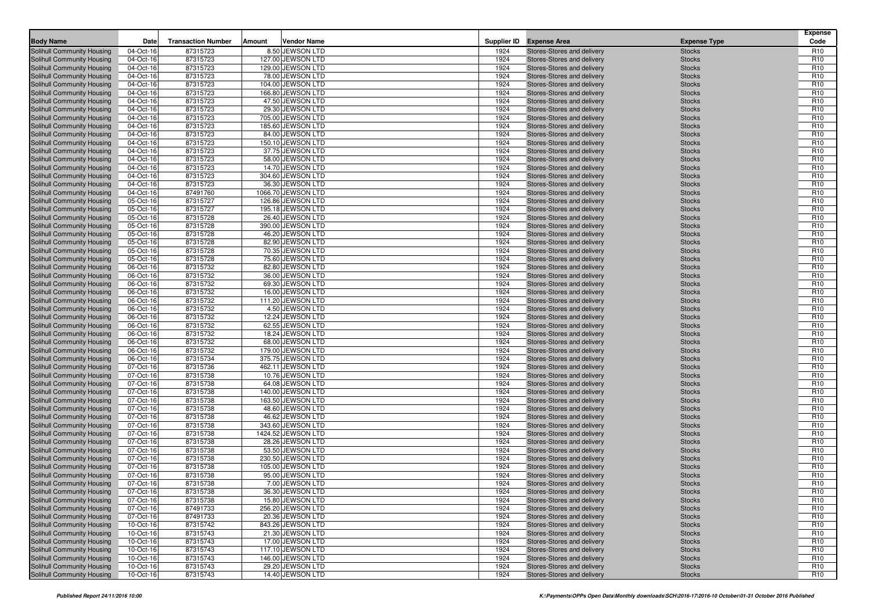| <b>Body Name</b>                                         | Date                   | <b>Transaction Number</b> | Amount | <b>Vendor Name</b>                     |              | Supplier ID Expense Area                                 | <b>Expense Type</b>            | <b>Expense</b><br>Code             |
|----------------------------------------------------------|------------------------|---------------------------|--------|----------------------------------------|--------------|----------------------------------------------------------|--------------------------------|------------------------------------|
| <b>Solihull Community Housing</b>                        | 04-Oct-16              | 87315723                  |        | 8.50 JEWSON LTD                        | 1924         | Stores-Stores and delivery                               | <b>Stocks</b>                  | R <sub>10</sub>                    |
| Solihull Community Housing                               | 04-Oct-16              | 87315723                  |        | 127.00 JEWSON LTD                      | 1924         | Stores-Stores and delivery                               | <b>Stocks</b>                  | R <sub>10</sub>                    |
| Solihull Community Housing                               | 04-Oct-16              | 87315723                  |        | 129.00 JEWSON LTD                      | 1924         | Stores-Stores and delivery                               | <b>Stocks</b>                  | R <sub>10</sub>                    |
| Solihull Community Housing                               | 04-Oct-16              | 87315723                  |        | 78.00 JEWSON LTD                       | 1924         | Stores-Stores and delivery                               | <b>Stocks</b>                  | R <sub>10</sub>                    |
| Solihull Community Housing                               | 04-Oct-16              | 87315723                  |        | 104.00 JEWSON LTD                      | 1924         | Stores-Stores and delivery                               | <b>Stocks</b>                  | R <sub>10</sub>                    |
| Solihull Community Housing                               | 04-Oct-16              | 87315723                  |        | 166.80 JEWSON LTD                      | 1924         | Stores-Stores and delivery                               | <b>Stocks</b>                  | R <sub>10</sub>                    |
| Solihull Community Housing                               | 04-Oct-16              | 87315723                  |        | 47.50 JEWSON LTD                       | 1924         | Stores-Stores and delivery                               | <b>Stocks</b>                  | R <sub>10</sub>                    |
| Solihull Community Housing                               | 04-Oct-16              | 87315723                  |        | 29.30 JEWSON LTD                       | 1924         | Stores-Stores and delivery                               | <b>Stocks</b>                  | R <sub>10</sub>                    |
| Solihull Community Housing                               | 04-Oct-16              | 87315723                  |        | 705.00 JEWSON LTD                      | 1924         | Stores-Stores and delivery                               | <b>Stocks</b>                  | R <sub>10</sub>                    |
| <b>Solihull Community Housing</b>                        | 04-Oct-16              | 87315723                  |        | 185.60 JEWSON LTD                      | 1924         | Stores-Stores and delivery                               | <b>Stocks</b>                  | R <sub>10</sub>                    |
| Solihull Community Housing                               | 04-Oct-16              | 87315723                  |        | 84.00 JEWSON LTD                       | 1924         | Stores-Stores and delivery                               | <b>Stocks</b>                  | R <sub>10</sub>                    |
| Solihull Community Housing                               | 04-Oct-16              | 87315723                  |        | 150.10 JEWSON LTD                      | 1924         | Stores-Stores and delivery                               | <b>Stocks</b>                  | R <sub>10</sub>                    |
| <b>Solihull Community Housing</b>                        | 04-Oct-16              | 87315723                  |        | 37.75 JEWSON LTD                       | 1924         | Stores-Stores and delivery                               | <b>Stocks</b>                  | R <sub>10</sub>                    |
| Solihull Community Housing                               | 04-Oct-16              | 87315723                  |        | 58.00 JEWSON LTD                       | 1924         | Stores-Stores and delivery                               | <b>Stocks</b>                  | R <sub>10</sub>                    |
| Solihull Community Housing                               | 04-Oct-16              | 87315723                  |        | 14.70 JEWSON LTD                       | 1924         | Stores-Stores and delivery                               | <b>Stocks</b>                  | R <sub>10</sub>                    |
| Solihull Community Housing                               | 04-Oct-16              | 87315723                  |        | 304.60 JEWSON LTD                      | 1924         | Stores-Stores and delivery                               | <b>Stocks</b>                  | R <sub>10</sub>                    |
| Solihull Community Housing                               | 04-Oct-16              | 87315723                  |        | 36.30 JEWSON LTD                       | 1924<br>1924 | Stores-Stores and delivery                               | <b>Stocks</b>                  | R <sub>10</sub>                    |
| Solihull Community Housing                               | 04-Oct-16              | 87491760                  |        | 1066.70 JEWSON LTD                     |              | Stores-Stores and delivery                               | <b>Stocks</b>                  | R <sub>10</sub>                    |
| Solihull Community Housing<br>Solihull Community Housing | 05-Oct-16<br>05-Oct-16 | 87315727<br>87315727      |        | 126.86 JEWSON LTD<br>195.18 JEWSON LTD | 1924<br>1924 | Stores-Stores and delivery<br>Stores-Stores and delivery | <b>Stocks</b><br><b>Stocks</b> | R <sub>10</sub><br>R <sub>10</sub> |
| Solihull Community Housing                               | 05-Oct-16              | 87315728                  |        | 26.40 JEWSON LTD                       | 1924         | Stores-Stores and delivery                               | <b>Stocks</b>                  | R <sub>10</sub>                    |
| Solihull Community Housing                               | 05-Oct-16              | 87315728                  |        | 390.00 JEWSON LTD                      | 1924         | Stores-Stores and delivery                               | <b>Stocks</b>                  | R <sub>10</sub>                    |
| Solihull Community Housing                               | 05-Oct-16              | 87315728                  |        | 46.20 JEWSON LTD                       | 1924         | Stores-Stores and delivery                               | <b>Stocks</b>                  | R <sub>10</sub>                    |
| Solihull Community Housing                               | 05-Oct-16              | 87315728                  |        | 82.90 JEWSON LTD                       | 1924         | Stores-Stores and delivery                               | <b>Stocks</b>                  | R <sub>10</sub>                    |
| Solihull Community Housing                               | 05-Oct-16              | 87315728                  |        | 70.35 JEWSON LTD                       | 1924         | Stores-Stores and delivery                               | <b>Stocks</b>                  | R <sub>10</sub>                    |
| Solihull Community Housing                               | 05-Oct-16              | 87315728                  |        | 75.60 JEWSON LTD                       | 1924         | Stores-Stores and delivery                               | <b>Stocks</b>                  | R <sub>10</sub>                    |
| Solihull Community Housing                               | 06-Oct-16              | 87315732                  |        | 82.80 JEWSON LTD                       | 1924         | Stores-Stores and delivery                               | <b>Stocks</b>                  | R <sub>10</sub>                    |
| Solihull Community Housing                               | 06-Oct-16              | 87315732                  |        | 36.00 JEWSON LTD                       | 1924         | Stores-Stores and delivery                               | <b>Stocks</b>                  | R <sub>10</sub>                    |
| Solihull Community Housing                               | 06-Oct-16              | 87315732                  |        | 69.30 JEWSON LTD                       | 1924         | Stores-Stores and delivery                               | <b>Stocks</b>                  | R <sub>10</sub>                    |
| Solihull Community Housing                               | 06-Oct-16              | 87315732                  |        | 16.00 JEWSON LTD                       | 1924         | Stores-Stores and delivery                               | <b>Stocks</b>                  | R <sub>10</sub>                    |
| Solihull Community Housing                               | 06-Oct-16              | 87315732                  |        | 111.20 JEWSON LTD                      | 1924         | Stores-Stores and delivery                               | <b>Stocks</b>                  | R <sub>10</sub>                    |
| Solihull Community Housing                               | 06-Oct-16              | 87315732                  |        | 4.50 JEWSON LTD                        | 1924         | Stores-Stores and delivery                               | <b>Stocks</b>                  | R <sub>10</sub>                    |
| Solihull Community Housing                               | 06-Oct-16              | 87315732                  |        | 12.24 JEWSON LTD                       | 1924         | Stores-Stores and delivery                               | <b>Stocks</b>                  | R <sub>10</sub>                    |
| Solihull Community Housing                               | 06-Oct-16              | 87315732                  |        | 62.55 JEWSON LTD                       | 1924         | Stores-Stores and delivery                               | <b>Stocks</b>                  | R <sub>10</sub>                    |
| <b>Solihull Community Housing</b>                        | 06-Oct-16              | 87315732                  |        | 18.24 JEWSON LTD                       | 1924         | Stores-Stores and delivery                               | <b>Stocks</b>                  | R <sub>10</sub>                    |
| Solihull Community Housing                               | 06-Oct-16              | 87315732                  |        | 68.00 JEWSON LTD                       | 1924         | Stores-Stores and delivery                               | <b>Stocks</b>                  | R <sub>10</sub>                    |
| Solihull Community Housing                               | 06-Oct-16              | 87315732                  |        | 179.00 JEWSON LTD<br>375.75 JEWSON LTD | 1924<br>1924 | Stores-Stores and delivery<br>Stores-Stores and delivery | <b>Stocks</b>                  | R <sub>10</sub><br>R <sub>10</sub> |
| Solihull Community Housing<br>Solihull Community Housing | 06-Oct-16<br>07-Oct-16 | 87315734<br>87315736      |        | 462.11 JEWSON LTD                      | 1924         | Stores-Stores and delivery                               | <b>Stocks</b><br><b>Stocks</b> | R <sub>10</sub>                    |
| Solihull Community Housing                               | 07-Oct-16              | 87315738                  |        | 10.76 JEWSON LTD                       | 1924         | Stores-Stores and delivery                               | <b>Stocks</b>                  | R <sub>10</sub>                    |
| Solihull Community Housing                               | 07-Oct-16              | 87315738                  |        | 64.08 JEWSON LTD                       | 1924         | Stores-Stores and delivery                               | <b>Stocks</b>                  | R <sub>10</sub>                    |
| Solihull Community Housing                               | 07-Oct-16              | 87315738                  |        | 140.00 JEWSON LTD                      | 1924         | Stores-Stores and delivery                               | <b>Stocks</b>                  | R <sub>10</sub>                    |
| Solihull Community Housing                               | 07-Oct-16              | 87315738                  |        | 163.50 JEWSON LTD                      | 1924         | Stores-Stores and delivery                               | <b>Stocks</b>                  | R <sub>10</sub>                    |
| Solihull Community Housing                               | 07-Oct-16              | 87315738                  |        | 48.60 JEWSON LTD                       | 1924         | Stores-Stores and delivery                               | <b>Stocks</b>                  | R <sub>10</sub>                    |
| Solihull Community Housing                               | 07-Oct-16              | 87315738                  |        | 46.62 JEWSON LTD                       | 1924         | Stores-Stores and delivery                               | <b>Stocks</b>                  | R <sub>10</sub>                    |
| Solihull Community Housing                               | 07-Oct-16              | 87315738                  |        | 343.60 JEWSON LTD                      | 1924         | Stores-Stores and delivery                               | <b>Stocks</b>                  | R <sub>10</sub>                    |
| Solihull Community Housing                               | 07-Oct-16              | 87315738                  |        | 1424.52 JEWSON LTD                     | 1924         | Stores-Stores and delivery                               | <b>Stocks</b>                  | R <sub>10</sub>                    |
| Solihull Community Housing                               | 07-Oct-16              | 87315738                  |        | 28.26 JEWSON LTD                       | 1924         | Stores-Stores and delivery                               | <b>Stocks</b>                  | R <sub>10</sub>                    |
| Solihull Community Housing                               | 07-Oct-16              | 87315738                  |        | 53.50 JEWSON LTD                       | 1924         | Stores-Stores and delivery                               | <b>Stocks</b>                  | R <sub>10</sub>                    |
| Solihull Community Housing                               | 07-Oct-16              | 87315738                  |        | 230.50 JEWSON LTD                      | 1924         | Stores-Stores and delivery                               | <b>Stocks</b>                  | R <sub>10</sub>                    |
| Solihull Community Housing                               | 07-Oct-16              | 87315738                  |        | 105.00 JEWSON LTD                      | 1924         | Stores-Stores and delivery                               | <b>Stocks</b>                  | R <sub>10</sub>                    |
| Solihull Community Housing                               | 07-Oct-16              | 87315738                  |        | 95.00 JEWSON LTD                       | 1924         | Stores-Stores and delivery                               | <b>Stocks</b>                  | R <sub>10</sub>                    |
| Solihull Community Housing                               | 07-Oct-16              | 87315738                  |        | 7.00 JEWSON LTD                        | 1924         | Stores-Stores and delivery                               | <b>Stocks</b>                  | R <sub>10</sub>                    |
| Solihull Community Housing                               | 07-Oct-16              | 87315738                  |        | 36.30 JEWSON LTD                       | 1924         | Stores-Stores and delivery                               | <b>Stocks</b>                  | R <sub>10</sub>                    |
| Solihull Community Housing                               | 07-Oct-16              | 87315738                  |        | 15.80 JEWSON LTD                       | 1924         | Stores-Stores and delivery                               | <b>Stocks</b>                  | R <sub>10</sub>                    |
| Solihull Community Housing                               | 07-Oct-16              | 87491733                  |        | 256.20 JEWSON LTD                      | 1924         | Stores-Stores and delivery                               | <b>Stocks</b>                  | R <sub>10</sub>                    |
| Solihull Community Housing<br>Solihull Community Housing | 07-Oct-16              | 87491733                  |        | 20.36 JEWSON LTD<br>843.26 JEWSON LTD  | 1924<br>1924 | Stores-Stores and delivery<br>Stores-Stores and delivery | <b>Stocks</b>                  | R <sub>10</sub><br>R <sub>10</sub> |
| Solihull Community Housing                               | 10-Oct-16<br>10-Oct-16 | 87315742<br>87315743      |        | 21.30 JEWSON LTD                       | 1924         | Stores-Stores and delivery                               | <b>Stocks</b><br><b>Stocks</b> | R <sub>10</sub>                    |
| Solihull Community Housing                               | 10-Oct-16              | 87315743                  |        | 17.00 JEWSON LTD                       | 1924         | Stores-Stores and delivery                               | <b>Stocks</b>                  | R <sub>10</sub>                    |
| Solihull Community Housing                               | 10-Oct-16              | 87315743                  |        | 117.10 JEWSON LTD                      | 1924         | Stores-Stores and delivery                               | <b>Stocks</b>                  | R <sub>10</sub>                    |
| Solihull Community Housing                               | 10-Oct-16              | 87315743                  |        | 146.00 JEWSON LTD                      | 1924         | Stores-Stores and delivery                               | <b>Stocks</b>                  | R <sub>10</sub>                    |
| Solihull Community Housing                               | 10-Oct-16              | 87315743                  |        | 29.20 JEWSON LTD                       | 1924         | Stores-Stores and delivery                               | <b>Stocks</b>                  | R <sub>10</sub>                    |
| Solihull Community Housing                               | 10-Oct-16              | 87315743                  |        | 14.40 JEWSON LTD                       | 1924         | Stores-Stores and delivery                               | <b>Stocks</b>                  | R <sub>10</sub>                    |
|                                                          |                        |                           |        |                                        |              |                                                          |                                |                                    |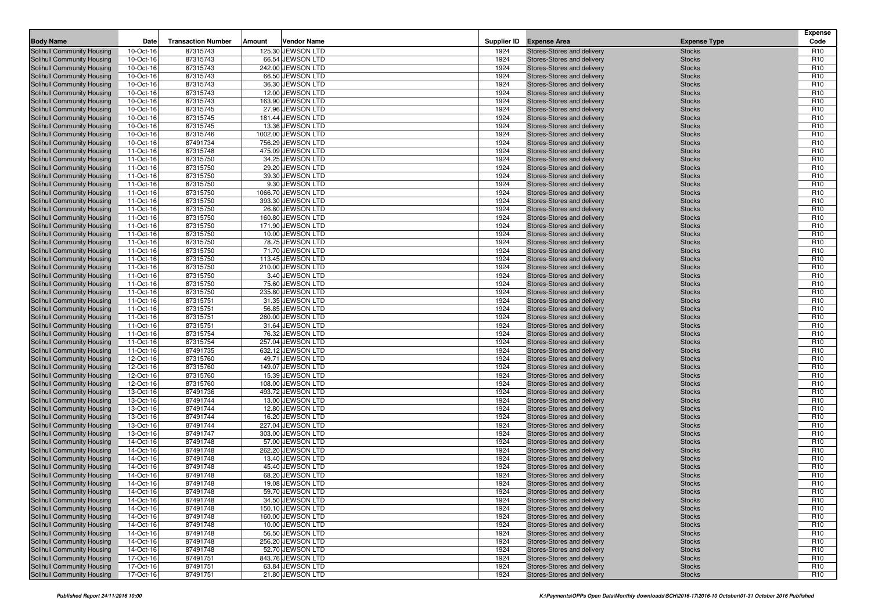| <b>Body Name</b>                                         | Date                   | <b>Transaction Number</b> | Amount | <b>Vendor Name</b>                    |              | Supplier ID Expense Area                                 | <b>Expense Type</b>            | <b>Expense</b><br>Code             |
|----------------------------------------------------------|------------------------|---------------------------|--------|---------------------------------------|--------------|----------------------------------------------------------|--------------------------------|------------------------------------|
| <b>Solihull Community Housing</b>                        | 10-Oct-16              | 87315743                  |        | 125.30 JEWSON LTD                     | 1924         | Stores-Stores and delivery                               | <b>Stocks</b>                  | R <sub>10</sub>                    |
| Solihull Community Housing                               | 10-Oct-16              | 87315743                  |        | 66.54 JEWSON LTD                      | 1924         | Stores-Stores and delivery                               | <b>Stocks</b>                  | R <sub>10</sub>                    |
| Solihull Community Housing                               | 10-Oct-16              | 87315743                  |        | 242.00 JEWSON LTD                     | 1924         | Stores-Stores and delivery                               | <b>Stocks</b>                  | R <sub>10</sub>                    |
| Solihull Community Housing                               | 10-Oct-16              | 87315743                  |        | 66.50 JEWSON LTD                      | 1924         | Stores-Stores and delivery                               | <b>Stocks</b>                  | R <sub>10</sub>                    |
| Solihull Community Housing                               | 10-Oct-16              | 87315743                  |        | 36.30 JEWSON LTD                      | 1924         | Stores-Stores and delivery                               | <b>Stocks</b>                  | R <sub>10</sub>                    |
| Solihull Community Housing                               | 10-Oct-16              | 87315743                  |        | 12.00 JEWSON LTD                      | 1924         | Stores-Stores and delivery                               | <b>Stocks</b>                  | R <sub>10</sub>                    |
| Solihull Community Housing                               | 10-Oct-16              | 87315743                  |        | 163.90 JEWSON LTD                     | 1924         | Stores-Stores and delivery                               | <b>Stocks</b>                  | R <sub>10</sub>                    |
| Solihull Community Housing                               | 10-Oct-16              | 87315745                  |        | 27.96 JEWSON LTD                      | 1924         | Stores-Stores and delivery                               | <b>Stocks</b>                  | R <sub>10</sub>                    |
| Solihull Community Housing                               | 10-Oct-16              | 87315745                  |        | 181.44 JEWSON LTD                     | 1924         | Stores-Stores and delivery                               | <b>Stocks</b>                  | R <sub>10</sub>                    |
| <b>Solihull Community Housing</b>                        | 10-Oct-16              | 87315745                  |        | 13.36 JEWSON LTD                      | 1924         | Stores-Stores and delivery                               | <b>Stocks</b>                  | R <sub>10</sub>                    |
| Solihull Community Housing                               | 10-Oct-16              | 87315746                  |        | 1002.00 JEWSON LTD                    | 1924         | Stores-Stores and delivery                               | <b>Stocks</b>                  | R <sub>10</sub>                    |
| Solihull Community Housing                               | 10-Oct-16              | 87491734                  |        | 756.29 JEWSON LTD                     | 1924         | Stores-Stores and delivery                               | <b>Stocks</b>                  | R <sub>10</sub>                    |
| <b>Solihull Community Housing</b>                        | 11-Oct-16              | 87315748                  |        | 475.09 JEWSON LTD                     | 1924         | Stores-Stores and delivery                               | <b>Stocks</b>                  | R <sub>10</sub>                    |
| Solihull Community Housing                               | 11-Oct-16              | 87315750                  |        | 34.25 JEWSON LTD                      | 1924         | Stores-Stores and delivery                               | <b>Stocks</b>                  | R <sub>10</sub>                    |
| Solihull Community Housing                               | 11-Oct-16              | 87315750                  |        | 29.20 JEWSON LTD                      | 1924         | Stores-Stores and delivery                               | <b>Stocks</b>                  | R <sub>10</sub>                    |
| Solihull Community Housing                               | 11-Oct-16              | 87315750                  |        | 39.30 JEWSON LTD                      | 1924         | Stores-Stores and delivery                               | <b>Stocks</b>                  | R <sub>10</sub>                    |
| Solihull Community Housing                               | 11-Oct-16              | 87315750                  |        | 9.30 JEWSON LTD                       | 1924         | Stores-Stores and delivery                               | <b>Stocks</b>                  | R <sub>10</sub>                    |
| Solihull Community Housing                               | 11-Oct-16              | 87315750                  |        | 1066.70 JEWSON LTD                    | 1924<br>1924 | Stores-Stores and delivery                               | <b>Stocks</b>                  | R <sub>10</sub>                    |
| Solihull Community Housing<br>Solihull Community Housing | 11-Oct-16<br>11-Oct-16 | 87315750<br>87315750      |        | 393.30 JEWSON LTD<br>26.80 JEWSON LTD | 1924         | Stores-Stores and delivery<br>Stores-Stores and delivery | <b>Stocks</b><br><b>Stocks</b> | R <sub>10</sub><br>R <sub>10</sub> |
| Solihull Community Housing                               | 11-Oct-16              | 87315750                  |        | 160.80 JEWSON LTD                     | 1924         | Stores-Stores and delivery                               | <b>Stocks</b>                  | R <sub>10</sub>                    |
| Solihull Community Housing                               | 11-Oct-16              | 87315750                  |        | 171.90 JEWSON LTD                     | 1924         | Stores-Stores and delivery                               | <b>Stocks</b>                  | R <sub>10</sub>                    |
| Solihull Community Housing                               | 11-Oct-16              | 87315750                  |        | 10.00 JEWSON LTD                      | 1924         | Stores-Stores and delivery                               | <b>Stocks</b>                  | R <sub>10</sub>                    |
| Solihull Community Housing                               | 11-Oct-16              | 87315750                  |        | 78.75 JEWSON LTD                      | 1924         | Stores-Stores and delivery                               | <b>Stocks</b>                  | R <sub>10</sub>                    |
| Solihull Community Housing                               | 11-Oct-16              | 87315750                  |        | 71.70 JEWSON LTD                      | 1924         | Stores-Stores and delivery                               | <b>Stocks</b>                  | R <sub>10</sub>                    |
| Solihull Community Housing                               | 11-Oct-16              | 87315750                  |        | 113.45 JEWSON LTD                     | 1924         | Stores-Stores and delivery                               | <b>Stocks</b>                  | R <sub>10</sub>                    |
| Solihull Community Housing                               | 11-Oct-16              | 87315750                  |        | 210.00 JEWSON LTD                     | 1924         | Stores-Stores and delivery                               | <b>Stocks</b>                  | R <sub>10</sub>                    |
| Solihull Community Housing                               | 11-Oct-16              | 87315750                  |        | 3.40 JEWSON LTD                       | 1924         | Stores-Stores and delivery                               | <b>Stocks</b>                  | R <sub>10</sub>                    |
| Solihull Community Housing                               | 11-Oct-16              | 87315750                  |        | 75.60 JEWSON LTD                      | 1924         | Stores-Stores and delivery                               | <b>Stocks</b>                  | R <sub>10</sub>                    |
| Solihull Community Housing                               | 11-Oct-16              | 87315750                  |        | 235.80 JEWSON LTD                     | 1924         | Stores-Stores and delivery                               | <b>Stocks</b>                  | R <sub>10</sub>                    |
| Solihull Community Housing                               | 11-Oct-16              | 87315751                  |        | 31.35 JEWSON LTD                      | 1924         | Stores-Stores and delivery                               | <b>Stocks</b>                  | R <sub>10</sub>                    |
| Solihull Community Housing                               | 11-Oct-16              | 87315751                  |        | 56.85 JEWSON LTD                      | 1924         | Stores-Stores and delivery                               | <b>Stocks</b>                  | R <sub>10</sub>                    |
| Solihull Community Housing                               | 11-Oct-16              | 87315751                  |        | 260.00 JEWSON LTD                     | 1924         | Stores-Stores and delivery                               | <b>Stocks</b>                  | R <sub>10</sub>                    |
| Solihull Community Housing                               | 11-Oct-16              | 87315751                  |        | 31.64 JEWSON LTD                      | 1924         | Stores-Stores and delivery                               | <b>Stocks</b>                  | R <sub>10</sub>                    |
| Solihull Community Housing                               | 11-Oct-16              | 87315754                  |        | 76.32 JEWSON LTD                      | 1924         | Stores-Stores and delivery                               | <b>Stocks</b>                  | R <sub>10</sub>                    |
| Solihull Community Housing                               | 11-Oct-16              | 87315754                  |        | 257.04 JEWSON LTD                     | 1924         | Stores-Stores and delivery                               | <b>Stocks</b>                  | R <sub>10</sub>                    |
| Solihull Community Housing                               | 11-Oct-16              | 87491735                  |        | 632.12 JEWSON LTD                     | 1924         | Stores-Stores and delivery                               | <b>Stocks</b>                  | R <sub>10</sub>                    |
| Solihull Community Housing                               | 12-Oct-16              | 87315760                  |        | 49.71 JEWSON LTD                      | 1924<br>1924 | Stores-Stores and delivery                               | <b>Stocks</b>                  | R <sub>10</sub><br>R <sub>10</sub> |
| Solihull Community Housing<br>Solihull Community Housing | 12-Oct-16<br>12-Oct-16 | 87315760<br>87315760      |        | 149.07 JEWSON LTD<br>15.39 JEWSON LTD | 1924         | Stores-Stores and delivery<br>Stores-Stores and delivery | <b>Stocks</b><br><b>Stocks</b> | R <sub>10</sub>                    |
| Solihull Community Housing                               | 12-Oct-16              | 87315760                  |        | 108.00 JEWSON LTD                     | 1924         | Stores-Stores and delivery                               | <b>Stocks</b>                  | R <sub>10</sub>                    |
| Solihull Community Housing                               | 13-Oct-16              | 87491736                  |        | 493.72 JEWSON LTD                     | 1924         | Stores-Stores and delivery                               | <b>Stocks</b>                  | R <sub>10</sub>                    |
| Solihull Community Housing                               | 13-Oct-16              | 87491744                  |        | 13.00 JEWSON LTD                      | 1924         | Stores-Stores and delivery                               | <b>Stocks</b>                  | R <sub>10</sub>                    |
| Solihull Community Housing                               | 13-Oct-16              | 87491744                  |        | 12.80 JEWSON LTD                      | 1924         | Stores-Stores and delivery                               | <b>Stocks</b>                  | R <sub>10</sub>                    |
| Solihull Community Housing                               | 13-Oct-16              | 87491744                  |        | 16.20 JEWSON LTD                      | 1924         | Stores-Stores and delivery                               | <b>Stocks</b>                  | R <sub>10</sub>                    |
| Solihull Community Housing                               | 13-Oct-16              | 87491744                  |        | 227.04 JEWSON LTD                     | 1924         | Stores-Stores and delivery                               | <b>Stocks</b>                  | R <sub>10</sub>                    |
| Solihull Community Housing                               | 13-Oct-16              | 87491747                  |        | 303.00 JEWSON LTD                     | 1924         | Stores-Stores and delivery                               | <b>Stocks</b>                  | R <sub>10</sub>                    |
| Solihull Community Housing                               | 14-Oct-16              | 87491748                  |        | 57.00 JEWSON LTD                      | 1924         | Stores-Stores and delivery                               | <b>Stocks</b>                  | R <sub>10</sub>                    |
| Solihull Community Housing                               | 14-Oct-16              | 87491748                  |        | 262.20 JEWSON LTD                     | 1924         | Stores-Stores and delivery                               | <b>Stocks</b>                  | R <sub>10</sub>                    |
| Solihull Community Housing                               | 14-Oct-16              | 87491748                  |        | 13.40 JEWSON LTD                      | 1924         | Stores-Stores and delivery                               | <b>Stocks</b>                  | R <sub>10</sub>                    |
| Solihull Community Housing                               | 14-Oct-16              | 87491748                  |        | 45.40 JEWSON LTD                      | 1924         | Stores-Stores and delivery                               | <b>Stocks</b>                  | R <sub>10</sub>                    |
| Solihull Community Housing                               | 14-Oct-16              | 87491748                  |        | 68.20 JEWSON LTD                      | 1924         | Stores-Stores and delivery                               | <b>Stocks</b>                  | R <sub>10</sub>                    |
| Solihull Community Housing                               | 14-Oct-16              | 87491748                  |        | 19.08 JEWSON LTD                      | 1924         | Stores-Stores and delivery                               | <b>Stocks</b>                  | R <sub>10</sub>                    |
| Solihull Community Housing                               | 14-Oct-16              | 87491748                  |        | 59.70 JEWSON LTD                      | 1924         | Stores-Stores and delivery                               | <b>Stocks</b>                  | R <sub>10</sub>                    |
| Solihull Community Housing                               | 14-Oct-16              | 87491748                  |        | 34.50 JEWSON LTD                      | 1924         | Stores-Stores and delivery                               | <b>Stocks</b>                  | R <sub>10</sub>                    |
| Solihull Community Housing                               | 14-Oct-16              | 87491748                  |        | 150.10 JEWSON LTD                     | 1924         | Stores-Stores and delivery                               | <b>Stocks</b>                  | R <sub>10</sub>                    |
| Solihull Community Housing<br>Solihull Community Housing | 14-Oct-16              | 87491748<br>87491748      |        | 160.00 JEWSON LTD<br>10.00 JEWSON LTD | 1924<br>1924 | Stores-Stores and delivery<br>Stores-Stores and delivery | <b>Stocks</b>                  | R <sub>10</sub><br>R <sub>10</sub> |
| Solihull Community Housing                               | 14-Oct-16<br>14-Oct-16 | 87491748                  |        | 56.50 JEWSON LTD                      | 1924         | Stores-Stores and delivery                               | <b>Stocks</b><br><b>Stocks</b> | R <sub>10</sub>                    |
| Solihull Community Housing                               | 14-Oct-16              | 87491748                  |        | 256.20 JEWSON LTD                     | 1924         | Stores-Stores and delivery                               | <b>Stocks</b>                  | R <sub>10</sub>                    |
| Solihull Community Housing                               | 14-Oct-16              | 87491748                  |        | 52.70 JEWSON LTD                      | 1924         | Stores-Stores and delivery                               | <b>Stocks</b>                  | R <sub>10</sub>                    |
| Solihull Community Housing                               | 17-Oct-16              | 87491751                  |        | 843.76 JEWSON LTD                     | 1924         | Stores-Stores and delivery                               | <b>Stocks</b>                  | R <sub>10</sub>                    |
| Solihull Community Housing                               | 17-Oct-16              | 87491751                  |        | 63.84 JEWSON LTD                      | 1924         | Stores-Stores and delivery                               | <b>Stocks</b>                  | R <sub>10</sub>                    |
| Solihull Community Housing                               | 17-Oct-16              | 87491751                  |        | 21.80 JEWSON LTD                      | 1924         | Stores-Stores and delivery                               | <b>Stocks</b>                  | R <sub>10</sub>                    |
|                                                          |                        |                           |        |                                       |              |                                                          |                                |                                    |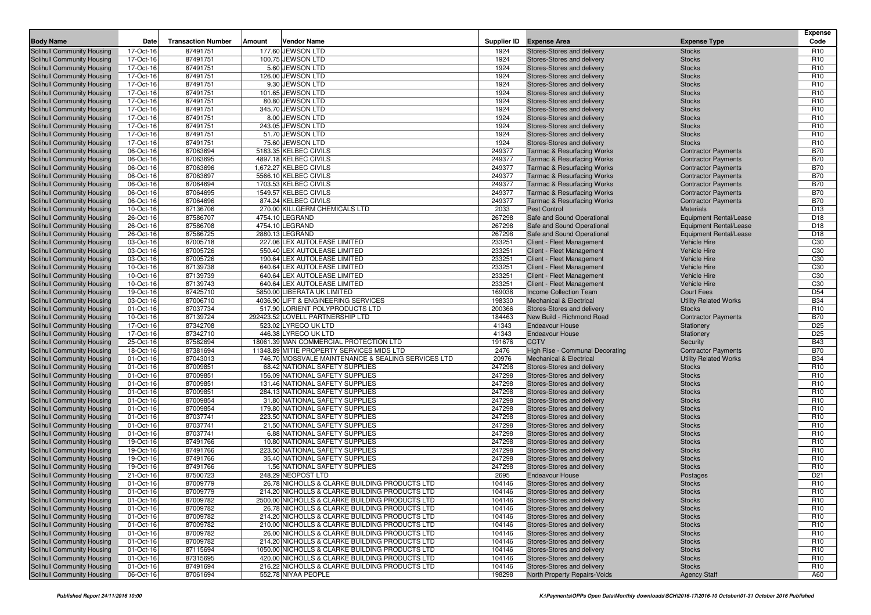|                                                          |                        |                           |        |                                                                |                 |                                                          |                                        | <b>Expense</b>                     |
|----------------------------------------------------------|------------------------|---------------------------|--------|----------------------------------------------------------------|-----------------|----------------------------------------------------------|----------------------------------------|------------------------------------|
| <b>Body Name</b>                                         | Date                   | <b>Transaction Number</b> | Amount | <b>Vendor Name</b>                                             |                 | Supplier ID Expense Area                                 | <b>Expense Type</b>                    | Code                               |
| Solihull Community Housing                               | 17-Oct-16              | 87491751                  |        | 177.60 JEWSON LTD                                              | 1924            | Stores-Stores and delivery                               | <b>Stocks</b>                          | R <sub>10</sub>                    |
| Solihull Community Housing                               | 17-Oct-16              | 87491751                  |        | 100.75 JEWSON LTD                                              | 1924            | Stores-Stores and delivery                               | <b>Stocks</b>                          | R <sub>10</sub><br>R <sub>10</sub> |
| Solihull Community Housing<br>Solihull Community Housing | 17-Oct-16<br>17-Oct-16 | 87491751<br>87491751      |        | 5.60 JEWSON LTD<br>126.00 JEWSON LTD                           | 1924<br>1924    | Stores-Stores and delivery<br>Stores-Stores and delivery | <b>Stocks</b><br><b>Stocks</b>         | R <sub>10</sub>                    |
| Solihull Community Housing                               | 17-Oct-16              | 87491751                  |        | 9.30 JEWSON LTD                                                | 1924            | Stores-Stores and delivery                               | <b>Stocks</b>                          | R <sub>10</sub>                    |
| Solihull Community Housing                               | 17-Oct-16              | 87491751                  |        | 101.65 JEWSON LTD                                              | 1924            | Stores-Stores and delivery                               | <b>Stocks</b>                          | R <sub>10</sub>                    |
| Solihull Community Housing                               | 17-Oct-16              | 87491751                  |        | 80.80 JEWSON LTD                                               | 1924            | Stores-Stores and delivery                               | <b>Stocks</b>                          | R <sub>10</sub>                    |
| Solihull Community Housing                               | 17-Oct-16              | 87491751                  |        | 345.70 JEWSON LTD                                              | 1924            | Stores-Stores and delivery                               | <b>Stocks</b>                          | R <sub>10</sub>                    |
| Solihull Community Housing                               | 17-Oct-16              | 87491751                  |        | 8.00 JEWSON LTD                                                | 1924            | Stores-Stores and delivery                               | <b>Stocks</b>                          | R <sub>10</sub>                    |
| Solihull Community Housing                               | 17-Oct-16              | 87491751                  |        | 243.05 JEWSON LTD                                              | 1924            | Stores-Stores and delivery                               | <b>Stocks</b>                          | R <sub>10</sub>                    |
| Solihull Community Housing                               | 17-Oct-16              | 87491751                  |        | 51.70 JEWSON LTD                                               | 1924            | Stores-Stores and delivery                               | <b>Stocks</b>                          | R <sub>10</sub>                    |
| Solihull Community Housing                               | 17-Oct-16              | 87491751                  |        | 75.60 JEWSON LTD                                               | 1924            | Stores-Stores and delivery                               | <b>Stocks</b>                          | R <sub>10</sub>                    |
| Solihull Community Housing                               | 06-Oct-16              | 87063694                  |        | 5183.35 KELBEC CIVILS                                          | 249377          | <b>Tarmac &amp; Resurfacing Works</b>                    | <b>Contractor Payments</b>             | <b>B70</b>                         |
| Solihull Community Housing                               | 06-Oct-16              | 87063695                  |        | 4897.18 KELBEC CIVILS                                          | 249377          | Tarmac & Resurfacing Works                               | <b>Contractor Payments</b>             | <b>B70</b>                         |
| Solihull Community Housing                               | 06-Oct-16              | 87063696                  |        | 1,672.27 KELBEC CIVILS                                         | 249377          | <b>Tarmac &amp; Resurfacing Works</b>                    | <b>Contractor Payments</b>             | <b>B70</b>                         |
| Solihull Community Housing                               | 06-Oct-16              | 87063697                  |        | 5566.10 KELBEC CIVILS                                          | 249377          | <b>Tarmac &amp; Resurfacing Works</b>                    | <b>Contractor Payments</b>             | <b>B70</b>                         |
| Solihull Community Housing                               | 06-Oct-16              | 87064694                  |        | 1703.53 KELBEC CIVILS                                          | 249377          | <b>Tarmac &amp; Resurfacing Works</b>                    | <b>Contractor Payments</b>             | <b>B70</b>                         |
| Solihull Community Housing                               | 06-Oct-16              | 87064695                  |        | 1549.57 KELBEC CIVILS                                          | 249377          | <b>Tarmac &amp; Resurfacing Works</b>                    | <b>Contractor Payments</b>             | <b>B70</b>                         |
| Solihull Community Housing                               | 06-Oct-16              | 87064696                  |        | 874.24 KELBEC CIVILS                                           | 249377          | <b>Tarmac &amp; Resurfacing Works</b>                    | <b>Contractor Payments</b>             | <b>B70</b>                         |
| Solihull Community Housing                               | 10-Oct-16              | 87136706                  |        | 270.00 KILLGERM CHEMICALS LTD                                  | 2033            | Pest Control                                             | <b>Materials</b>                       | D <sub>13</sub>                    |
| Solihull Community Housing                               | 26-Oct-16              | 87586707                  |        | 4754.10 LEGRAND                                                | 267298          | Safe and Sound Operational                               | <b>Equipment Rental/Lease</b>          | D <sub>18</sub>                    |
| Solihull Community Housing                               | 26-Oct-16              | 87586708                  |        | 4754.10 LEGRAND                                                | 267298          | Safe and Sound Operational                               | <b>Equipment Rental/Lease</b>          | D <sub>18</sub>                    |
| Solihull Community Housing                               | 26-Oct-16              | 87586725                  |        | 2880.13 LEGRAND                                                | 267298          | Safe and Sound Operational                               | <b>Equipment Rental/Lease</b>          | D <sub>18</sub>                    |
| Solihull Community Housing                               | 03-Oct-16              | 87005718                  |        | 227.06 LEX AUTOLEASE LIMITED                                   | 233251          | Client - Fleet Management                                | <b>Vehicle Hire</b>                    | C <sub>30</sub>                    |
| Solihull Community Housing                               | 03-Oct-16              | 87005726                  |        | 550.40 LEX AUTOLEASE LIMITED                                   | 233251          | Client - Fleet Management                                | Vehicle Hire                           | C <sub>30</sub>                    |
| Solihull Community Housing                               | 03-Oct-16              | 87005726                  |        | 190.64 LEX AUTOLEASE LIMITED                                   | 233251          | Client - Fleet Management                                | <b>Vehicle Hire</b>                    | C <sub>30</sub>                    |
| Solihull Community Housing                               | 10-Oct-16              | 87139738                  |        | 640.64 LEX AUTOLEASE LIMITED                                   | 233251          | Client - Fleet Management                                | <b>Vehicle Hire</b>                    | C <sub>30</sub>                    |
| Solihull Community Housing                               | 10-Oct-16              | 87139739                  |        | 640.64 LEX AUTOLEASE LIMITED                                   | 233251          | Client - Fleet Management                                | <b>Vehicle Hire</b>                    | C <sub>30</sub>                    |
| Solihull Community Housing                               | 10-Oct-16              | 87139743                  |        | 640.64 LEX AUTOLEASE LIMITED                                   | 233251          | Client - Fleet Management                                | <b>Vehicle Hire</b>                    | C <sub>30</sub>                    |
| Solihull Community Housing                               | 19-Oct-16              | 87425710                  |        | 5850.00 LIBERATA UK LIMITED                                    | 169038          | Income Collection Team                                   | <b>Court Fees</b>                      | D <sub>54</sub>                    |
| Solihull Community Housing                               | 03-Oct-16              | 87006710                  |        | 4036.90 LIFT & ENGINEERING SERVICES                            | 198330          | <b>Mechanical &amp; Electrical</b>                       | <b>Utility Related Works</b>           | <b>B34</b>                         |
| Solihull Community Housing                               | 01-Oct-16              | 87037734                  |        | 517.90 LORIENT POLYPRODUCTS LTD                                | 200366          | Stores-Stores and delivery                               | <b>Stocks</b>                          | R <sub>10</sub>                    |
| Solihull Community Housing                               | 10-Oct-16              | 87139724                  |        | 292423.52 LOVELL PARTNERSHIP LTD                               | 184463          | New Build - Richmond Road                                | <b>Contractor Payments</b>             | <b>B70</b>                         |
| Solihull Community Housing                               | 17-Oct-16              | 87342708                  |        | 523.02 LYRECO UK LTD                                           | 41343           | <b>Endeavour House</b>                                   | Stationery                             | D <sub>25</sub><br>D <sub>25</sub> |
| Solihull Community Housing<br>Solihull Community Housing | 17-Oct-16<br>25-Oct-16 | 87342710<br>87582694      |        | 446.38 LYRECO UK LTD<br>18061.39 MAN COMMERCIAL PROTECTION LTD | 41343<br>191676 | <b>Endeavour House</b><br><b>CCTV</b>                    | Stationery                             | <b>B43</b>                         |
| Solihull Community Housing                               | 18-Oct-16              | 87381694                  |        | 11348.89 MITIE PROPERTY SERVICES MIDS LTD                      | 2476            | High Rise - Communal Decorating                          | Security<br><b>Contractor Payments</b> | <b>B70</b>                         |
| Solihull Community Housing                               | 01-Oct-16              | 87043013                  |        | 746.70 MOSSVALE MAINTENANCE & SEALING SERVICES LTD             | 20976           | <b>Mechanical &amp; Electrical</b>                       | <b>Utility Related Works</b>           | <b>B34</b>                         |
| Solihull Community Housing                               | 01-Oct-16              | 87009851                  |        | 68.42 NATIONAL SAFETY SUPPLIES                                 | 247298          | Stores-Stores and delivery                               | <b>Stocks</b>                          | R <sub>10</sub>                    |
| Solihull Community Housing                               | 01-Oct-16              | 87009851                  |        | 156.09 NATIONAL SAFETY SUPPLIES                                | 247298          | Stores-Stores and delivery                               | <b>Stocks</b>                          | R <sub>10</sub>                    |
| Solihull Community Housing                               | 01-Oct-16              | 87009851                  |        | 131.46 NATIONAL SAFETY SUPPLIES                                | 247298          | Stores-Stores and delivery                               | <b>Stocks</b>                          | R <sub>10</sub>                    |
| Solihull Community Housing                               | 01-Oct-16              | 87009851                  |        | 284.13 NATIONAL SAFETY SUPPLIES                                | 247298          | Stores-Stores and delivery                               | <b>Stocks</b>                          | R <sub>10</sub>                    |
| Solihull Community Housing                               | 01-Oct-16              | 87009854                  |        | 31.80 NATIONAL SAFETY SUPPLIES                                 | 247298          | Stores-Stores and delivery                               | <b>Stocks</b>                          | R <sub>10</sub>                    |
| Solihull Community Housing                               | 01-Oct-16              | 87009854                  |        | 179.80 NATIONAL SAFETY SUPPLIES                                | 247298          | Stores-Stores and delivery                               | <b>Stocks</b>                          | R <sub>10</sub>                    |
| Solihull Community Housing                               | 01-Oct-16              | 87037741                  |        | 223.50 NATIONAL SAFETY SUPPLIES                                | 247298          | Stores-Stores and delivery                               | <b>Stocks</b>                          | R <sub>10</sub>                    |
| Solihull Community Housing                               | 01-Oct-16              | 87037741                  |        | 21.50 NATIONAL SAFETY SUPPLIES                                 | 247298          | Stores-Stores and delivery                               | <b>Stocks</b>                          | R <sub>10</sub>                    |
| Solihull Community Housing                               | 01-Oct-16              | 87037741                  |        | 6.88 NATIONAL SAFETY SUPPLIES                                  | 247298          | Stores-Stores and delivery                               | <b>Stocks</b>                          | R <sub>10</sub>                    |
| Solihull Community Housing                               | 19-Oct-16              | 87491766                  |        | 10.80 NATIONAL SAFETY SUPPLIES                                 | 247298          | Stores-Stores and delivery                               | <b>Stocks</b>                          | R <sub>10</sub>                    |
| Solihull Community Housing                               | 19-Oct-16              | 87491766                  |        | 223.50 NATIONAL SAFETY SUPPLIES                                | 247298          | Stores-Stores and delivery                               | <b>Stocks</b>                          | R <sub>10</sub>                    |
| Solihull Community Housing                               | 19-Oct-16              | 87491766                  |        | 35.40 NATIONAL SAFETY SUPPLIES                                 | 247298          | Stores-Stores and delivery                               | <b>Stocks</b>                          | R <sub>10</sub>                    |
| Solihull Community Housing                               | 19-Oct-16              | 87491766                  |        | 1.56 NATIONAL SAFETY SUPPLIES                                  | 247298          | Stores-Stores and delivery                               | <b>Stocks</b>                          | R <sub>10</sub>                    |
| Solihull Community Housing                               | 21-Oct-16              | 87500723                  |        | 248.29 NEOPOST LTD                                             | 2695            | <b>Endeavour House</b>                                   | Postages                               | D <sub>21</sub>                    |
| <b>Solihull Community Housing</b>                        | 01-Oct-16              | 87009779                  |        | 26.78 NICHOLLS & CLARKE BUILDING PRODUCTS LTD                  | 104146          | Stores-Stores and delivery                               | <b>Stocks</b>                          | R <sub>10</sub>                    |
| Solihull Community Housing                               | 01-Oct-16              | 87009779                  |        | 214.20 NICHOLLS & CLARKE BUILDING PRODUCTS LTD                 | 104146          | Stores-Stores and delivery                               | Stocks                                 | R <sub>10</sub>                    |
| Solihull Community Housing                               | 01-Oct-16              | 87009782                  |        | 2500.00 NICHOLLS & CLARKE BUILDING PRODUCTS LTD                | 104146          | Stores-Stores and delivery                               | <b>Stocks</b>                          | R <sub>10</sub>                    |
| Solihull Community Housing                               | 01-Oct-16              | 87009782                  |        | 26.78 NICHOLLS & CLARKE BUILDING PRODUCTS LTD                  | 104146          | Stores-Stores and delivery                               | <b>Stocks</b>                          | R <sub>10</sub>                    |
| Solihull Community Housing                               | 01-Oct-16              | 87009782                  |        | 214.20 NICHOLLS & CLARKE BUILDING PRODUCTS LTD                 | 104146          | Stores-Stores and delivery                               | <b>Stocks</b>                          | R <sub>10</sub>                    |
| Solihull Community Housing                               | 01-Oct-16              | 87009782                  |        | 210.00 NICHOLLS & CLARKE BUILDING PRODUCTS LTD                 | 104146          | Stores-Stores and delivery                               | <b>Stocks</b>                          | R <sub>10</sub>                    |
| Solihull Community Housing                               | 01-Oct-16              | 87009782                  |        | 26.00 NICHOLLS & CLARKE BUILDING PRODUCTS LTD                  | 104146          | Stores-Stores and delivery                               | <b>Stocks</b>                          | R <sub>10</sub>                    |
| Solihull Community Housing                               | 01-Oct-16              | 87009782                  |        | 214.20 NICHOLLS & CLARKE BUILDING PRODUCTS LTD                 | 104146          | Stores-Stores and delivery                               | <b>Stocks</b>                          | R <sub>10</sub>                    |
| Solihull Community Housing                               | 01-Oct-16              | 87115694                  |        | 1050.00 NICHOLLS & CLARKE BUILDING PRODUCTS LTD                | 104146          | Stores-Stores and delivery                               | Stocks                                 | R <sub>10</sub>                    |
| Solihull Community Housing                               | 01-Oct-16              | 87315695                  |        | 420.00 NICHOLLS & CLARKE BUILDING PRODUCTS LTD                 | 104146          | Stores-Stores and delivery                               | <b>Stocks</b>                          | R <sub>10</sub>                    |
| Solihull Community Housing                               | 01-Oct-16              | 87491694                  |        | 216.22 NICHOLLS & CLARKE BUILDING PRODUCTS LTD                 | 104146          | Stores-Stores and delivery                               | <b>Stocks</b>                          | R <sub>10</sub>                    |
| Solihull Community Housing                               | 06-Oct-16              | 87061694                  |        | 552.78 NIYAA PEOPLE                                            | 198298          | North Property Repairs-Voids                             | <b>Agency Staff</b>                    | A60                                |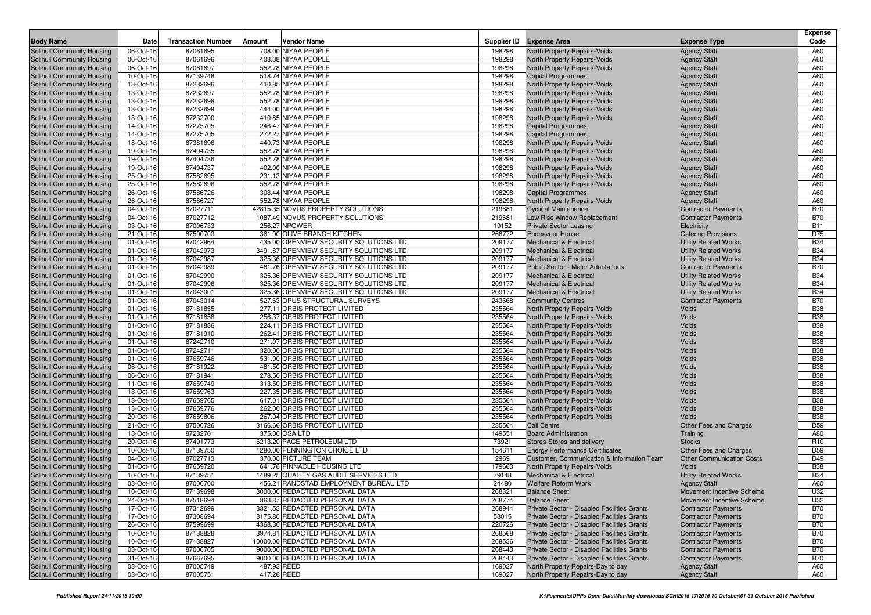|                            |           |                           |             |                                         |        |                                             |                                  | <b>Expense</b>  |
|----------------------------|-----------|---------------------------|-------------|-----------------------------------------|--------|---------------------------------------------|----------------------------------|-----------------|
| <b>Body Name</b>           | Date      | <b>Transaction Number</b> | Amount      | <b>Vendor Name</b>                      |        | Supplier ID Expense Area                    | <b>Expense Type</b>              | Code            |
| Solihull Community Housing | 06-Oct-16 | 87061695                  |             | 708.00 NIYAA PEOPLE                     | 198298 | North Property Repairs-Voids                | <b>Agency Staff</b>              | A60             |
| Solihull Community Housing | 06-Oct-16 | 87061696                  |             | 403.38 NIYAA PEOPLE                     | 198298 | North Property Repairs-Voids                | <b>Agency Staff</b>              | A60             |
| Solihull Community Housing | 06-Oct-16 | 87061697                  |             | 552.78 NIYAA PEOPLE                     | 198298 | North Property Repairs-Voids                | <b>Agency Staff</b>              | A60             |
| Solihull Community Housing | 10-Oct-16 | 87139748                  |             | 518.74 NIYAA PEOPLE                     | 198298 | <b>Capital Programmes</b>                   | <b>Agency Staff</b>              | A60             |
| Solihull Community Housing | 13-Oct-16 | 87232696                  |             | 410.85 NIYAA PEOPLE                     | 198298 | <b>North Property Repairs-Voids</b>         | <b>Agency Staff</b>              | A60             |
| Solihull Community Housing | 13-Oct-16 | 87232697                  |             | 552.78 NIYAA PEOPLE                     | 198298 | North Property Repairs-Voids                | <b>Agency Staff</b>              | A60             |
| Solihull Community Housing | 13-Oct-16 | 87232698                  |             | 552.78 NIYAA PEOPLE                     | 198298 | North Property Repairs-Voids                | <b>Agency Staff</b>              | A60             |
| Solihull Community Housing | 13-Oct-16 | 87232699                  |             | 444.00 NIYAA PEOPLE                     | 198298 | North Property Repairs-Voids                | <b>Agency Staff</b>              | A60             |
| Solihull Community Housing | 13-Oct-16 | 87232700                  |             | 410.85 NIYAA PEOPLE                     | 198298 | North Property Repairs-Voids                | <b>Agency Staff</b>              | A60             |
| Solihull Community Housing | 14-Oct-16 | 87275705                  |             | 246.47 NIYAA PEOPLE                     | 198298 | <b>Capital Programmes</b>                   | <b>Agency Staff</b>              | A60             |
| Solihull Community Housing | 14-Oct-16 | 87275705                  |             | 272.27 NIYAA PEOPLE                     | 198298 | <b>Capital Programmes</b>                   | <b>Agency Staff</b>              | A60             |
| Solihull Community Housing | 18-Oct-16 | 87381696                  |             | 440.73 NIYAA PEOPLE                     | 198298 | North Property Repairs-Voids                | <b>Agency Staff</b>              | A60             |
| Solihull Community Housing | 19-Oct-16 | 87404735                  |             | 552.78 NIYAA PEOPLE                     | 198298 | North Property Repairs-Voids                | <b>Agency Staff</b>              | A60             |
| Solihull Community Housing | 19-Oct-16 | 87404736                  |             | 552.78 NIYAA PEOPLE                     | 198298 | North Property Repairs-Voids                | <b>Agency Staff</b>              | A60             |
| Solihull Community Housing | 19-Oct-16 | 87404737                  |             | 402.00 NIYAA PEOPLE                     | 198298 | North Property Repairs-Voids                | <b>Agency Staff</b>              | A60             |
| Solihull Community Housing | 25-Oct-16 | 87582695                  |             | 231.13 NIYAA PEOPLE                     | 198298 | North Property Repairs-Voids                | <b>Agency Staff</b>              | A60             |
| Solihull Community Housing | 25-Oct-16 | 87582696                  |             | 552.78 NIYAA PEOPLE                     | 198298 | North Property Repairs-Voids                | <b>Agency Staff</b>              | A60             |
| Solihull Community Housing | 26-Oct-16 | 87586726                  |             | 308.44 NIYAA PEOPLE                     | 198298 | <b>Capital Programmes</b>                   | <b>Agency Staff</b>              | A60             |
| Solihull Community Housing | 26-Oct-16 | 87586727                  |             | 552.78 NIYAA PEOPLE                     | 198298 | North Property Repairs-Voids                | <b>Agency Staff</b>              | A60             |
| Solihull Community Housing | 04-Oct-16 | 87027711                  |             | 42815.35 NOVUS PROPERTY SOLUTIONS       | 219681 | <b>Cyclical Maintenance</b>                 | <b>Contractor Payments</b>       | <b>B70</b>      |
| Solihull Community Housing | 04-Oct-16 | 87027712                  |             | 1087.49 NOVUS PROPERTY SOLUTIONS        | 219681 | Low Rise window Replacement                 | <b>Contractor Payments</b>       | <b>B70</b>      |
| Solihull Community Housing | 03-Oct-16 | 87006733                  |             | 256.27 NPOWER                           | 19152  | <b>Private Sector Leasing</b>               | Electricity                      | <b>B11</b>      |
| Solihull Community Housing | 21-Oct-16 | 87500703                  |             | 361.00 OLIVE BRANCH KITCHEN             | 268772 | <b>Endeavour House</b>                      | <b>Catering Provisions</b>       | D75             |
| Solihull Community Housing | 01-Oct-16 | 87042964                  |             | 435.00 OPENVIEW SECURITY SOLUTIONS LTD  | 209177 | <b>Mechanical &amp; Electrical</b>          | <b>Utility Related Works</b>     | <b>B34</b>      |
| Solihull Community Housing | 01-Oct-16 | 87042973                  |             | 3491.87 OPENVIEW SECURITY SOLUTIONS LTD | 209177 | <b>Mechanical &amp; Electrical</b>          | <b>Utility Related Works</b>     | <b>B34</b>      |
| Solihull Community Housing | 01-Oct-16 | 87042987                  |             | 325.36 OPENVIEW SECURITY SOLUTIONS LTD  | 209177 | <b>Mechanical &amp; Electrical</b>          | <b>Utility Related Works</b>     | <b>B34</b>      |
| Solihull Community Housing | 01-Oct-16 | 87042989                  |             | 461.76 OPENVIEW SECURITY SOLUTIONS LTD  | 209177 | <b>Public Sector - Major Adaptations</b>    | <b>Contractor Payments</b>       | <b>B70</b>      |
| Solihull Community Housing | 01-Oct-16 | 87042990                  |             | 325.36 OPENVIEW SECURITY SOLUTIONS LTD  | 209177 | <b>Mechanical &amp; Electrical</b>          | <b>Utility Related Works</b>     | <b>B34</b>      |
| Solihull Community Housing | 01-Oct-16 | 87042996                  |             | 325.36 OPENVIEW SECURITY SOLUTIONS LTD  | 209177 | <b>Mechanical &amp; Electrical</b>          | <b>Utility Related Works</b>     | <b>B34</b>      |
| Solihull Community Housing | 01-Oct-16 | 87043001                  |             | 325.36 OPENVIEW SECURITY SOLUTIONS LTD  | 209177 | <b>Mechanical &amp; Electrical</b>          | <b>Utility Related Works</b>     | <b>B34</b>      |
| Solihull Community Housing | 01-Oct-16 | 87043014                  |             | 527.63 OPUS STRUCTURAL SURVEYS          | 243668 | <b>Community Centres</b>                    | <b>Contractor Payments</b>       | <b>B70</b>      |
| Solihull Community Housing | 01-Oct-16 | 87181855                  |             | 277.11 ORBIS PROTECT LIMITED            | 235564 | <b>North Property Repairs-Voids</b>         | Voids                            | <b>B38</b>      |
| Solihull Community Housing | 01-Oct-16 | 87181858                  |             | 256.37 ORBIS PROTECT LIMITED            | 235564 | North Property Repairs-Voids                | Voids                            | <b>B38</b>      |
| Solihull Community Housing | 01-Oct-16 | 87181886                  |             | 224.11 ORBIS PROTECT LIMITED            | 235564 | North Property Repairs-Voids                | Voids                            | <b>B38</b>      |
| Solihull Community Housing | 01-Oct-16 | 87181910                  |             | 262.41 ORBIS PROTECT LIMITED            | 235564 | North Property Repairs-Voids                | Voids                            | <b>B38</b>      |
| Solihull Community Housing | 01-Oct-16 | 87242710                  |             | 271.07 ORBIS PROTECT LIMITED            | 235564 | North Property Repairs-Voids                | Voids                            | <b>B38</b>      |
| Solihull Community Housing | 01-Oct-16 | 87242711                  |             | 320.00 ORBIS PROTECT LIMITED            | 235564 | North Property Repairs-Voids                | Voids                            | <b>B38</b>      |
| Solihull Community Housing | 01-Oct-16 | 87659746                  |             | 531.00 ORBIS PROTECT LIMITED            | 235564 | North Property Repairs-Voids                | Voids                            | <b>B38</b>      |
| Solihull Community Housing | 06-Oct-16 | 87181922                  |             | 481.50 ORBIS PROTECT LIMITED            | 235564 | North Property Repairs-Voids                | Voids                            | <b>B38</b>      |
| Solihull Community Housing | 06-Oct-16 | 87181941                  |             | 278.50 ORBIS PROTECT LIMITED            | 235564 | North Property Repairs-Voids                | Voids                            | <b>B38</b>      |
| Solihull Community Housing | 11-Oct-16 | 87659749                  |             | 313.50 ORBIS PROTECT LIMITED            | 235564 | North Property Repairs-Voids                | Voids                            | <b>B38</b>      |
| Solihull Community Housing | 13-Oct-16 | 87659763                  |             | 227.35 ORBIS PROTECT LIMITED            | 235564 | North Property Repairs-Voids                | Voids                            | <b>B38</b>      |
| Solihull Community Housing | 13-Oct-16 | 87659765                  |             | 617.01 ORBIS PROTECT LIMITED            | 235564 | North Property Repairs-Voids                | Voids                            | <b>B38</b>      |
| Solihull Community Housing | 13-Oct-16 | 87659776                  |             | 262.00 ORBIS PROTECT LIMITED            | 235564 | North Property Repairs-Voids                | Voids                            | <b>B38</b>      |
| Solihull Community Housing | 20-Oct-16 | 87659806                  |             | 267.04 ORBIS PROTECT LIMITED            | 235564 | North Property Repairs-Voids                | Voids                            | <b>B38</b>      |
| Solihull Community Housing | 21-Oct-16 | 87500726                  |             | 3166.66 ORBIS PROTECT LIMITED           | 235564 | <b>Call Centre</b>                          | Other Fees and Charges           | D <sub>59</sub> |
| Solihull Community Housing | 13-Oct-16 | 87232701                  |             | 375.00 OSA LTD                          | 149551 | <b>Board Administration</b>                 | Training                         | A80             |
| Solihull Community Housing | 20-Oct-16 | 87491773                  |             | 6213.20 PACE PETROLEUM LTD              | 73921  | Stores-Stores and delivery                  | <b>Stocks</b>                    | R <sub>10</sub> |
| Solihull Community Housing | 10-Oct-16 | 87139750                  |             | 1280.00 PENNINGTON CHOICE LTD           | 154611 | <b>Energy Performance Certificates</b>      | Other Fees and Charges           | D <sub>59</sub> |
| Solihull Community Housing | 04-Oct-16 | 87027713                  |             | 370.00 PICTURE TEAM                     | 2969   | Customer, Communication & Information Team  | <b>Other Communication Costs</b> | D49             |
| Solihull Community Housing | 01-Oct-16 | 87659720                  |             | 641.76 PINNACLE HOUSING LTD             | 179663 | North Property Repairs-Voids                | Voids                            | <b>B38</b>      |
| Solihull Community Housing | 10-Oct-16 | 87139751                  |             | 1489.25 QUALITY GAS AUDIT SERVICES LTD  | 79148  | <b>Mechanical &amp; Electrical</b>          | <b>Utility Related Works</b>     | <b>B34</b>      |
| Solihull Community Housing | 03-Oct-16 | 87006700                  |             | 456.21 RANDSTAD EMPLOYMENT BUREAU LTD   | 24480  | <b>Welfare Reform Work</b>                  | <b>Agency Staff</b>              | A60             |
| Solihull Community Housing | 10-Oct-16 | 87139698                  |             | 3000.00 REDACTED PERSONAL DATA          | 268321 | <b>Balance Sheet</b>                        | Movement Incentive Scheme        | U32             |
| Solihull Community Housing | 24-Oct-16 | 87518694                  |             | 363.87 REDACTED PERSONAL DATA           | 268774 | <b>Balance Sheet</b>                        | Movement Incentive Scheme        | U32             |
| Solihull Community Housing | 17-Oct-16 | 87342699                  |             | 3321.53 REDACTED PERSONAL DATA          | 268944 | Private Sector - Disabled Facilities Grants | <b>Contractor Payments</b>       | <b>B70</b>      |
| Solihull Community Housing | 17-Oct-16 | 87308694                  |             | 8175.80 REDACTED PERSONAL DATA          | 58015  | Private Sector - Disabled Facilities Grants | <b>Contractor Payments</b>       | <b>B70</b>      |
| Solihull Community Housing | 26-Oct-16 | 87599699                  |             | 4368.30 REDACTED PERSONAL DATA          | 220726 | Private Sector - Disabled Facilities Grants | <b>Contractor Payments</b>       | <b>B70</b>      |
| Solihull Community Housing | 10-Oct-16 | 87138828                  |             | 3974.81 REDACTED PERSONAL DATA          | 268568 | Private Sector - Disabled Facilities Grants | <b>Contractor Payments</b>       | <b>B70</b>      |
| Solihull Community Housing | 10-Oct-16 | 87138827                  |             | 10000.00 REDACTED PERSONAL DATA         | 268536 | Private Sector - Disabled Facilities Grants | <b>Contractor Payments</b>       | <b>B70</b>      |
| Solihull Community Housing | 03-Oct-16 | 87006705                  |             | 9000.00 REDACTED PERSONAL DATA          | 268443 | Private Sector - Disabled Facilities Grants | <b>Contractor Payments</b>       | <b>B70</b>      |
| Solihull Community Housing | 31-Oct-16 | 87667695                  |             | 9000.00 REDACTED PERSONAL DATA          | 268443 | Private Sector - Disabled Facilities Grants | <b>Contractor Payments</b>       | <b>B70</b>      |
| Solihull Community Housing | 03-Oct-16 | 87005749                  | 487.93 REED |                                         | 169027 | North Property Repairs-Day to day           | <b>Agency Staff</b>              | A60             |
| Solihull Community Housing | 03-Oct-16 | 87005751                  | 417.26 REED |                                         | 169027 | North Property Repairs-Day to day           | <b>Agency Staff</b>              | A60             |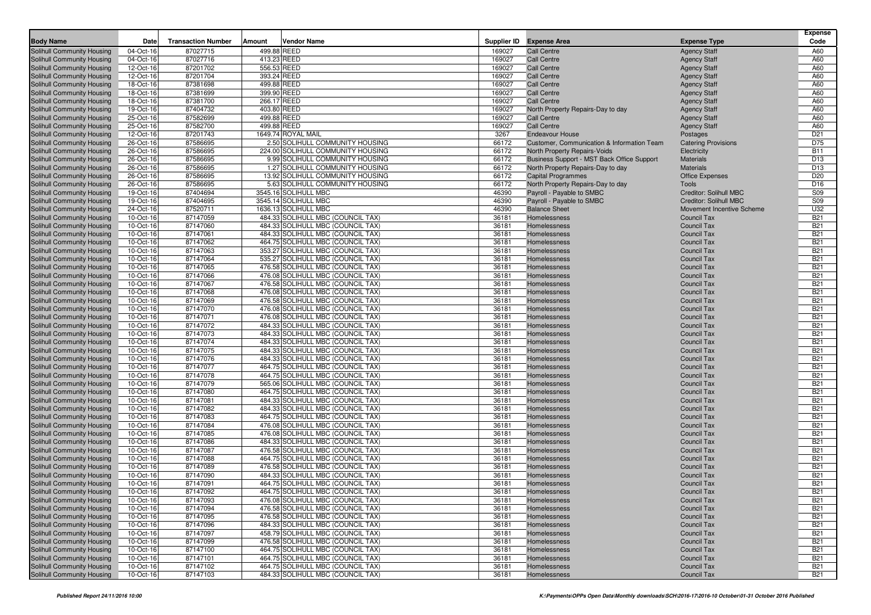|                            |           | <b>Transaction Number</b> |             |                                   |        | Supplier ID Expense Area                   |                            | <b>Expense</b><br>Code |
|----------------------------|-----------|---------------------------|-------------|-----------------------------------|--------|--------------------------------------------|----------------------------|------------------------|
| <b>Body Name</b>           | Date      |                           | Amount      | <b>Vendor Name</b>                |        |                                            | <b>Expense Type</b>        |                        |
| Solihull Community Housing | 04-Oct-16 | 87027715                  | 499.88 REED |                                   | 169027 | <b>Call Centre</b>                         | <b>Agency Staff</b>        | A60                    |
| Solihull Community Housing | 04-Oct-16 | 87027716                  | 413.23 REED |                                   | 169027 | <b>Call Centre</b>                         | <b>Agency Staff</b>        | A60                    |
| Solihull Community Housing | 12-Oct-16 | 87201702                  | 556.53 REED |                                   | 169027 | <b>Call Centre</b>                         | <b>Agency Staff</b>        | A60                    |
| Solihull Community Housing | 12-Oct-16 | 87201704                  | 393.24 REED |                                   | 169027 | <b>Call Centre</b>                         | <b>Agency Staff</b>        | A60                    |
| Solihull Community Housing | 18-Oct-16 | 87381698                  | 499.88 REED |                                   | 169027 | <b>Call Centre</b>                         | <b>Agency Staff</b>        | A60                    |
| Solihull Community Housing | 18-Oct-16 | 87381699                  | 399.90 REED |                                   | 169027 | <b>Call Centre</b>                         | <b>Agency Staff</b>        | A60                    |
| Solihull Community Housing | 18-Oct-16 | 87381700                  | 266.17 REED |                                   | 169027 | <b>Call Centre</b>                         | <b>Agency Staff</b>        | A60                    |
| Solihull Community Housing | 19-Oct-16 | 87404732                  | 403.80 REED |                                   | 169027 | North Property Repairs-Day to day          | <b>Agency Staff</b>        | A60                    |
| Solihull Community Housing | 25-Oct-16 | 87582699                  | 499.88 REED |                                   | 169027 | <b>Call Centre</b>                         | <b>Agency Staff</b>        | A60                    |
| Solihull Community Housing | 25-Oct-16 | 87582700                  | 499.88 REED |                                   | 169027 | <b>Call Centre</b>                         | <b>Agency Staff</b>        | A60                    |
| Solihull Community Housing | 12-Oct-16 | 87201743                  |             | 1649.74 ROYAL MAIL                | 3267   | <b>Endeavour House</b>                     | Postages                   | D <sub>21</sub>        |
| Solihull Community Housing | 26-Oct-16 | 87586695                  |             | 2.50 SOLIHULL COMMUNITY HOUSING   | 66172  | Customer, Communication & Information Team | <b>Catering Provisions</b> | D75                    |
| Solihull Community Housing | 26-Oct-16 | 87586695                  |             | 224.00 SOLIHULL COMMUNITY HOUSING | 66172  | North Property Repairs-Voids               | Electricity                | <b>B11</b>             |
| Solihull Community Housing | 26-Oct-16 | 87586695                  |             | 9.99 SOLIHULL COMMUNITY HOUSING   | 66172  | Business Support - MST Back Office Support | <b>Materials</b>           | D <sub>13</sub>        |
| Solihull Community Housing | 26-Oct-16 | 87586695                  |             | 1.27 SOLIHULL COMMUNITY HOUSING   | 66172  | North Property Repairs-Day to day          | <b>Materials</b>           | D <sub>13</sub>        |
| Solihull Community Housing | 26-Oct-16 | 87586695                  |             | 13.92 SOLIHULL COMMUNITY HOUSING  | 66172  | <b>Capital Programmes</b>                  | <b>Office Expenses</b>     | D <sub>20</sub>        |
| Solihull Community Housing | 26-Oct-16 | 87586695                  |             | 5.63 SOLIHULL COMMUNITY HOUSING   | 66172  | North Property Repairs-Day to day          | Tools                      | D <sub>16</sub>        |
| Solihull Community Housing | 19-Oct-16 | 87404694                  |             | 3545.16 SOLIHULL MBC              | 46390  | Payroll - Payable to SMBC                  | Creditor: Solihull MBC     | <b>S09</b>             |
| Solihull Community Housing | 19-Oct-16 | 87404695                  |             | 3545.14 SOLIHULL MBC              | 46390  | Payroll - Payable to SMBC                  | Creditor: Solihull MBC     | <b>S09</b>             |
| Solihull Community Housing | 24-Oct-16 | 87520711                  |             | 1636.13 SOLIHULL MBC              | 46390  | <b>Balance Sheet</b>                       | Movement Incentive Scheme  | U32                    |
| Solihull Community Housing | 10-Oct-16 | 87147059                  |             | 484.33 SOLIHULL MBC (COUNCIL TAX) | 36181  | Homelessness                               | Council Tax                | <b>B21</b>             |
| Solihull Community Housing | 10-Oct-16 | 87147060                  |             | 484.33 SOLIHULL MBC (COUNCIL TAX) | 36181  | Homelessness                               | Council Tax                | <b>B21</b>             |
| Solihull Community Housing | 10-Oct-16 | 87147061                  |             | 484.33 SOLIHULL MBC (COUNCIL TAX) | 36181  | Homelessness                               | <b>Council Tax</b>         | <b>B21</b>             |
| Solihull Community Housing | 10-Oct-16 | 87147062                  |             | 464.75 SOLIHULL MBC (COUNCIL TAX) | 36181  | Homelessness                               | <b>Council Tax</b>         | <b>B21</b>             |
| Solihull Community Housing | 10-Oct-16 | 87147063                  |             | 353.27 SOLIHULL MBC (COUNCIL TAX) | 36181  | Homelessness                               | <b>Council Tax</b>         | <b>B21</b>             |
| Solihull Community Housing | 10-Oct-16 | 87147064                  |             | 535.27 SOLIHULL MBC (COUNCIL TAX) | 36181  | Homelessness                               | Council Tax                | <b>B21</b>             |
| Solihull Community Housing | 10-Oct-16 | 87147065                  |             | 476.58 SOLIHULL MBC (COUNCIL TAX) | 36181  | Homelessness                               | <b>Council Tax</b>         | <b>B21</b>             |
| Solihull Community Housing | 10-Oct-16 | 87147066                  |             | 476.08 SOLIHULL MBC (COUNCIL TAX) | 36181  | Homelessness                               | Council Tax                | <b>B21</b>             |
| Solihull Community Housing | 10-Oct-16 | 87147067                  |             | 476.58 SOLIHULL MBC (COUNCIL TAX) | 36181  | Homelessness                               | Council Tax                | <b>B21</b>             |
| Solihull Community Housing | 10-Oct-16 | 87147068                  |             | 476.08 SOLIHULL MBC (COUNCIL TAX) | 36181  | Homelessness                               | <b>Council Tax</b>         | <b>B21</b>             |
| Solihull Community Housing | 10-Oct-16 | 87147069                  |             | 476.58 SOLIHULL MBC (COUNCIL TAX) | 36181  | Homelessness                               | Council Tax                | <b>B21</b>             |
| Solihull Community Housing | 10-Oct-16 | 87147070                  |             | 476.08 SOLIHULL MBC (COUNCIL TAX) | 36181  | Homelessness                               | Council Tax                | <b>B21</b>             |
| Solihull Community Housing | 10-Oct-16 | 87147071                  |             | 476.08 SOLIHULL MBC (COUNCIL TAX) | 36181  | Homelessness                               | <b>Council Tax</b>         | <b>B21</b>             |
| Solihull Community Housing | 10-Oct-16 | 87147072                  |             | 484.33 SOLIHULL MBC (COUNCIL TAX) | 36181  | Homelessness                               | Council Tax                | <b>B21</b>             |
| Solihull Community Housing | 10-Oct-16 | 87147073                  |             | 484.33 SOLIHULL MBC (COUNCIL TAX) | 36181  | Homelessness                               | Council Tax                | <b>B21</b>             |
| Solihull Community Housing | 10-Oct-16 | 87147074                  |             | 484.33 SOLIHULL MBC (COUNCIL TAX) | 36181  | Homelessness                               | <b>Council Tax</b>         | <b>B21</b>             |
| Solihull Community Housing | 10-Oct-16 | 87147075                  |             | 484.33 SOLIHULL MBC (COUNCIL TAX) | 36181  | Homelessness                               | Council Tax                | <b>B21</b>             |
| Solihull Community Housing | 10-Oct-16 | 87147076                  |             | 484.33 SOLIHULL MBC (COUNCIL TAX) | 36181  | Homelessness                               | <b>Council Tax</b>         | <b>B21</b>             |
| Solihull Community Housing | 10-Oct-16 | 87147077                  |             | 464.75 SOLIHULL MBC (COUNCIL TAX) | 36181  | Homelessness                               | <b>Council Tax</b>         | <b>B21</b>             |
| Solihull Community Housing | 10-Oct-16 | 87147078                  |             | 464.75 SOLIHULL MBC (COUNCIL TAX) | 36181  | Homelessness                               | Council Tax                | <b>B21</b>             |
| Solihull Community Housing | 10-Oct-16 | 87147079                  |             | 565.06 SOLIHULL MBC (COUNCIL TAX) | 36181  | Homelessness                               | <b>Council Tax</b>         | <b>B21</b>             |
| Solihull Community Housing | 10-Oct-16 | 87147080                  |             | 464.75 SOLIHULL MBC (COUNCIL TAX) | 36181  | Homelessness                               | <b>Council Tax</b>         | <b>B21</b>             |
| Solihull Community Housing | 10-Oct-16 | 87147081                  |             | 484.33 SOLIHULL MBC (COUNCIL TAX) | 36181  | Homelessness                               | <b>Council Tax</b>         | <b>B21</b>             |
| Solihull Community Housing | 10-Oct-16 | 87147082                  |             | 484.33 SOLIHULL MBC (COUNCIL TAX) | 36181  | Homelessness                               | <b>Council Tax</b>         | <b>B21</b>             |
| Solihull Community Housing | 10-Oct-16 | 87147083                  |             | 464.75 SOLIHULL MBC (COUNCIL TAX) | 36181  | Homelessness                               | <b>Council Tax</b>         | <b>B21</b>             |
| Solihull Community Housing | 10-Oct-16 | 87147084                  |             | 476.08 SOLIHULL MBC (COUNCIL TAX) | 36181  | Homelessness                               | <b>Council Tax</b>         | <b>B21</b>             |
| Solihull Community Housing | 10-Oct-16 | 87147085                  |             | 476.08 SOLIHULL MBC (COUNCIL TAX) | 36181  | Homelessness                               | <b>Council Tax</b>         | <b>B21</b>             |
| Solihull Community Housing | 10-Oct-16 | 87147086                  |             | 484.33 SOLIHULL MBC (COUNCIL TAX) | 36181  | Homelessness                               | <b>Council Tax</b>         | <b>B21</b>             |
| Solihull Community Housing | 10-Oct-16 | 87147087                  |             | 476.58 SOLIHULL MBC (COUNCIL TAX) | 36181  | Homelessness                               | <b>Council Tax</b>         | <b>B21</b>             |
| Solihull Community Housing | 10-Oct-16 | 87147088                  |             | 464.75 SOLIHULL MBC (COUNCIL TAX) | 36181  | Homelessness                               | <b>Council Tax</b>         | <b>B21</b>             |
| Solihull Community Housing | 10-Oct-16 | 87147089                  |             | 476.58 SOLIHULL MBC (COUNCIL TAX) | 36181  | Homelessness                               | <b>Council Tax</b>         | <b>B21</b>             |
| Solihull Community Housing | 10-Oct-16 | 87147090                  |             | 484.33 SOLIHULL MBC (COUNCIL TAX) | 36181  | Homelessness                               | <b>Council Tax</b>         | <b>B21</b>             |
| Solihull Community Housing | 10-Oct-16 | 87147091                  |             | 464.75 SOLIHULL MBC (COUNCIL TAX) | 36181  | Homelessness                               | Council Tax                | <b>B21</b>             |
| Solihull Community Housing | 10-Oct-16 | 87147092                  |             | 464.75 SOLIHULL MBC (COUNCIL TAX) | 36181  | Homelessness                               | Council Tax                | <b>B21</b>             |
| Solihull Community Housing | 10-Oct-16 | 87147093                  |             | 476.08 SOLIHULL MBC (COUNCIL TAX) | 36181  | Homelessness                               | Council Tax                | <b>B21</b>             |
| Solihull Community Housing | 10-Oct-16 | 87147094                  |             | 476.58 SOLIHULL MBC (COUNCIL TAX) | 36181  | Homelessness                               | Council Tax                | <b>B21</b>             |
| Solihull Community Housing | 10-Oct-16 | 87147095                  |             | 476.58 SOLIHULL MBC (COUNCIL TAX) | 36181  | Homelessness                               | Council Tax                | <b>B21</b>             |
| Solihull Community Housing | 10-Oct-16 | 87147096                  |             | 484.33 SOLIHULL MBC (COUNCIL TAX) | 36181  | Homelessness                               | Council Tax                | <b>B21</b>             |
| Solihull Community Housing | 10-Oct-16 | 87147097                  |             | 458.79 SOLIHULL MBC (COUNCIL TAX) | 36181  | Homelessness                               | Council Tax                | <b>B21</b>             |
| Solihull Community Housing | 10-Oct-16 | 87147099                  |             | 476.58 SOLIHULL MBC (COUNCIL TAX) | 36181  | Homelessness                               | Council Tax                | <b>B21</b>             |
| Solihull Community Housing | 10-Oct-16 | 87147100                  |             | 464.75 SOLIHULL MBC (COUNCIL TAX) | 36181  | Homelessness                               | Council Tax                | <b>B21</b>             |
| Solihull Community Housing | 10-Oct-16 | 87147101                  |             | 464.75 SOLIHULL MBC (COUNCIL TAX) | 36181  | Homelessness                               | Council Tax                | <b>B21</b>             |
| Solihull Community Housing | 10-Oct-16 | 87147102                  |             | 464.75 SOLIHULL MBC (COUNCIL TAX) | 36181  | Homelessness                               | Council Tax                | <b>B21</b>             |
| Solihull Community Housing | 10-Oct-16 | 87147103                  |             | 484.33 SOLIHULL MBC (COUNCIL TAX) | 36181  | Homelessness                               | Council Tax                | <b>B21</b>             |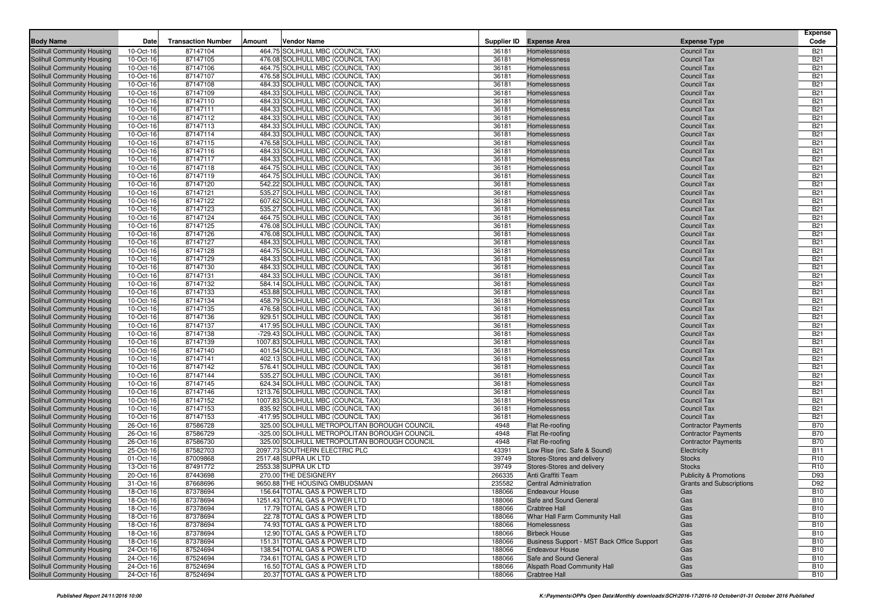| <b>Body Name</b>                                         | Date                   | <b>Transaction Number</b> | Amount<br><b>Vendor Name</b>                                                                  |                | Supplier ID Expense Area                   | <b>Expense Type</b>                       | <b>Expense</b><br>Code   |
|----------------------------------------------------------|------------------------|---------------------------|-----------------------------------------------------------------------------------------------|----------------|--------------------------------------------|-------------------------------------------|--------------------------|
| Solihull Community Housing                               | 10-Oct-16              | 87147104                  | 464.75 SOLIHULL MBC (COUNCIL TAX)                                                             | 36181          | Homelessness                               | <b>Council Tax</b>                        | <b>B21</b>               |
| Solihull Community Housing                               | 10-Oct-16              | 87147105                  | 476.08 SOLIHULL MBC (COUNCIL TAX)                                                             | 36181          | Homelessness                               | <b>Council Tax</b>                        | <b>B21</b>               |
| Solihull Community Housing                               | 10-Oct-16              | 87147106                  | 464.75 SOLIHULL MBC (COUNCIL TAX)                                                             | 36181          | Homelessness                               | <b>Council Tax</b>                        | <b>B21</b>               |
| Solihull Community Housing                               | 10-Oct-16              | 87147107                  | 476.58 SOLIHULL MBC (COUNCIL TAX)                                                             | 36181          | Homelessness                               | <b>Council Tax</b>                        | <b>B21</b>               |
| Solihull Community Housing                               | 10-Oct-16              | 87147108                  | 484.33 SOLIHULL MBC (COUNCIL TAX)                                                             | 36181          | Homelessness                               | <b>Council Tax</b>                        | <b>B21</b>               |
| Solihull Community Housing                               | 10-Oct-16              | 87147109                  | 484.33 SOLIHULL MBC (COUNCIL TAX)                                                             | 36181          | Homelessness                               | <b>Council Tax</b>                        | <b>B21</b>               |
| Solihull Community Housing                               | 10-Oct-16              | 87147110                  | 484.33 SOLIHULL MBC (COUNCIL TAX)                                                             | 36181          | Homelessness                               | <b>Council Tax</b>                        | <b>B21</b>               |
| Solihull Community Housing                               | 10-Oct-16              | 87147111                  | 484.33 SOLIHULL MBC (COUNCIL TAX)                                                             | 36181          | Homelessness                               | <b>Council Tax</b>                        | <b>B21</b>               |
| Solihull Community Housing                               | 10-Oct-16              | 87147112                  | 484.33 SOLIHULL MBC (COUNCIL TAX)                                                             | 36181          | Homelessness                               | <b>Council Tax</b>                        | <b>B21</b>               |
| Solihull Community Housing                               | 10-Oct-16              | 87147113                  | 484.33 SOLIHULL MBC (COUNCIL TAX)                                                             | 36181          | Homelessness                               | <b>Council Tax</b>                        | <b>B21</b>               |
| Solihull Community Housing                               | 10-Oct-16              | 87147114                  | 484.33 SOLIHULL MBC (COUNCIL TAX)                                                             | 36181          | Homelessness                               | <b>Council Tax</b>                        | <b>B21</b>               |
| Solihull Community Housing                               | 10-Oct-16              | 87147115                  | 476.58 SOLIHULL MBC (COUNCIL TAX)                                                             | 36181          | Homelessness                               | <b>Council Tax</b>                        | <b>B21</b>               |
| Solihull Community Housing                               | 10-Oct-16              | 87147116                  | 484.33 SOLIHULL MBC (COUNCIL TAX)                                                             | 36181          | Homelessness                               | <b>Council Tax</b>                        | <b>B21</b>               |
| Solihull Community Housing                               | 10-Oct-16              | 87147117                  | 484.33 SOLIHULL MBC (COUNCIL TAX)<br>464.75 SOLIHULL MBC (COUNCIL TAX)                        | 36181          | Homelessness                               | <b>Council Tax</b>                        | <b>B21</b>               |
| Solihull Community Housing                               | 10-Oct-16              | 87147118                  |                                                                                               | 36181          | Homelessness                               | <b>Council Tax</b>                        | <b>B21</b><br><b>B21</b> |
| Solihull Community Housing                               | 10-Oct-16<br>10-Oct-16 | 87147119                  | 464.75 SOLIHULL MBC (COUNCIL TAX)                                                             | 36181          | Homelessness                               | <b>Council Tax</b>                        | <b>B21</b>               |
| Solihull Community Housing<br>Solihull Community Housing | 10-Oct-16              | 87147120<br>87147121      | 542.22 SOLIHULL MBC (COUNCIL TAX)<br>535.27 SOLIHULL MBC (COUNCIL TAX)                        | 36181<br>36181 | Homelessness<br>Homelessness               | <b>Council Tax</b><br><b>Council Tax</b>  | <b>B21</b>               |
|                                                          | 10-Oct-16              | 87147122                  | 607.62 SOLIHULL MBC (COUNCIL TAX)                                                             | 36181          | Homelessness                               | <b>Council Tax</b>                        | <b>B21</b>               |
| Solihull Community Housing<br>Solihull Community Housing | 10-Oct-16              | 87147123                  | 535.27 SOLIHULL MBC (COUNCIL TAX)                                                             | 36181          | Homelessness                               | <b>Council Tax</b>                        | <b>B21</b>               |
| Solihull Community Housing                               | 10-Oct-16              | 87147124                  | 464.75 SOLIHULL MBC (COUNCIL TAX)                                                             | 36181          | Homelessness                               | <b>Council Tax</b>                        | <b>B21</b>               |
| Solihull Community Housing                               | 10-Oct-16              | 87147125                  | 476.08 SOLIHULL MBC (COUNCIL TAX)                                                             | 36181          | Homelessness                               | <b>Council Tax</b>                        | <b>B21</b>               |
| Solihull Community Housing                               | 10-Oct-16              | 87147126                  | 476.08 SOLIHULL MBC (COUNCIL TAX)                                                             | 36181          | Homelessness                               | <b>Council Tax</b>                        | <b>B21</b>               |
| Solihull Community Housing                               | 10-Oct-16              | 87147127                  | 484.33 SOLIHULL MBC (COUNCIL TAX)                                                             | 36181          | Homelessness                               | <b>Council Tax</b>                        | <b>B21</b>               |
| Solihull Community Housing                               | 10-Oct-16              | 87147128                  | 464.75 SOLIHULL MBC (COUNCIL TAX)                                                             | 36181          | Homelessness                               | <b>Council Tax</b>                        | <b>B21</b>               |
| Solihull Community Housing                               | 10-Oct-16              | 87147129                  | 484.33 SOLIHULL MBC (COUNCIL TAX)                                                             | 36181          | Homelessness                               | <b>Council Tax</b>                        | <b>B21</b>               |
| Solihull Community Housing                               | 10-Oct-16              | 87147130                  | 484.33 SOLIHULL MBC (COUNCIL TAX)                                                             | 36181          | Homelessness                               | <b>Council Tax</b>                        | <b>B21</b>               |
| Solihull Community Housing                               | 10-Oct-16              | 87147131                  | 484.33 SOLIHULL MBC (COUNCIL TAX)                                                             | 36181          | Homelessness                               | <b>Council Tax</b>                        | <b>B21</b>               |
| Solihull Community Housing                               | 10-Oct-16              | 87147132                  | 584.14 SOLIHULL MBC (COUNCIL TAX)                                                             | 36181          | Homelessness                               | <b>Council Tax</b>                        | <b>B21</b>               |
| Solihull Community Housing                               | 10-Oct-16              | 87147133                  | 453.88 SOLIHULL MBC (COUNCIL TAX)                                                             | 36181          | Homelessness                               | <b>Council Tax</b>                        | <b>B21</b>               |
| Solihull Community Housing                               | 10-Oct-16              | 87147134                  | 458.79 SOLIHULL MBC (COUNCIL TAX)                                                             | 36181          | Homelessness                               | <b>Council Tax</b>                        | <b>B21</b>               |
| Solihull Community Housing                               | 10-Oct-16              | 87147135                  | 476.58 SOLIHULL MBC (COUNCIL TAX)                                                             | 36181          | Homelessness                               | <b>Council Tax</b>                        | <b>B21</b>               |
| Solihull Community Housing                               | 10-Oct-16              | 87147136                  | 929.51 SOLIHULL MBC (COUNCIL TAX)                                                             | 36181          | Homelessness                               | <b>Council Tax</b>                        | <b>B21</b>               |
| Solihull Community Housing                               | 10-Oct-16              | 87147137                  | 417.95 SOLIHULL MBC (COUNCIL TAX)                                                             | 36181          | Homelessness                               | <b>Council Tax</b>                        | <b>B21</b>               |
| Solihull Community Housing                               | 10-Oct-16              | 87147138                  | -729.43 SOLIHULL MBC (COUNCIL TAX)                                                            | 36181          | Homelessness                               | <b>Council Tax</b>                        | <b>B21</b>               |
| Solihull Community Housing                               | 10-Oct-16              | 87147139                  | 1007.83 SOLIHULL MBC (COUNCIL TAX)                                                            | 36181          | Homelessness                               | <b>Council Tax</b>                        | <b>B21</b>               |
| Solihull Community Housing                               | 10-Oct-16              | 87147140                  | 401.54 SOLIHULL MBC (COUNCIL TAX)                                                             | 36181          | Homelessness                               | <b>Council Tax</b>                        | <b>B21</b>               |
| Solihull Community Housing                               | 10-Oct-16              | 87147141                  | 402.13 SOLIHULL MBC (COUNCIL TAX)                                                             | 36181          | Homelessness                               | <b>Council Tax</b>                        | <b>B21</b>               |
| Solihull Community Housing                               | 10-Oct-16              | 87147142                  | 576.41 SOLIHULL MBC (COUNCIL TAX)                                                             | 36181          | Homelessness                               | <b>Council Tax</b>                        | <b>B21</b>               |
| Solihull Community Housing                               | 10-Oct-16              | 87147144                  | 535.27 SOLIHULL MBC (COUNCIL TAX)                                                             | 36181          | Homelessness                               | <b>Council Tax</b>                        | <b>B21</b>               |
| Solihull Community Housing                               | 10-Oct-16              | 87147145                  | 624.34 SOLIHULL MBC (COUNCIL TAX)                                                             | 36181          | Homelessness                               | <b>Council Tax</b>                        | <b>B21</b>               |
| Solihull Community Housing                               | 10-Oct-16              | 87147146                  | 1213.76 SOLIHULL MBC (COUNCIL TAX)                                                            | 36181          | Homelessness                               | <b>Council Tax</b>                        | <b>B21</b>               |
| Solihull Community Housing                               | 10-Oct-16              | 87147152                  | 1007.83 SOLIHULL MBC (COUNCIL TAX)                                                            | 36181          | Homelessness                               | <b>Council Tax</b>                        | <b>B21</b>               |
| Solihull Community Housing                               | 10-Oct-16              | 87147153                  | 835.92 SOLIHULL MBC (COUNCIL TAX)                                                             | 36181          | Homelessness                               | Council Tax                               | <b>B21</b>               |
| Solihull Community Housing                               | 10-Oct-16              | 87147153                  | -417.95 SOLIHULL MBC (COUNCIL TAX)                                                            | 36181          | Homelessness                               | <b>Council Tax</b>                        | <b>B21</b>               |
| Solihull Community Housing                               | 26-Oct-16              | 87586728                  | 325.00 SOLIHULL METROPOLITAN BOROUGH COUNCIL<br>-325.00 SOLIHULL METROPOLITAN BOROUGH COUNCIL | 4948<br>4948   | Flat Re-roofing                            | <b>Contractor Payments</b>                | <b>B70</b><br><b>B70</b> |
| Solihull Community Housing<br>Solihull Community Housing | 26-Oct-16<br>26-Oct-16 | 87586729<br>87586730      | 325.00 SOLIHULL METROPOLITAN BOROUGH COUNCIL                                                  | 4948           | Flat Re-roofing<br>Flat Re-roofing         | <b>Contractor Payments</b>                | <b>B70</b>               |
| Solihull Community Housing                               | 25-Oct-16              | 87582703                  | 2097.73 SOUTHERN ELECTRIC PLC                                                                 | 43391          | Low Rise (inc. Safe & Sound)               | <b>Contractor Payments</b><br>Electricity | <b>B11</b>               |
| Solihull Community Housing                               | 01-Oct-16              | 87009868                  | 2517.48 SUPRA UK LTD                                                                          | 39749          | Stores-Stores and delivery                 | <b>Stocks</b>                             | R <sub>10</sub>          |
| Solihull Community Housing                               | 13-Oct-16              | 87491772                  | 2553.38 SUPRA UK LTD                                                                          | 39749          | Stores-Stores and delivery                 | <b>Stocks</b>                             | R <sub>10</sub>          |
| Solihull Community Housing                               | 20-Oct-16              | 87443698                  | 270.00 THE DESIGNERY                                                                          | 266335         | Anti Graffiti Team                         | <b>Publicity &amp; Promotions</b>         | D93                      |
| Solihull Community Housing                               | 31-Oct-16              | 87668696                  | 9650.88 THE HOUSING OMBUDSMAN                                                                 | 235582         | <b>Central Administration</b>              | <b>Grants and Subscriptions</b>           | D92                      |
| Solihull Community Housing                               | 18-Oct-16              | 87378694                  | 156.64 TOTAL GAS & POWER LTD                                                                  | 188066         | <b>Endeavour House</b>                     | Gas                                       | <b>B10</b>               |
| Solihull Community Housing                               | 18-Oct-16              | 87378694                  | 1251.43 TOTAL GAS & POWER LTD                                                                 | 188066         | Safe and Sound General                     | Gas                                       | <b>B10</b>               |
| <b>Solihull Community Housing</b>                        | 18-Oct-16              | 87378694                  | 17.79 TOTAL GAS & POWER LTD                                                                   | 188066         | <b>Crabtree Hall</b>                       | Gas                                       | <b>B10</b>               |
| Solihull Community Housing                               | 18-Oct-16              | 87378694                  | 22.78 TOTAL GAS & POWER LTD                                                                   | 188066         | Whar Hall Farm Community Hall              | Gas                                       | <b>B10</b>               |
| Solihull Community Housing                               | 18-Oct-16              | 87378694                  | 74.93 TOTAL GAS & POWER LTD                                                                   | 188066         | Homelessness                               | Gas                                       | <b>B10</b>               |
| Solihull Community Housing                               | 18-Oct-16              | 87378694                  | 12.90 TOTAL GAS & POWER LTD                                                                   | 188066         | <b>Birbeck House</b>                       | Gas                                       | <b>B10</b>               |
| Solihull Community Housing                               | 18-Oct-16              | 87378694                  | 151.31 TOTAL GAS & POWER LTD                                                                  | 188066         | Business Support - MST Back Office Support | Gas                                       | <b>B10</b>               |
| Solihull Community Housing                               | 24-Oct-16              | 87524694                  | 138.54 TOTAL GAS & POWER LTD                                                                  | 188066         | <b>Endeavour House</b>                     | Gas                                       | <b>B10</b>               |
| Solihull Community Housing                               | 24-Oct-16              | 87524694                  | 734.61 TOTAL GAS & POWER LTD                                                                  | 188066         | Safe and Sound General                     | Gas                                       | <b>B10</b>               |
| <b>Solihull Community Housing</b>                        | 24-Oct-16              | 87524694                  | 16.50 TOTAL GAS & POWER LTD                                                                   | 188066         | <b>Alspath Road Community Hall</b>         | Gas                                       | <b>B10</b>               |
| <b>Solihull Community Housing</b>                        | 24-Oct-16              | 87524694                  | 20.37 TOTAL GAS & POWER LTD                                                                   | 188066         | <b>Crabtree Hall</b>                       | Gas                                       | <b>B10</b>               |